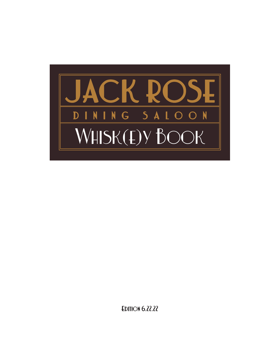

**EDITION 6.22.22**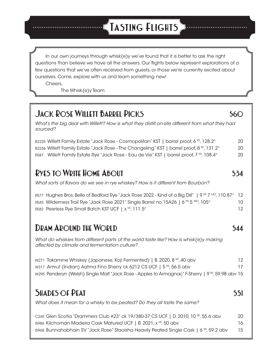# **Tasting Flights**

In our own journeys through whisk(e)y we've found that it is better to ask the right questions than believe we have all the answers. Our flights below represent explorations of a few questions that we've often received from guests, or those we're currently excited about ourselves. Come, explore with us and learn something new!

Cheers,

The Whisk(e)y Team

### **JACK ROSE WILLETT BARREL PICKS** \$60

*What's the big deal with Willett? How is what they distill on-site different from what they had sourced?*

B2235 Willett Family Estate "Jack Rose - Cosmopolitan" KST | barrel proof, 6 KR, 128.2° 20 B2236 Willett Family Estate "Jack Rose - The Changeling" KST | barrel proof, 8 YR, 131.2° 20 R587 Willett Family Estate Rye "Jack Rose - Eau de Vie" KST | barrel proof, 7 YR, 108.4° 20

### **RYES TO WRITE HOME ABOUT** \$34

*What sorts of flavors do we see in rye whiskey? How is it different from Bourbon?*

R577 Hughes Bros. Belle of Bedford Rye "Jack Rose 2022 - Kind of a Big Dill" | 9 YR 7 MO, 110.87° 12 R545 Wilderness Trail Rye "Jack Rose 2021" Single Barrel no.15A26 | 6 YR 5 MO, 105° 10 R582 Peerless Rye Small Batch KST UCF | x<sup>vR</sup>, 111.5° 12

### **DRAM AROUND THE WORLD \$44**

*What do whiskies from different parts of the world taste like? How is whisk(e)y making affected by climate and fermentation culture?*

W271 Takamine Whiskey (Japanese, Koji Fermented) | B. 2020, 8 <sup>yr</sup>, 40 abv 12 W317 Amrut (Indian) Aatma Fino Sherry ck 6212 CS UCF  $\mid 5^{yr}$ , 56.5 abv 17 w295 Penderyn (Welsh) Single Malt "Jack Rose - Apples to Armagnac" F-Sherry | 9<sup>vR</sup>, 59.98 abv 15

### **SHADES OF PEAT** 551

*What does it mean for a whisky to be peated? Do they all taste the same?*

C249 Glen Scotia "Drammers Club #23" ck 19/380-37 CS UCF | D. 2010, 10 YR, 55.6 abv 20 IS986 Kilchoman Madeira Cask Matured UCF | B. 2021, x YR, 50 abv 16 IS968 Bunnahabhain SV "Jack Rose" Staoisha Heavily Peated Single Cask | 6 YR, 59.2 abv 15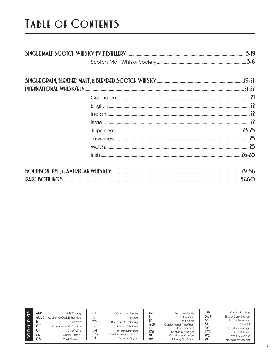# **Table of Contents**

| WHISK(E)Y KEY<br>ADR<br>ACE'd<br>D.<br>CC<br>C <sub>H</sub><br><b>CK</b><br>CS. | A.D. Rattrav<br>Additional Cask Enhanced<br><b>Bottled</b><br>Connoisseur's Choice<br>Chieftain's<br>Cask Number<br>Cask Strength | υ.<br>DD<br>DF<br>DM<br>DεM<br>D١ | Cask and Thistle<br><b>Distilled</b><br>Douglas Drumlanrig<br>Distiller's Edition<br>Double Matured<br>D&M Wine and Spirits<br>Duncan Taylor | £М<br>GεM<br>HB<br>КSТ<br><b>MC</b><br><b>MM</b> | <b>Exclusive Malts</b><br>Finished<br><b>First Edition</b><br>Gordon and MacPhail<br><b>Hart Brothers</b><br>Kentucky Straight<br>MacKillop's Choice<br><b>Murray McDavid</b> | ОB<br><b>SCN</b><br>SS<br>SI<br>S٧<br><b>UCF</b><br><b>WG</b><br><b>YYR</b> | Official Bottling<br><b>Single Cask Nation</b><br>Scott's Selection<br>Straight<br><b>Signatory Vintage</b><br>Unchillfiltered<br><b>Whisky Galore</b><br>No age statement |
|---------------------------------------------------------------------------------|-----------------------------------------------------------------------------------------------------------------------------------|-----------------------------------|----------------------------------------------------------------------------------------------------------------------------------------------|--------------------------------------------------|-------------------------------------------------------------------------------------------------------------------------------------------------------------------------------|-----------------------------------------------------------------------------|----------------------------------------------------------------------------------------------------------------------------------------------------------------------------|
|---------------------------------------------------------------------------------|-----------------------------------------------------------------------------------------------------------------------------------|-----------------------------------|----------------------------------------------------------------------------------------------------------------------------------------------|--------------------------------------------------|-------------------------------------------------------------------------------------------------------------------------------------------------------------------------------|-----------------------------------------------------------------------------|----------------------------------------------------------------------------------------------------------------------------------------------------------------------------|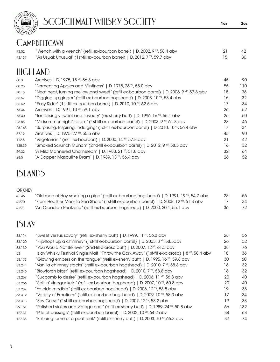

### **CAMPBELTOWN**

| 93.52  | "Wench with a wrench" (refill ex-bourbon barrel)   D. 2002, 9 YR, 58.4 abv | -42 |
|--------|----------------------------------------------------------------------------|-----|
| 93.137 | "As Usual: Unusual" (1st-fill ex-bourbon barrel)   D. 2012, 7 YR, 59.7 abv | 30  |

# HIGHLAND

| 60.3   | Archives   D. 1975, 18 YR, 56.8 abv                                                                    | 45 | 90  |
|--------|--------------------------------------------------------------------------------------------------------|----|-----|
| 60.23  | "Fermenting Apples and Mintiness"   D. 1975, 26 YR, 55.0 abv                                           | 55 | 110 |
| 70.13  | "Neat heat, turning mellow and sweet" (refill ex-bourbon barrel)   D. 2006, 9 <sup>vR</sup> , 57.8 abv | 18 | 36  |
| 55.57  | "Digging up ginger" (refill ex-bourbon hogshead)   D. 2008, 10 <sup>VR</sup> , 58.4 abv                | 16 | 32  |
| 55.69  | "Easy Rider" (1st-fill ex-bourbon barrel)   D. 2010, 10 YR, 62.5 abv                                   | 17 | 34  |
| 78.34  | Archives   D. 1991, 10 YR, 59.1 abv                                                                    | 26 | 52  |
| 78.40  | "Tantalisingly sweet and savoury" (ex-sherry butt)   D. 1996, 16 <sup>YR</sup> , 55.1 abv              | 25 | 50  |
| 26.88  | "Midsummer night's dram" (1st-fill ex-bourbon barrel)   D. 2003, 9 YR, 61.8 abv                        | 23 | 46  |
| 26.165 | "Surprising, Inspiring, Indulging" (1st-fill ex-bourbon barrel)   D. 2010, 10 <sup>VR</sup> , 56.4 abv | 17 | 34  |
| 57.12  | Archives   D. 1975, 27 YR, 55.5 abv                                                                    | 45 | 90  |
| 112.8  | "Vegetarian!" (refill ex-bourbon)   D. 2000, 14 YR, 57.8 abv                                           | 21 | 42  |
| 135.39 | "Smoked Scrunch Munch" (2nd-fill ex-bourbon barrel)   D. 2012, 9 <sup>vp</sup> , 58.5 abv              | 16 | 32  |
| 59.32  | "A Mild Mannered Chameleon"   D. 1983, 21 YR, 51.8 abv                                                 | 32 | 64  |
| 28.5   | "A Dapper, Masculine Dram"   D. 1989, 13 YR, 56.4 abv                                                  | 26 | 52  |

## ISLANDS

#### **ORKNEY**

| 4.146 | "Old man of Hoy smoking a pipe" (refill ex-bourbon hogshead)   D. 1991, 19 <sup>VR</sup> , 54.7 abv  | -28 | 56 |
|-------|------------------------------------------------------------------------------------------------------|-----|----|
| 4.270 | "From Heather Moor to Sea Shore" (1st-fill ex-bourbon barrel)   D. 2008, 12 <sup>yr</sup> , 61.3 abv |     | 34 |
| 4.271 | "An Orcadian Peatzeria" (refill ex-bourbon hogshead)   D. 2000, 20 TP, 55.1 abv                      | -36 | 72 |

## ISLAY

| 33.114 | "Sweet versus savory" (refill ex-sherry butt)   D. 1999, 11 YR, 56.3 abv                                   | 28 | 56   |
|--------|------------------------------------------------------------------------------------------------------------|----|------|
| 33.120 | "Flip-flops up a chimney" (1st-fill ex-bourbon barrel)   D. 2003, 8 YR, 58.5abv                            | 26 | 52   |
| 33.139 | "You Would Not Believe!" (2nd-fill oloroso butt)   D. 2007, 12 <sup>YR</sup> , 61.3 abv                    | 38 | 76   |
| 53     | Islay Whisky Festival Single Malt "Throw the Cork Away" (1st-fill ex-oloroso)   $8^{\text{VP}}$ , 58.4 abv | 18 | 36   |
| 53.173 | "Glowing embers on the tongue" (refill ex-sherry butt)   D. 1995, 16 $\%$ , 59.8 abv                       | 30 | 60   |
| 53.244 | "Vanilla chimney stacks" (refill ex-bourbon hogshead)   D. 2010, 7 YR, 58.8 abv                            | 16 | 32   |
| 53.246 | "Blowtorch blast" (refill ex-bourbon hogshead)   D. 2010, 7 YR, 58.8 abv                                   | 16 | 32   |
| 53.259 | "Succomb to desire" (refill ex-bourbon hogshead)   D. 2006, 11 YR, 56.8 abv                                | 20 | 40   |
| 53.266 | "Salt 'n' vinegar kelp" (refill ex-bourbon hogshead)   D. 2007, 10 YR, 60.8 abv                            | 20 | 40   |
| 53.287 | "Ye olde medisin" (refill ex-bourbon hogshead)   D. 2006, 12 YR, 58.5 abv                                  | 19 | 38   |
| 53.312 | "Variety of Emotions" (refill ex-bourbon hogshead)   D. 2009, 10 YR, 58.3 abv                              | 17 | 34   |
| 53.313 | "Soy Gorse" (1st-fill ex-bourbon hogshead)   D. 2007, 12 YR, 58.2 abv                                      | 19 | 38   |
| 29.151 | "Polished violins and vintage cars" (refill ex-sherry butt)   D. 1989, 24 YR, 50.8 abv                     | 66 | 132. |
| 127.31 | "Rite of passage" (refill ex-bourbon barrel)   D. 2002, 10 YR, 64.2 abv                                    | 34 | 68   |
| 127.38 | "Enticing fume of a peat reek" (refill ex-sherry butt)   D. 2003, 10 $\overline{P}$ , 66.3 abv             | 37 | 74   |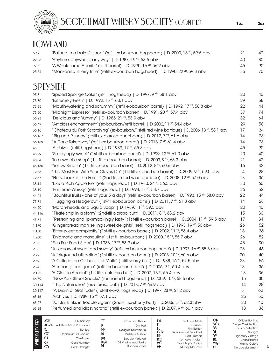

SCOTCH MALT WHISKY SOCIETY (CONT'D) **1oz 2oz**

### LOWLAND

| 5.42  | "Bathed in a baker's shop" (refill ex-bourbon hogshead)   D. 2000, 13 YR, 59.5 abv             | 21 | 42 |
|-------|------------------------------------------------------------------------------------------------|----|----|
| 22.25 | "Anytime, anywhere, any-way"   D. 1987, 19 $\%$ , 53.5 abv                                     | 40 | 80 |
| 97.7  | "A Wholesome Aperitif" (refill barrel)   D. 1990, 16 <sup>YR</sup> , 56.2 abv                  | 45 | 90 |
| 25.64 | "Manzanilla Sherry Trifle" (refill ex-bourbon hogshead)   D. 1990, 22 <sup>VR</sup> , 59.8 abv | 35 | 70 |

### SPEYSIDE

| 95.7   | "Spiced Sponge Cake" (refill hogshead)   D. 1997, 9 YR, 58.1 abv                                            | 20 | 40 |
|--------|-------------------------------------------------------------------------------------------------------------|----|----|
| 73.30  | "Extremely Fresh"   D. 1992, 15 YR, 60.1 abv                                                                | 29 | 58 |
| 73.35  | "Mouth-watering and scrummy" (refill ex-bourbon barrel)   D. 1992, 17 YR, 58.8 abv                          | 22 | 44 |
| 73.50  | "Midnight Espresso" (refill ex-bourbon barrel)   D. 1991, 20 YR, 57.4 abv                                   | 37 | 74 |
| 66.23  | "Delicious and Yummy"   D. 1985, 21 $YR$ , 53.9 abv                                                         | 32 | 64 |
| 66.49  | "Art class enchantment" (ex-bourbon/refill barrel)   D. 2002, 11 YR, 54.4 abv                               | 29 | 58 |
| 66.161 | "Chateau du Pork Scratching" (ex-bourbon/1st-fill red wine barrique)   D. 2006, 13 YP, 58.1 abv             | 17 | 34 |
| 66.167 | "Big and Punchy" (refill ex-oloroso puncheon)   D. 2012, 7 YR, 61.6 abv                                     | 14 | 28 |
| 66.189 | "A Doric Takeaway" (refill ex-bourbon barrel)   D. 2013, 7 YR, 61.4 abv                                     | 14 | 28 |
| 48.8   | Archives (refill hogshead)   D. 1989, 17 YR, 55.8 abv                                                       | 45 | 90 |
| 48.29  | "Satisfyingly sweet" (1st-fill ex-bourbon barrel)   D. 1999, 12 YR, 61.0 abv                                | 20 | 40 |
| 48.34  | "In a sweetie shop" (1st-fill ex-bourbon barrel)   D. 2003, 9 YR, 63.3 abv                                  | 21 | 42 |
| 48.130 | "Yellow Smash" (1st-fill ex-bourbon barrel)   D. 2012, 8 YR, 60.6 abv                                       | 16 | 32 |
| 12.33  | "The Most Fun With Your Cloves On" (1st-fill ex-bourbon barrel)   D. 2009, 9 YR, 59.0 abv                   | 14 | 28 |
| 12.67  | "Horseback in the Forest" (2nd-fill ex-red wine barrique)   D. 2008, 12 YR, 57.0 abv                        | 18 | 36 |
| 38.14  | "Like a Rich Apple Pie" (refill hogshead)   D. 1980, 24 YR, 56.5 abv                                        | 30 | 60 |
| 38.19  | "Fun Time Whisky" (refill hogshead)   D. 1994, 13 YR, 58.7 abv                                              | 26 | 52 |
| 44.41  | "Bountiful fruits - one of your 5 a day!" (refill ex-bourbon barrel)   D. 1993, 15 <sup>vR</sup> , 58.0 abv | 22 | 44 |
| 71.71  | "Hugging a Hedgerow" (1st-fill ex-bourbon barrel)   D. 2011, 7 YR, 61.8 abv                                 | 14 | 28 |
| 44.20  | "Match-heads and Liquid Soap"   D. 1989, 11 YR, 59.5 abv                                                    | 20 | 40 |
| 44.116 | "Pirate ship in a storm" (2nd-fill oloroso butt)   D. 2011, 8 YR, 68.2 abv                                  | 15 | 30 |
| 41.71  | "Refreshing and lip-smackingly tasty" (1st-fill ex-bourbon barrel)   D. 2004, 11 YR, 59.5 abv               | 17 | 34 |
| 1.170  | "Gingerbread man selling sweet delights" (refill hogshead)   D. 1993, 19 YR, 56 abv                         | 26 | 52 |
| 1.180  | "Bitter-sweet complexity" (1st-fill ex-bourbon barrel)   D. 2002, 11 YP, 56.4 abv                           | 18 | 36 |
| 1.200  | "Enigmatic and masculine" (1st fill ex-bourbon)   D. 2000, 15 <sup>YP</sup> , 55.7 abv                      | 26 | 52 |
| 9.35   | "Fun Fair Food Stalls"   D. 1988, 17 YR, 53.9 abv                                                           | 45 | 90 |
| 9.85   | "A seesaw of sweet and savory" (refill ex-bourbon hogshead)   D. 1997, 16 YR, 55.3 abv                      | 23 | 46 |
| 9.99   | "A fairground attraction" (1st-fill ex-bourbon barrel)   D. 2003, 10 YR, 60.6 abv                           | 20 | 40 |
| 2.59   | "A Cello in the Orchestra of Malts" (refill sherry butt)   D. 1988, 16 <sup>YR</sup> , 57.5 abv             | 28 | 56 |
| 2.94   | "A mean green genie" (refill ex-bourbon barrel)   D. 2006, 9 YR, 60.4 abv                                   | 18 | 36 |
| 2.122  | "A Classic Accent" (1st-fill ex-oloroso butt)   D. 2007, 13 YR, 56.4 abv                                    | 18 | 36 |
| 46.89  | "New York Street Snacks" (recharred hogshead)   D. 2009, 10 YR, 58.6 abv                                    | 15 | 30 |
| 30.114 | "The Nutcracker" (ex-oloroso butt)   D. 2013, 7 YR, 66.9 abv                                                | 14 | 28 |
| 30.117 | "A Dram of Gratitude" (1st-fill ex-PX hogshead)   D. 1997, 23 YR, 61.2 abv                                  | 31 | 62 |
| 63.16  | Archives   D. 1989, 15 YR, 57.1 abv                                                                         | 25 | 50 |
| 63.27  | "Jar Jar Binks in trouble again" (2nd-fill ex-sherry butt)   D. 2006, 5 YR, 62.3 abv                        | 20 | 40 |
| 63.38  | "Perfumed and idiosyncratic" (refill ex-bourbon barrel)   D. 2007, 9 <sup>VR</sup> , 60.4 abv               | 18 | 36 |
|        |                                                                                                             |    |    |

| ADP<br>≏<br>$_{\rm CC}$<br><b>CI</b><br><b>CK</b><br>C | A.D. Rattray<br>ACF<br>Additional Cask Enhanced<br><b>Bottled</b><br>Connoisseur's Choice<br>Chieftain's<br>Cask Number<br>Cask Strenath | v.<br>DD<br>DE<br>DM<br>DεM<br>DI | Cask and Thistle<br><b>Distilled</b><br>Douglas Drumlanrig<br>Distiller's Edition<br>Double Matured<br>D&M Wine and Spirits<br>Duncan Taylor | £М<br>GεM<br>HВ<br>КSТ<br>МC<br><b>MM</b> | <b>Exclusive Malts</b><br>Finished<br><b>First Edition</b><br>Gordon and MacPhail<br><b>Hart Brothers</b><br>Kentucky Straight<br>MacKillop's Choice<br>Murray McDavid | ОB<br>SCN<br><b>UCE</b><br><b>WG</b><br><b>Y</b> yp | Official Bottling<br><b>Single Cask Nation</b><br>Scott's Selection<br>Straight<br><b>Signatory Vintage</b><br>Unchillfiltered<br><b>Whisky Galore</b><br>No age statement |
|--------------------------------------------------------|------------------------------------------------------------------------------------------------------------------------------------------|-----------------------------------|----------------------------------------------------------------------------------------------------------------------------------------------|-------------------------------------------|------------------------------------------------------------------------------------------------------------------------------------------------------------------------|-----------------------------------------------------|----------------------------------------------------------------------------------------------------------------------------------------------------------------------------|
|--------------------------------------------------------|------------------------------------------------------------------------------------------------------------------------------------------|-----------------------------------|----------------------------------------------------------------------------------------------------------------------------------------------|-------------------------------------------|------------------------------------------------------------------------------------------------------------------------------------------------------------------------|-----------------------------------------------------|----------------------------------------------------------------------------------------------------------------------------------------------------------------------------|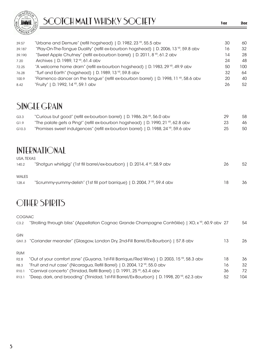

| 39.57  | "Urbane and Demure" (refill hogshead)   D. 1982, 23 YR, 55.5 abv                            | 30 | 60  |
|--------|---------------------------------------------------------------------------------------------|----|-----|
| 39.187 | "Play-On-The-Tongue Duality" (refill ex-bourbon hogshead)   D. 2006, 13 YR, 59.8 abv        | 16 | 32  |
| 39.190 | "Sweet Apple Chutney" (refill ex-bourbon barrel)   D. 2011, 8 YR, 61.2 abv                  | 14 | 28  |
| 7.20   | Archives   D. 1989, 12 YR, 61.4 abv                                                         | 24 | 48  |
| 72.25  | "A welcome home dram" (refill ex-bourbon hogshead)   D. 1983, 29 YR, 49.9 abv               | 50 | 100 |
| 76.28  | "Turf and Earth" (hogshead)   D. 1989, 13 $\%$ , 59.8 abv                                   | 32 | 64  |
| 100.9  | "Flamenco dancer on the tongue" (refill ex-bourbon barrel)   D. 1998, 11 $^{VP}$ , 58.6 abv | 20 | 40  |
| 8.42   | "Fruity"   D. 1992, 14 YR, 59.1 abv                                                         | 26 | 52  |

### SINGLE GRAIN

| G <sub>3.3</sub> | "Curious but good" (refill ex-bourbon barrel)   D. 1986, 26 YR, 56.0 abv                       | 29  | 58 |
|------------------|------------------------------------------------------------------------------------------------|-----|----|
| G1.9             | "The palate gets a Ping!" (refill ex-bourbon hogshead)   D. 1990, 21 $\mathbb{R}$ , 62.8 abv   | -23 | 46 |
| G10.3            | "Promises sweet indulgences" (refill ex-bourbon barrel)   D. 1988, 24 <sup>vp</sup> , 59.6 abv | 25  | 50 |

#### INTERNATIONAL USA, TEXAS

| 00A ILIVO |                                                                            |    |    |
|-----------|----------------------------------------------------------------------------|----|----|
| 140.2     | "Shotgun whirligig" (1st fill barrel/ex-bourbon)   D. 2014, 4 YR, 58.9 abv | 26 | 52 |
| WALES     |                                                                            |    |    |
| 128.4     | "Scrummy-yummy-delish" (1st fill port barrique)   D. 2004, 7 YR, 59.4 abv  | 18 | 36 |

## OTHER SPIRITS

| <b>COGNAC</b><br>C3.2 | "Strolling through bliss" (Appellation Cognac Grande Champagne Contrôlée)   XO, x <sup>YR</sup> , 60.9 abv 27 |    | 54  |
|-----------------------|---------------------------------------------------------------------------------------------------------------|----|-----|
| GIN                   | GN1.3 "Coriander meander" (Glasgow, London Dry, 2nd-Fill Barrel/Ex-Bourbon)   57.8 abv                        | 13 | 26  |
| <b>RUM</b>            |                                                                                                               |    |     |
| R <sub>2.8</sub>      | "Out of your comfort zone" (Guyana, 1st-Fill Barrique/Red Wine)   D. 2003, 15 YR, 58.3 abv                    | 18 | 36  |
| R8.3                  | "Fruit and nut case" (Nicaragua, Refill Barrel)   D. 2004, 12 $\sqrt{R}$ , 55.0 abv                           | 16 | 32  |
| R <sub>10.1</sub>     | "Carnival concerto" (Trinidad, Refill Barrel)   D. 1991, 25 YR, 63.4 abv                                      | 36 | 72  |
| R13.1                 | "Deep, dark, and brooding" (Trinidad, 1st-Fill Barrel/Ex-Bourbon)   D. 1998, 20 <sup>YR</sup> , 62.3 abv      | 52 | 104 |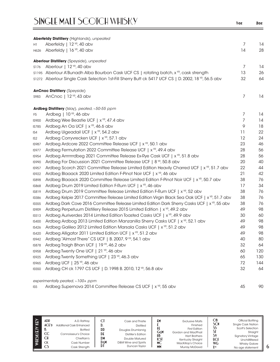|                | Aberfeldy Distillery (Highlands), unpeated                                                                 |    |     |
|----------------|------------------------------------------------------------------------------------------------------------|----|-----|
| H1             | Aberfeldy   12 YR, 40 abv                                                                                  | 7  | 14  |
| H626           | Aberfeldy   16 <sup>YR</sup> , 40 abv                                                                      | 14 | 28  |
|                | <b>Aberlour Distillery</b> (Speyside), unpeated                                                            |    |     |
| S176           | Aberlour   $12$ $\frac{1}{12}$ , 40 abv                                                                    | 7  | 14  |
|                | s1195 Aberlour A'Bunadh Alba Bourbon Cask UCF CS   rotating batch, x <sup>yp</sup> , cask strength         | 13 | 26  |
|                | s1272 Aberlour Single Cask Selection 1st-Fill Sherry Butt ck 5417 UCF CS   D. 2002, 18 YP, 56.5 abv        | 32 | 64  |
|                | <b>AnCnoc Distillery</b> (Speyside)                                                                        |    |     |
| S983           | AnCnoc   12 YR, 43 abv                                                                                     | 7  | 14  |
|                | Ardbeg Distillery (Islay), peated, ~50-55 ppm                                                              |    |     |
| F <sub>5</sub> | Ardbeg $ 10^{y_R}$ , 46 abv                                                                                | 7  | 14  |
| <b>IS900</b>   | Ardbeg Wee Beastie UCF   x <sup>YR</sup> , 47.4 abv                                                        | 7  | 14  |
| IS785          | Ardbeg An Oa UCF   x <sup>YR</sup> , 46.6 abv                                                              | 9  | 18  |
| IS4            | Ardbeg Uigeadail UCF   x <sup>YR</sup> , 54.2 abv                                                          | 11 | 22  |
| IS2            | Ardbeg Corryvrecken UCF   x <sup>YR</sup> , 57.1 abv                                                       | 12 | 24  |
| <b>IS987</b>   | Ardbeg Ardcore 2022 Committee Release UCF   x <sup>YR</sup> , 50.1 abv                                     | 23 | 46  |
| <b>IS977</b>   | Ardbeg Fermutation 2022 Committee Release UCF   x <sup>YR</sup> , 49.4 abv                                 | 28 | 56  |
| <b>IS954</b>   | Ardbeg Arrrrrrrdbeg 2021 Committee Release Ex-Rye Cask UCF   x <sup>vp</sup> , 51.8 abv                    | 28 | 56  |
| <b>IS990</b>   | Ardbeg For Discussion 2021 Committee Release UCF   8 YR, 50.8 abv                                          | 20 | 40  |
| <b>IS957</b>   | Ardbeg Scorch 2021 Committee Release Limited Edition Heavily Charred UCF   x <sup>YR</sup> , 51.7 abv      | 22 | 44  |
| <b>IS922</b>   | Ardbeg Blaaack 2020 Limited Edition F-Pinot Noir UCF   x <sup>YR</sup> , 46 abv                            | 21 | 42  |
| <b>IS898</b>   | Ardbeg Blaaack 2020 Committee Release Limited Edition F-Pinot Noir UCF   x <sup>vR</sup> , 50.7 abv        | 38 | 76  |
| <b>IS868</b>   | Ardbeg Drum 2019 Limited Edition F-Rum UCF   x <sup>YR</sup> , 46 abv                                      | 17 | 34  |
| <b>IS819</b>   | Ardbeg Drum 2019 Committee Release Limited Edition F-Rum UCF   x <sup>YP</sup> , 52 abv                    | 38 | 76  |
| <b>IS586</b>   | Ardbeg Kelpie 2017 Committee Release Limited Edition Virgin Black Sea Oak UCF   x <sup>YP</sup> , 51.7 abv | 38 | 76  |
| <b>IS555</b>   | Ardbeg Dark Cove 2016 Committee Release Limited Edition Dark Sherry Casks UCF   x <sup>vR</sup> , 55 abv   | 38 | 76  |
| <b>IS909</b>   | Ardbeg Perpetuum Distillery Release 2015 Limited Edition   x <sup>yp</sup> , 49.2 abv                      | 49 | 98  |
| IS513          | Ardbeg Auriverdes 2014 Limited Edition Toasted Casks UCF   x <sup>YR</sup> , 49.9 abv                      | 30 | 60  |
| <b>IS400</b>   | Ardbeg Ardbog 2013 Limited Edition Manzanilla Sherry Casks UCF   x <sup>YP</sup> , 52.1 abv                | 49 | 98  |
| <b>IS426</b>   | Ardbeg Galileo 2012 Limited Edition Marsala Casks UCF   x <sup>YR</sup> , 51.2 abv                         | 49 | 98  |
| <b>IS420</b>   | Ardbeg Alligator 2011 Limited Edition UCF   x <sup>yR</sup> , 51.2 abv                                     | 49 | 98  |
| <b>IS942</b>   | Ardbeg "Almost There" CS UCF   B. 2007, 9 YR, 54.1 abv                                                     | 40 | 80  |
| <b>IS878</b>   | Ardbeg Traigh Bhan UCF   19 YR, 46.2 abv                                                                   | 32 | 64  |
| <b>IS958</b>   | Ardbeg Twenty One UCF   21 YR, 46 abv                                                                      | 60 | 120 |
| <b>IS925</b>   | Ardbeg Twenty Something UCF   23 YR, 46.3 abv                                                              | 65 | 130 |
| IS965          | Ardbeg UCF   25 YR, 46 abv                                                                                 | 72 | 144 |
| <b>IS550</b>   | Ardbeg CH ck 1797 CS UCF   D. 1998 B. 2010, 12 YR, 56.8 abv                                                | 32 | 64  |
|                | 700.                                                                                                       |    |     |

*experimentally peated, ~100+ ppm*

IS5 Ardbeg Supernova 2014 Committee Release CS UCF | x<sup>VR</sup>, 55 abv 45 45 90

| KEY<br>WHISK(E)Y | ADP<br>ACFD<br>$_{\rm CC}$<br>СH<br><b>CK</b><br>CS. | A.D. Rattrav<br>Additional Cask Enhanced<br><b>Bottled</b><br>Connoisseur's Choice<br>Chieftain's<br>Cask Number<br>Cask Strength | υ.<br><b>DD</b><br>DE<br>DM<br>DεM | Cask and Thistle<br><b>Distilled</b><br>Douglas Drumlanrig<br>Distiller's Edition<br>Double Matured<br>D&M Wine and Spirits<br>Duncan Taylor | £М<br>ΗŁ<br>GεM<br>HB<br><b>KST</b><br><b>MC</b><br><b>MM</b> | <b>Exclusive Malts</b><br>Finished<br><b>First Edition</b><br>Gordon and MacPhail<br><b>Hart Brothers</b><br>Kentucky Straight<br>MacKillop's Choice<br>Murray McDavid | ОB<br>SCN<br>SS<br>SI<br>S١<br><b>UCE</b><br>WG<br><b>XYR</b> | Official Bottling<br><b>Single Cask Nation</b><br>Scott's Selection<br>Straight<br><b>Signatory Vintage</b><br>Unchillfiltered<br><b>Whisky Galore</b><br>No age statement |
|------------------|------------------------------------------------------|-----------------------------------------------------------------------------------------------------------------------------------|------------------------------------|----------------------------------------------------------------------------------------------------------------------------------------------|---------------------------------------------------------------|------------------------------------------------------------------------------------------------------------------------------------------------------------------------|---------------------------------------------------------------|----------------------------------------------------------------------------------------------------------------------------------------------------------------------------|
|------------------|------------------------------------------------------|-----------------------------------------------------------------------------------------------------------------------------------|------------------------------------|----------------------------------------------------------------------------------------------------------------------------------------------|---------------------------------------------------------------|------------------------------------------------------------------------------------------------------------------------------------------------------------------------|---------------------------------------------------------------|----------------------------------------------------------------------------------------------------------------------------------------------------------------------------|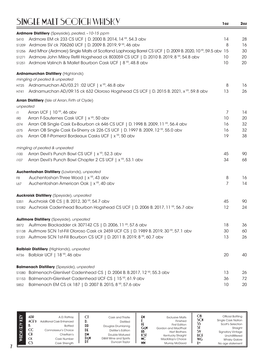|          | Ardmore Distillery (Speyside), peated, ~10-15 ppm                                                          |                |    |
|----------|------------------------------------------------------------------------------------------------------------|----------------|----|
| S410     | Ardmore EM ck 233 CS UCF   D. 2000 B. 2014, 14 YR, 54.3 abv                                                | 14             | 28 |
| S1209    | Ardmore SV ck 706260 UCF   D. 2009 B. 2019, 9 YR, 46 abv                                                   | 8              | 16 |
| S1256    | Aird Mhor (Ardmore) Single Malts of Scotland Laphroaig Barrel CS UCF   D. 2009 B. 2020, 10 YR, 59.5 abv 15 |                | 30 |
|          | \$1271 Ardmore John Milroy Refill Hogshead ck 803059 CS UCF   D. 2010 B. 2019, 8 YP, 54.8 abv              | 10             | 20 |
|          | S1251 Ardmore Valinch & Mallet Bourbon Cask UCF   8 YR, 48.8 abv                                           | 10             | 20 |
|          | <b>Ardnamurchan Distillery (Highlands)</b>                                                                 |                |    |
|          | mingling of peated & unpeated                                                                              |                |    |
|          | H725 Ardnamurchan AD/03.21 :02 UCF   x YR, 46.8 abv                                                        | 8              | 16 |
| H741     | Ardnamurchan AD/09:15 ck 632 Oloroso Hogshead CS UCF   D. 2015 B. 2021, x <sup>VP</sup> , 59.8 abv         | 13             | 26 |
|          | Arran Distillery (Isle of Arran, Firth of Clyde)                                                           |                |    |
| unpeated |                                                                                                            |                |    |
| i1       | Arran UCF   10 YR, 46 abv                                                                                  | 7              | 14 |
| i90      | Arran F-Sauternes Cask UCF   x <sup>YR</sup> , 50 abv                                                      | 10             | 20 |
| i374     | Arran OB Single Cask Ex-Bourbon ck 646 CS UCF   D. 1998 B. 2009, 11 YR, 56.4 abv                           | 16             | 32 |
| i375     | Arran OB Single Cask Ex-Sherry ck 226 CS UCF   D. 1997 B. 2009, 12 YR, 55.0 abv                            | 16             | 32 |
| i376     | Arran OB F-Pomerol Bordeaux Casks UCF   x <sup>YR</sup> , 50 abv                                           | 19             | 38 |
|          | mingling of peated & unpeated                                                                              |                |    |
| i100     | Arran Devil's Punch Bowl CS UCF   x <sup>YR</sup> , 52.3 abv                                               | 45             | 90 |
| i107     | Arran Devil's Punch Bowl Chapter 2 CS UCF   x <sup>YR</sup> , 53.1 abv                                     | 34             | 68 |
|          | Auchentoshan Distillery (Lowlands), unpeated                                                               |                |    |
| F8       | Auchentoshan Three Wood   x <sup>YR</sup> , 43 abv                                                         | 8              | 16 |
| L67      | Auchentoshan American Oak   x <sup>YR</sup> , 40 abv                                                       | $\overline{7}$ | 14 |
|          | <b>Auckroisk Distillery</b> (Speyside), unpeated                                                           |                |    |
| S351     | Auchroisk OB CS   B. 2012, 30 YR, 54.7 abv                                                                 | 45             | 90 |
|          | s1082 Auchroisk Cadenhead Bourbon Hogshead CS UCF   D. 2006 B. 2017, 11 YR, 56.7 abv                       | 12             | 24 |
|          | Aultmore Distillery (Speyside), unpeated                                                                   |                |    |
| S872     | Aultmore Blackadder ck 307142 CS   D. 2006, 11 YR, 57.6 abv                                                | 18             | 36 |
|          | S1138 Aultmore SCN 1st-Fill Oloroso Cask ck 2459 UCF CS   D. 1989 B. 2019, 30 YP, 57.1 abv                 | 30             | 60 |
|          | \$1201 Aultmore SCN 1st-Fill Bourbon CS UCF   D. 2011 B. 2019, 8 YR, 60.7 abv                              | 13             | 26 |
|          | <b>Balblair Distillery</b> (Highlands), unpeated                                                           |                |    |
|          | H736 Balblair UCF   18 YR, 46 abv                                                                          | 20             | 40 |
|          | <b>Balmenach Distillery</b> (Speyside), unpeated                                                           |                |    |
| S1080    | Balmenach-Glenlivet Cadenhead CS   D. 2004 B. B.2017, 12 YR, 55.3 abv                                      | 13             | 26 |
|          | S1153 Balmenach-Glenlivet Cadenhead UCF CS   15 <sup>VR</sup> , 61.9 abv                                   | 36             | 72 |
| S852     | Balmenach EM CS ck 187   D. 2007 B. 2015, 8 YR, 57.6 abv                                                   | 10             | 20 |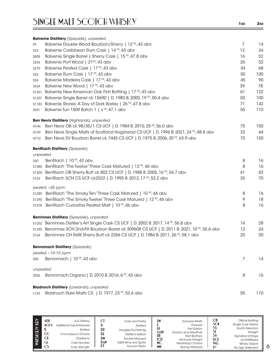|                  | <b>Balvenie Distillery</b> (Speyside), unpeated                                                 |                |     |
|------------------|-------------------------------------------------------------------------------------------------|----------------|-----|
| F9               | Balvenie Double Wood Bourbon/Sherry   12 YR, 43 abv                                             | $\overline{7}$ | 14  |
| S <sub>2</sub> 3 | Balvenie Caribbean Rum Cask   14 YR, 43 abv                                                     | 12             | 24  |
| <b>S808</b>      | Balvenie Single Barrel   Sherry Cask   15 <sup>YP</sup> , 47.8 abv                              | 16             | 32  |
| S254             | Balvenie Port Wood   21 <sup>YR</sup> , 43 abv                                                  | 26             | 52  |
| S279             | Balvenie Peated Cask   17 YR, 43 abv                                                            | 34             | 68  |
| S22              | Balvenie Rum Cask   17 YR, 43 abv                                                               | 50             | 100 |
| S <sub>26</sub>  | Balvenie Madeira Cask   17 YR, 43 abv                                                           | 45             | 90  |
| S424             | Balvenie New Wood   17 YR, 43 abv                                                               | 39             | 78  |
| S1261            | Balvenie New American Oak First Bottling   17 YR, 43 abv                                        | 61             | 122 |
| S1207            | Balvenie Single Barrel ck 15690   D. 1980 B. 2000, 19 YR, 50.4 abv                              | 50             | 100 |
| S1183            | Balvenie Stories: A Day of Dark Barley   26 YR, 47.8 abv                                        | 71             | 142 |
| S591             | Balvenie Tun 1509 Batch 1   $x^{YR}$ , 47.1 abv                                                 | 55             | 110 |
|                  | <b>Ben Nevis Distillery</b> (Highlands), unpeated                                               |                |     |
| H744             | Ben Nevis OB ck 98/35/1 CS UCF   D. 1984 B. 2010, 25 YR, 56.0 abv                               | 75             | 150 |
| H739             | Ben Nevis Single Malts of Scotland Hogshead CS UCF   D. 1996 B. 2021, 24 YR, 48.8 abv           | 32             | 64  |
| H710             | Ben Nevis SV Bourbon Barrel ck 7445 CS UCF   D. 1975 B. 2006, 30 YP, 63.9 abv                   | 75             | 150 |
|                  | <b>BenRiach Distillery (Speyside)</b>                                                           |                |     |
| unpeated         |                                                                                                 |                |     |
| S40              | BenRiach   10 YR, 43 abv                                                                        | 8              | 16  |
| S1288            | BenRiach "The Twelve" Three Cask Matured   12 YR, 46 abv                                        | 8              | 16  |
| S1305            | BenRiach OB Sherry Butt ck 802 CS UCF   D. 1988 B. 2005, 16 YR, 54.7 abv                        | 41             | 82  |
| S153             | BenRiach SCN CS UCF ck2522   D. 1995 B. 2012, 17 YR, 53.2 abv                                   | 35             | 70  |
|                  | peated, ~45 ppm                                                                                 |                |     |
|                  | s1289 BenRiach "The Smoky Ten" Three Cask Matured   10 YR, 46 abv                               | 8              | 16  |
|                  | s1290 BenRiach "The Smoky Twelve" Three Cask Matured   12 YR, 46 abv                            | 9              | 18  |
|                  | s1078 BenRiach Curiositas Peated Malt   10 <sup>YR</sup> , 46 abv                               | 8              | 16  |
|                  | <b>Benrinnes Distillery</b> (Speyside), unpeated                                                |                |     |
|                  | s1202 Benrinnes Distiller's Art Single Cask CS UCF   D. 2002 B. 2017, 14 YR, 56.8 abv           | 14             | 28  |
|                  | s1295 Benrinnes SCN 2nd-Fill Bourbon Barrel ck 309608 CS UCF   D. 2011 B. 2021, 10 YR, 55.6 abv | 12             | 24  |
|                  | s154 Benrinnes CH Refill Sherry Butt ck 2266 CS UCF   D. 1984 B. 2011, 26 YP, 58.1 abv          | 25             | 50  |
|                  | <b>Benromach Distillery (Speyside)</b>                                                          |                |     |
|                  | peated, $~10-15$ ppm                                                                            |                |     |
| <b>S50</b>       | Benromach   10 YR, 43 abv                                                                       | $\overline{7}$ | 14  |
| unpeated         |                                                                                                 |                |     |
| S505             | Benromach Organic   D. 2010 B. 2016, 6 YR, 43 abv                                               | 8              | 16  |
|                  | <b>Bladnoch Distillery</b> (Lowlands), unpeated                                                 |                |     |
| L124             | Bladnoch Rare Malts CS   D. 1977, 23 YR, 53.6 abv                                               | 55             | 110 |

| KEY<br>WIISK(E)Y | ADR<br>ACFD<br>CC | A.D. Rattrav<br><b>Additional Cask Enhanced</b><br><b>Bottled</b><br>Connoisseur's Choice | u<br>DD<br>DE | Cask and Thistle<br><b>Distilled</b><br>Douglas Drumlanrig<br><b>Distiller's Edition</b> | £۲<br>ŦŦ.<br>GεM<br>HB | <b>Exclusive Malts</b><br>Finished<br><b>First Edition</b><br>Gordon and MacPhail<br><b>Hart Brothers</b> | ОB<br><b>SCN</b> | Official Bottling<br><b>Single Cask Nation</b><br>Scott's Selection<br>Straight<br><b>Signatory Vintage</b> |
|------------------|-------------------|-------------------------------------------------------------------------------------------|---------------|------------------------------------------------------------------------------------------|------------------------|-----------------------------------------------------------------------------------------------------------|------------------|-------------------------------------------------------------------------------------------------------------|
|                  | СH                | Chieftain's                                                                               | D M           | Double Matured                                                                           | КSI                    | Kentucky Straight                                                                                         | UCE              | Unchillfiltered                                                                                             |
|                  | <b>CK</b>         | Cask Number                                                                               | DεM           | D&M Wine and Spirits                                                                     | МC                     | MacKillop's Choice                                                                                        | <b>WG</b>        | <b>Whisky Galore</b>                                                                                        |
|                  | CS                | Cask Strength                                                                             | DI            | Duncan Tavlor                                                                            | <b>MM</b>              | <b>Murray McDavid</b>                                                                                     | <b>Y</b> yp      | No age statement                                                                                            |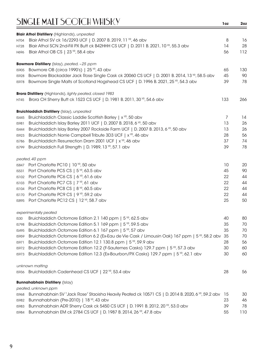|              | <b>Blair Athol Distillery</b> (Highlands), unpeated                                                            |     |     |
|--------------|----------------------------------------------------------------------------------------------------------------|-----|-----|
| H704         | Blair Athol SV ck 16/2293 UCF   D. 2007 B. 2019, 11 YR, 46 abv                                                 | 8   | 16  |
| H728         | Blair Athol SCN 2nd-Fill PX Butt ck B42HHH CS UCF   D. 2011 B. 2021, 10 <sup>VP</sup> , 55.3 abv               | 14  | 28  |
| H696         | Blair Athol OB CS   23 YR, 58.4 abv                                                                            | 56  | 112 |
|              |                                                                                                                |     |     |
|              | <b>Bowmore Distillery</b> (Islay), peated, ~25 ppm                                                             |     |     |
| <b>IS905</b> | Bowmore OB (circa 1990's)   25 YR, 43 abv                                                                      | 65  | 130 |
| <b>IS928</b> | Bowmore Blackadder Jack Rose Single Cask ck 20060 CS UCF   D. 2001 B. 2014, 13 YP, 58.5 abv                    | 45  | 90  |
| <b>IS978</b> | Bowmore Single Malts of Scotland Hogshead CS UCF   D. 1996 B. 2021, 25 YR, 54.3 abv                            | 39  | 78  |
|              | <b>Brora Distillery</b> (Highlands), lighty peated, closed 1983                                                |     |     |
| H745         | Brora CH Sherry Butt ck 1523 CS UCF   D. 1981 B. 2011, 30 YR, 54.6 abv                                         | 133 | 266 |
|              | <b>Bruichladdich Distillery</b> (Islay), unpeated                                                              |     |     |
| <b>IS445</b> | Bruichladdich Classic Laddie Scottish Barley   x <sup>YR</sup> , 50 abv                                        | 7   | 14  |
| IS981        | Bruichladdich Islay Barley 2011 UCF   D. 2007 B. 2018, 6 YR, 50 abv                                            | 13  | 26  |
| <b>IS444</b> | Bruichladdich Islay Barley 2007 Rockside Farm UCF   D. 2007 B. 2013, 6 YP, 50 abv                              | 13  | 26  |
| <b>IS923</b> | Bruichladdich Norrie Campbell Tribute 3D3 UCF   x <sup>YR</sup> , 46 abv                                       | 28  | 56  |
| <b>IS786</b> | Bruichladdich Resurrection Dram 2001 UCF   x <sup>vR</sup> , 46 abv                                            | 37  | 74  |
| <b>IS799</b> | Bruichladdich Full Strength   D. 1989, 13 YR, 57.1 abv                                                         | 39  | 78  |
|              | peated, 40 ppm                                                                                                 |     |     |
|              | IS847 Port Charlotte PC10   10 YR, 50 abv                                                                      | 10  | 20  |
| IS531        | Port Charlotte PC5 CS   5 <sup>YR</sup> , 63.5 abv                                                             | 45  | 90  |
| IS102        | Port Charlotte PC6 CS   6 <sup>YR</sup> , 61.6 abv                                                             | 22  | 44  |
| <b>IS103</b> | Port Charlotte PC7 CS   7 YR, 61 abv                                                                           | 22  | 44  |
| IS104        | Port Charlotte PC8 CS   8 YR, 60.5 abv                                                                         | 22  | 44  |
| IS170        | Port Charlotte PC9 CS   9 <sup>YR</sup> , 59.2 abv                                                             | 22  | 44  |
| <b>IS895</b> | Port Charlotte PC12 CS   12 YR, 58.7 abv                                                                       | 25  | 50  |
|              | experimentally peated                                                                                          |     |     |
| <b>IS30</b>  | Bruichladdich Octomore Edition 2.1 140 ppm   5 <sup>YP</sup> , 62.5 abv                                        | 40  | 80  |
| <b>IS798</b> | Bruichladdich Octomore Edition 5.1 169 ppm   5 <sup>YP</sup> , 59.5 abv                                        | 35  | 70  |
| <b>IS495</b> | Bruichladdich Octomore Edition 6.1 167 ppm   5 <sup>YR</sup> , 57 abv                                          | 35  | 70  |
| <b>IS959</b> | Bruichladdich Octomore Edition 6.2 (Ex-Eau de Vie Cask / Limousin Oak) 167 ppm   5 <sup>yp</sup> , 58.2 abv 35 |     | 70  |
| IS971        | Bruichladdich Octomore Edition 12.1 130.8 ppm   5 <sup>YP</sup> , 59.9 abv                                     | 28  | 56  |
| <b>IS972</b> | Bruichladdich Octomore Edition 12.2 (F-Sauternes Casks) 129.7 ppm   5 <sup>vR</sup> , 57.3 abv                 | 30  | 60  |
| <b>IS973</b> | Bruichladdich Octomore Edition 12.3 (Ex-Bourbon/PX Casks) 129.7 ppm   5 <sup>vR</sup> , 62.1 abv               | 30  | 60  |
|              | unknown malting                                                                                                |     |     |
|              | IS936 Bruichladdich Cadenhead CS UCF   22 YR, 53.4 abv                                                         | 28  | 56  |
|              | <b>Bunnahabhain Distillery (Islay)</b>                                                                         |     |     |
|              | peated, unknown ppm                                                                                            |     |     |
| <b>IS968</b> | Bunnahabhain SV "Jack Rose" Staoisha Heavily Peated ck 10571 CS   D. 2014 B. 2020, 6 YP, 59.2 abv              | -15 | 30  |
| <b>IS982</b> | Bunnahabhain (Pre-2010)   18 YR, 43 abv                                                                        | 23  | 46  |
| <b>IS983</b> | Bunnahabhain ADR Sherry Cask ck 5450 CS UCF   D. 1991 B. 2012, 20 VR, 53.0 abv                                 | 39  | 78  |
| <b>IS984</b> | Bunnahabhain EM ck 2784 CS UCF   D. 1987 B. 2014, 26 YR, 47.8 abv                                              | 55  | 110 |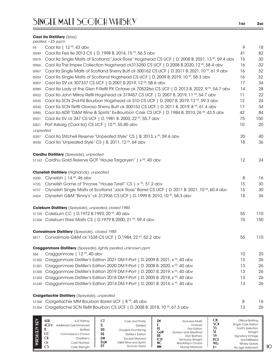#### **Caol Ila Distillery** (Islay)

|                  | peated, ~35 ppm                                                                                               |    |     |
|------------------|---------------------------------------------------------------------------------------------------------------|----|-----|
| F6               | Caol IIa   12 YR, 43 abv                                                                                      | 9  | 18  |
| <b>IS949</b>     | Caol IIa Feis IIe 2013 CS   D. 1998 B. 2014, 15 YR, 56.5 abv                                                  | 41 | 82  |
| <b>IS975</b>     | Caol IIa Single Malts of Scotland "Jack Rose" Hogshead CS UCF   D. 2008 B. 2021, 13 YP, 59.4 abv              | 15 | 30  |
| <b>IS966</b>     | Caol IIa The Impex Collection Hogshead ck313250 CS UCF   D.2008 B.2020, 12 YR, 58.4 abv                       | 16 | 32  |
| <b>IS967</b>     | Caol Ila Single Malts of Scotland Sherry Butt ck 300162 CS UCF   D. 2011 B. 2021, 10 <sup>VP</sup> , 61.9 abv | 16 | 32  |
| <b>IS924</b>     | Caol IIa Single Malts of Scotland Hogshead CS UCF   D. 2009 B. 2019, 10 YR, 58.3 abv                          | 16 | 32  |
| <b>IS907</b>     | Caol IIa SV ck 307337 CS UCF   D.2007 B.2019, 12 YR, 58.6 abv                                                 | 17 | 34  |
| <b>IS989</b>     | Caol IIa Lady of the Glen F-Refill PX Octave ck 705326a CS UCF   D. 2013 B. 2022, 9 YP, 54.7 abv              | 14 | 28  |
| <b>IS932</b>     | Caol IIa John Milroy Refill Hogshead ck 319457 CS UCF   D. 2007 B. 2019, 11 YR, 54.7 abv                      | 11 | 22  |
| <b>IS935</b>     | Caol Ila SCN 2nd-Fill Bourbon Hogshead ck 510 CS UCF   D. 2007 B. 2019, 12 YR, 59.3 abv                       | 12 | 24  |
| <b>IS930</b>     | Caol IIa SCN Refill Oloroso Sherry Butt ck 300153 CS UCF   D. 2011 B. 2019, 8 VR, 61.4 abv                    | 17 | 34  |
| <b>IS985</b>     | Caol Ila ADR "D&M Wine & Spirits" Ex-Bourbon Cask CS UCF   D. 1984 B. 2010, 26 YP, 43.5 abv                   | 42 | 84  |
| <b>IS921</b>     | Caol IIa SV ck 247 CS UCF   D. 1981 B. 2003, 22 YR, 55.7 abv                                                  | 75 | 150 |
| <b>IS821</b>     | Port Askaig (Caol Ila) CS UCF   10 YR, 55.85 abv                                                              | 10 | 20  |
| unpeated         |                                                                                                               |    |     |
| <b>IS397</b>     | Caol IIa Stitchell Reserve "Unpeated Style" CS   B. 2013, x YR, 59.6 abv                                      | 20 | 40  |
| <b>IS920</b>     | Caol IIa "Unpeated Style" CS   B. 2011, 12 YR, 64 abv                                                         | 18 | 36  |
|                  | <b>Cardhu Distillery</b> (Speyside), unpeated                                                                 |    |     |
|                  | \$1163 Cardhu Gold Reserve GOT "House Targaryen"   x YR, 40 abv                                               | 12 | 24  |
|                  | Clynelish Distillery (Highlands), unpeated                                                                    |    |     |
| H <sub>200</sub> | Clynelish   14 YR, 46 abv                                                                                     | 8  | 16  |
| H720             | Clynelish Game of Thrones "House Tyrell" CS   x YR, 51.2 abv                                                  | 15 | 30  |
| H737             | Clynelish Single Malts of Scotland "Jack Rose" Barrel CS UCF   D. 2011 B. 2021, 10 YR, 60.4 abv               | 15 | 30  |
| H424             | Clynelish G&M "Binny's" ck 312936 CS UCF   D. 1999 B. 2010, 10 YR, 58.3 abv                                   | 18 | 36  |
|                  | Coleburn Distillery (Speyside), unpeated, closed 1985                                                         |    |     |
|                  | \$1159 Coleburn CC   D.1972 B.1993, 20 YR, 40 abv                                                             | 55 | 110 |
|                  | \$1206 Coleburn Rare Malts CS   D.1979 B.2000, 21 YR, 59.4 abv                                                | 75 | 150 |
|                  | <b>Convalmore Distillery</b> (Speyside), closed 1985                                                          |    |     |
| S817             | Convalmore G&M ck 1538 CS UCF   D.1984, 22 YR, 52.2 abv                                                       | 55 | 110 |
|                  | <b>Cragganmore Distillery</b> (Speyside), lightly peated, unknown ppm                                         |    |     |
| S66              | Cragganmore   12 YR, 40 abv                                                                                   | 10 | 20  |
| S1302            | Cragganmore Distiller's Edition 2021 DM F-Port   D. 2009 B. 2021, x <sup>vR</sup> , 40 abv                    | 13 | 26  |
| S1301            | Cragganmore Distiller's Edition 2020 DM F-Port   D. 2008 B. 2020, x <sup>yp</sup> , 40 abv                    | 13 | 26  |
| S1300            | Cragganmore Distiller's Edition 2019 DM F-Port   D. 2007 B. 2019, x <sup>vR</sup> , 40 abv                    | 13 | 26  |
| S1203            | Cragganmore Distiller's Edition 2018 DM F-Port   D. 2005 B. 2018, x <sup>vR</sup> , 40 abv                    | 13 | 26  |
| S1249            | Cragganmore Distiller's Edition 2014 DM F-Port   D. 2001 B. 2014, x <sup>vR</sup> , 40 abv                    | 13 | 26  |
|                  | Craigellachie Distillery (Speyside), unpeated                                                                 |    |     |
|                  | \$1268 Craigellachie MM Bourbon Barrel UCF   8 YR, 46 abv                                                     | 8  | 16  |
| S1204            | Craigellachie SCN Refill Bourbon CS UCF   D. 2008 B. 2018, 10 YR, 67.3 abv                                    | 13 | 26  |
|                  |                                                                                                               |    |     |

| $\widehat{\mathbf{\Theta}}$ | ADP<br>ACF<br>D.<br>CC<br>СH<br><b>CK</b><br>CS | A.D. Rattrav<br>Additional Cask Enhanced<br><b>Bottled</b><br>Connoisseur's Choice<br>Chieftain's<br>Cask Number<br>Cask Strength | اما<br>DD<br>DE<br>DM<br>Dem<br>DI | Cask and Thistle<br><b>Distilled</b><br>Douglas Drumlanrig<br>Distiller's Edition<br>Double Matured<br>D&M Wine and Spirits<br>Duncan Taylor | £М<br>GεM<br>HB<br>KST<br>МC<br>MM | <b>Exclusive Malts</b><br>Finished<br><b>First Edition</b><br>Gordon and MacPhail<br><b>Hart Brothers</b><br>Kentucky Straight<br>MacKillop's Choice<br><b>Murray McDavid</b> | ОB<br>SCN<br>S٧<br><b>UCF</b><br><b>WG</b><br><b>Y</b> yp | Official Bottling<br><b>Single Cask Nation</b><br>Scott's Selection<br>Straight<br><b>Signatory Vintage</b><br>Unchillfiltered<br><b>Whisky Galore</b><br>No age statement |
|-----------------------------|-------------------------------------------------|-----------------------------------------------------------------------------------------------------------------------------------|------------------------------------|----------------------------------------------------------------------------------------------------------------------------------------------|------------------------------------|-------------------------------------------------------------------------------------------------------------------------------------------------------------------------------|-----------------------------------------------------------|----------------------------------------------------------------------------------------------------------------------------------------------------------------------------|
|-----------------------------|-------------------------------------------------|-----------------------------------------------------------------------------------------------------------------------------------|------------------------------------|----------------------------------------------------------------------------------------------------------------------------------------------|------------------------------------|-------------------------------------------------------------------------------------------------------------------------------------------------------------------------------|-----------------------------------------------------------|----------------------------------------------------------------------------------------------------------------------------------------------------------------------------|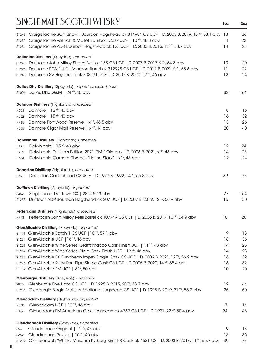|                  | s1246 Craigellachie SCN 2nd-Fill Bourbon Hogshead ck 314984 CS UCF   D. 2005 B. 2019, 13 °F, 58.1 abv 13                                                             |          | 26       |
|------------------|----------------------------------------------------------------------------------------------------------------------------------------------------------------------|----------|----------|
| S1252            | Craigellachie Valinch & Mallet Bourbon Cask UCF   10 YR, 48.8 abv                                                                                                    | 11       | 22       |
| S1254            | Craigellachie ADR Bourbon Hogshead ck 125 UCF   D. 2003 B. 2016, 12 YR, 58.7 abv                                                                                     | 14       | 28       |
|                  | Dailuaine Distillery (Speyside), unpeated                                                                                                                            |          |          |
|                  | s1243 Dailuaine John Milroy Sherry Butt ck 158 CS UCF   D. 2007 B. 2017, 9 VR, 54.3 abv                                                                              | 10       | 20       |
| S1296            | Dailuaine SCN 1st-Fill Bourbon Barrel ck 312978 CS UCF   D. 2012 B. 2021, 9 YR, 55.6 abv                                                                             | 11       | 22       |
|                  | s1240 Dailuaine SV Hogshead ck 303291 UCF   D. 2007 B. 2020, 12 YR, 46 abv                                                                                           | 12       | 24       |
|                  | Dallas Dhu Distillery (Speyside), unpeated, closed 1983                                                                                                              |          |          |
|                  | \$1096 Dallas Dhu G&M   24 YR, 40 abv                                                                                                                                | 82       | 164      |
|                  | Dalmore Distillery (Highlands), unpeated                                                                                                                             |          |          |
| H203             | Dalmore   12 <sup>YR</sup> , 40 abv                                                                                                                                  | 8        | 16       |
| H202             | Dalmore   15 YR, 40 abv                                                                                                                                              | 16       | 32       |
| H735             | Dalmore Port Wood Reserve   x <sup>YR</sup> , 46.5 abv                                                                                                               | 13       | 26       |
| H <sub>205</sub> | Dalmore Cigar Malt Reserve   x <sup>YR</sup> , 44 abv                                                                                                                | 20       | 40       |
|                  | Dalwhinnie Distillery (Highlands), unpeated                                                                                                                          |          |          |
| H191             | Dalwhinnie   15 <sup>YR</sup> , 43 abv                                                                                                                               | 12       | 24       |
| H712             | Dalwhinnie Distiller's Edition 2021 DM F-Oloroso   D. 2006 B. 2021, x <sup>vR</sup> , 43 abv                                                                         | 14       | 28       |
| H684             | Dalwhinnie Game of Thrones "House Stark"   x <sup>YR</sup> , 43 abv                                                                                                  | 12       | 24       |
|                  | Deanston Distillery (Highlands), unpeated                                                                                                                            |          |          |
| H691             | Deanston Cadenhead CS UCF   D. 1977 B. 1992, 14 YR, 55.8 abv                                                                                                         | 39       | 78       |
|                  | <b>Dufftown Distillery</b> (Speyside), unpeated                                                                                                                      |          |          |
| S462             | Singleton of Dufftown CS   28 YR, 52.3 abv                                                                                                                           | 77       | 154      |
| S1255            | Dufftown ADR Bourbon Hogshead ck 207 UCF   D. 2007 B. 2019, 12 YR, 56.9 abv                                                                                          | 15       | 30       |
|                  | Fettercairn Distillery (Highlands), unpeated                                                                                                                         |          |          |
| H713             | Fettercairn John Milroy Refill Barrel ck 107749 CS UCF   D. 2006 B. 2017, 10 YR, 54.9 abv                                                                            | 10       | 20       |
|                  | GlenAllachie Distillery (Speyside), unpeated                                                                                                                         |          |          |
|                  | S1171 GlenAllachie Batch 1 CS UCF   10 YR, 57.1 abv                                                                                                                  | 9        | 18       |
|                  | \$1284 GlenAllachie UCF   18 YR, 46 abv                                                                                                                              | 18       | 36       |
|                  | S1281 GlenAllachie Wine Series: Grattamacco Cask Finish UCF   11 YR, 48 abv                                                                                          | 14       | 28       |
|                  | S1282 GlenAllachie Wine Series: Rioja Cask Finish UCF   13 YR, 48 abv<br>\$1285 GlenAllachie PX Puncheon Impex Single Cask CS UCF   D. 2009 B. 2021, 12 YR, 56.9 abv | 14<br>16 | 28<br>32 |
|                  | s1276 GlenAllachie Ruby Port Pipe Single Cask CS UCF   D. 2006 B. 2020, 14 YR, 55.4 abv                                                                              | 16       | 32       |
|                  | S1189 GlenAllachie EM UCF   8 YR, 50 abv                                                                                                                             | 10       | 20       |
|                  | Glenburgie Distillery (Speyside), unpeated                                                                                                                           |          |          |
| S976             | Glenburgie Five Lions CS UCF   D. 1995 B. 2015, 20 YR, 53.7 abv                                                                                                      | 22       | 44       |
|                  | \$1234 Glenburgie Single Malts of Scotland Hogshead CS UCF   D. 1998 B. 2019, 21 YP, 55.2 abv                                                                        | 25       | 50       |
|                  | Glencadam Distillery (Highlands), unpeated                                                                                                                           |          |          |
| H500             | Glencadam UCF   10 YR, 46 abv                                                                                                                                        | 7        | 14       |
| H126             | Glencadam EM American Oak Hogshead ck 4769 CS UCF   D. 1991, 22 <sup>VR</sup> , 50.4 abv                                                                             | 24       | 48       |
|                  | Glendronach Distillery (Speyside), unpeated                                                                                                                          |          |          |
| S93              | Glendronach Original   12 YR, 43 abv                                                                                                                                 | 9        | 18       |
| S352             | Glendronach Revival   15 <sup>YR</sup> , 46 abv                                                                                                                      | 18       | 36       |
|                  | S1219 Glendronach "Whisky-Museum Kyrburg Kirn" PX Cask ck 4631 CS   D. 2003 B. 2014, 11 YR, 55.7 abv                                                                 | 39       | 78       |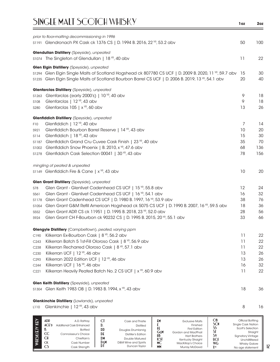|                  | prior to floor-malting decommissioning in 1996<br>s1191 Glendronach PX Cask ck 1376 CS   D. 1994 B. 2016, 22 YR, 53.2 abv | 50 | 100 |
|------------------|---------------------------------------------------------------------------------------------------------------------------|----|-----|
|                  | Glendullan Distillery (Speyside), unpeated                                                                                |    |     |
|                  | s1074 The Singleton of Glendullan   18 YR, 40 abv                                                                         | 11 | 22  |
|                  | Glen Elgin Distillery (Speyside), unpeated                                                                                |    |     |
|                  | \$1294 Glen Elgin Single Malts of Scotland Hogshead ck 807780 CS UCF   D. 2009 B. 2020, 11 YR, 59.7 abv                   | 15 | 30  |
|                  | \$1235 Glen Elgin Single Malts of Scotland Bourbon Barrel CS UCF   D. 2006 B. 2019, 13 YP, 54.1 abv                       | 20 | 40  |
|                  | Glenfarclas Distillery (Speyside), unpeated                                                                               |    |     |
| S1263            | Glenfarclas (early 2000's)   10 YR, 40 abv                                                                                | 9  | 18  |
| S108             | Glenfarclas   12 <sup>YR</sup> , 43 abv                                                                                   | 9  | 18  |
| <b>S280</b>      | Glenfarclas $105 \mid x^{\gamma R}$ , 60 abv                                                                              | 13 | 26  |
|                  | Glenfiddich Distillery (Speyside), unpeated                                                                               |    |     |
| F <sub>10</sub>  | Glenfiddich   12 YR, 40 abv                                                                                               | 7  | 14  |
| S921             | Glenfiddich Bourbon Barrel Reserve   14 YR, 43 abv                                                                        | 10 | 20  |
| S114             | Glenfiddich   18 YR, 43 abv                                                                                               | 15 | 30  |
| S1187            | Glenfiddich Grand Cru Cuvee Cask Finish   23 YR, 40 abv                                                                   | 35 | 70  |
| S1002            | Glenfiddich Snow Phoenix   B. 2010, x <sup>YR</sup> , 47.6 abv                                                            | 68 | 136 |
| S1278            | Glenfiddich Cask Selection 00041   30 YR, 43 abv                                                                          | 78 | 156 |
|                  | mingling of peated & unpeated                                                                                             |    |     |
|                  | \$1149 Glenfiddich Fire & Cane   x <sup>YR</sup> , 43 abv                                                                 | 10 | 20  |
|                  | Glen Grant Distillery (Speyside), unpeated                                                                                |    |     |
| <b>S78</b>       | Glen Grant - Glenlivet Cadenhead CS UCF   15 <sup>VP</sup> , 55.8 abv                                                     | 12 | 24  |
| S561             | Glen Grant - Glenlivet Cadenhead CS UCF   16 <sup>YR</sup> , 54.1 abv                                                     | 16 | 32  |
| S1178            | Glen Grant Cadenhead CS UCF   D. 1980 B. 1997, 16 YR, 53.9 abv                                                            | 38 | 76  |
| S1054            | Glen Grant G&M Refill American Hogshead ck 5075 CS UCF   D. 1990 B. 2007, 16 YP, 59.5 abv                                 | 18 | 36  |
| S552             | Glen Grant ADR CS ck 11951   D. 1995 B. 2018, 23 YR, 52.0 abv                                                             | 28 | 56  |
| S924             | Glen Grant CH F-Bourbon ck 90232 CS   D. 1995 B. 2015, 20 YR, 55.1 abv                                                    | 33 | 66  |
|                  | Glengyle Distillery (Campbeltown), peated, varying ppm                                                                    |    |     |
|                  | C190 Kilkerran Ex-Bourbon Cask   8 YR, 56.2 abv                                                                           | 11 | 22  |
| C <sub>243</sub> | Kilkerran Batch 5 1st-Fill Oloroso Cask   8 YR, 56.9 abv                                                                  | 11 | 22  |
| C238             | Kilkerran Recharred Oloroso Cask   8 YR, 57.1 abv                                                                         | 11 | 22  |
| C230             | Kilkerran UCF   12 YR, 46 abv                                                                                             | 13 | 26  |
| C <sub>293</sub> | Kilkerran 2022 Edition UCF   12 YR, 46 abv                                                                                | 13 | 26  |
| C <sub>244</sub> | Kilkerran UCF   16 <sup>YR</sup> , 46 abv                                                                                 | 16 | 32  |
| C221             | Kilkerran Heavily Peated Batch No. 2 CS UCF   x <sup>YR</sup> , 60.9 abv                                                  | 11 | 22  |
|                  | Glen Keith Distillery (Speyside), unpeated                                                                                |    |     |
|                  | \$1304 Glen Keith 1983 OB   D. 1983 B. 1994, x <sup>YR</sup> , 43 abv                                                     | 18 | 36  |
|                  | Glenkinchie Distillery (Lowlands), unpeated                                                                               |    |     |
| L110             | Glenkinchie   12 YR, 43 abv                                                                                               | 8  | 16  |

| $\widetilde{H}$ | ADR<br>ACF<br>CC<br>СH<br><b>CK</b> | A.D. Rattrav<br>Additional Cask Enhanced<br><b>Bottled</b><br>Connoisseur's Choice<br>Chieftain's<br>Cask Number | ے<br>$\mathbb{D} \mathbb{D}$<br>DE<br>D M<br>DεM<br>DI | Cask and Thistle<br><b>Distilled</b><br>Douglas Drumlanrig<br>Distiller's Edition<br>Double Matured<br>D&M Wine and Spirits<br>Duncan Taylor | ЕM<br>GεM<br>HB<br>КSТ<br><b>MC</b> | <b>Exclusive Malts</b><br>Finished<br><b>First Edition</b><br>Gordon and MacPhail<br><b>Hart Brothers</b><br>Kentucky Straight<br>MacKillop's Choice | ОB<br>SCN<br>S۱<br><b>UCF</b><br><b>WG</b> | Official Bottling<br>Single Cask Nation<br>Scott's Selection<br>Straight<br><b>Signatory Vintage</b><br>Unchillfiltered<br><b>Whisky Galore</b> |
|-----------------|-------------------------------------|------------------------------------------------------------------------------------------------------------------|--------------------------------------------------------|----------------------------------------------------------------------------------------------------------------------------------------------|-------------------------------------|------------------------------------------------------------------------------------------------------------------------------------------------------|--------------------------------------------|-------------------------------------------------------------------------------------------------------------------------------------------------|
|                 | CS                                  | Cask Strength                                                                                                    |                                                        |                                                                                                                                              | <b>MM</b>                           | <b>Murray McDavid</b>                                                                                                                                | <b>YYR</b>                                 | No age statement                                                                                                                                |

a.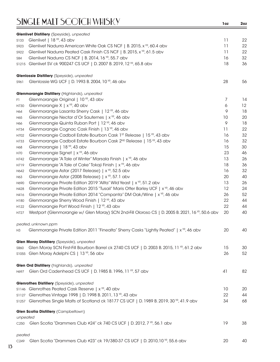|                  | Glenlivet Distillery (Speyside), unpeated                                                                    |    |    |
|------------------|--------------------------------------------------------------------------------------------------------------|----|----|
| S133             | Glenlivet   18 YR, 43 abv                                                                                    | 11 | 22 |
| S923             | Glenlivet Nadurra American White Oak CS NCF   B. 2015, x <sup>YR</sup> , 60.4 abv                            | 11 | 22 |
| S922             | Glenlivet Nadurra Peated Cask Finish CS NCF   B. 2015, x <sup>VR</sup> , 61.5 abv                            | 11 | 22 |
| S84              | Glenlivet Nadurra CS NCF   B. 2014, 16 <sup>YR</sup> , 55.7 abv                                              | 16 | 32 |
|                  | \$1215 Glenlivet SV ck 900247 CS UCF   D. 2007 B. 2019, 12 YR, 65.8 abv                                      | 18 | 36 |
|                  | Glenlossie Distillery (Speyside), unpeated                                                                   |    |    |
| S961             | Glenlossie WG UCF   D. 1993 B. 2004, 10 YR, 46 abv                                                           | 28 | 56 |
|                  | Glenmorangie Distillery (Highlands), unpeated                                                                |    |    |
| F1.              | Glenmorangie Original   10 <sup>YR</sup> , 43 abv                                                            | 7  | 14 |
| H730             | Glenmorangie X   x YR, 40 abv                                                                                | 6  | 12 |
| H64              | Glenmorangie Lasanta Sherry Cask   12 YR, 46 abv                                                             | 9  | 18 |
| H65              | Glenmorangie Nectar d'Or Sauternes   x <sup>YR</sup> , 46 abv                                                | 10 | 20 |
| H66              | Glenmorangie Quinta Ruban Port   12 YR, 46 abv                                                               | 9  | 18 |
| H734             | Glenmorangie Cognac Cask Finish   13 YP, 46 abv                                                              | 11 | 22 |
| H702             | Glenmorangie Cadboll Estate Bourbon Cask 1 <sup>st</sup> Release   15 <sup>YR</sup> , 43 abv                 | 16 | 32 |
| H733             | Glenmorangie Cadboll Estate Bourbon Cask 2 <sup>ND</sup> Release   15 <sup>YR</sup> , 43 abv                 | 16 | 32 |
| H68              | Glenmorangie   18 YR, 43 abv                                                                                 | 15 | 30 |
| H70              | Glenmorangie Signet   x YR, 46 abv                                                                           | 23 | 46 |
| H742             | Glenmorangie "A Tale of Winter" Marsala Finish   x <sup>YR</sup> , 46 abv                                    | 13 | 26 |
| H719             | Glenmorangie "A Tale of Cake" Tokaji Finish   x YR, 46 abv                                                   | 18 | 36 |
| H642             | Glenmorangie Astar (2017 Release)   x <sup>yp</sup> , 52.5 abv                                               | 16 | 32 |
| H63              | Glenmorangie Astar (2008 Release)   x <sup>vR</sup> , 57.1 abv                                               | 20 | 40 |
| H690             | Glenmorangie Private Edition 2019 "Allta" Wild Yeast   x YR, 51.2 abv                                        | 13 | 26 |
| H428             | Glenmorangie Private Edition 2015 "Tusail" Maris Otter Barley UCF   x <sup>YR</sup> , 46 abv                 | 12 | 24 |
| H416             | Glenmorangie Private Edition 2014 "Companta" DM Oak/Wine   x <sup>1R</sup> , 46 abv                          | 26 | 52 |
| H180             | Glenmorangie Sherry Wood Finish   12 YR, 43 abv                                                              | 22 | 44 |
| H122             | Glenmorangie Port Wood Finish   12 YR, 43 abv                                                                | 22 | 44 |
| H727             | Westport (Glenmorangie w/ Glen Moray) SCN 2nd-Fill Oloroso CS   D. 2005 B. 2021, 16 <sup>VP</sup> , 50.6 abv | 20 | 40 |
|                  | peated, unknown ppm                                                                                          |    |    |
| H3               | Glenmorangie Private Edition 2011 "Finealta" Sherry Casks "Lightly Peated"   x <sup>YR</sup> , 46 abv        | 20 | 40 |
|                  | Glen Moray Distillery (Speyside), unpeated                                                                   |    |    |
| <b>S860</b>      | Glen Moray SCN First-Fill Bourbon Barrel ck 2740 CS UCF   D. 2003 B. 2015, 11 \ref>, 61.2 abv                | 15 | 30 |
|                  | s1055 Glen Moray Adelphi CS   13 YR, 56 abv                                                                  | 26 | 52 |
|                  | Glen Ord Distillery (highlands), unpeated                                                                    |    |    |
| H697             | Glen Ord Cadenhead CS UCF   D. 1985 B. 1996, 11 YR, 57 abv                                                   | 41 | 82 |
|                  | Glenrothes Distillery (Speyside), unpeated                                                                   |    |    |
|                  | s1146 Glenrothes Peated Cask Reserve   x <sup>YR</sup> , 40 abv                                              | 10 | 20 |
|                  | s1127 Glenrothes Vintage 1998   D. 1998 B. 2011, 13 YR, 43 abv                                               | 22 | 44 |
|                  | \$1257 Glenrothes Single Malts of Scotland ck 18177 CS UCF   D. 1989 B. 2019, 30 YR, 41.9 abv                | 34 | 68 |
|                  | Glen Scotia Distillery (Campbeltown)                                                                         |    |    |
| unpeated         |                                                                                                              |    |    |
| C <sub>250</sub> | Glen Scotia "Drammers Club #24" ck 740 CS UCF   D. 2012, 7 YR, 56.1 abv                                      | 19 | 38 |
| peated           |                                                                                                              |    |    |
| C249             | Glen Scotia "Drammers Club #23" ck 19/380-37 CS UCF   D. 2010,10 YR, 55.6 abv                                | 20 | 40 |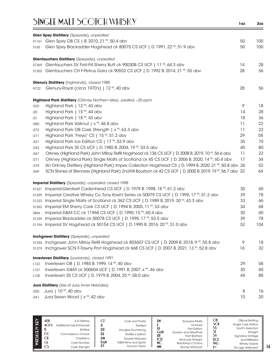|             | Glen Spey Distillery (Speyside), unpeated                                                                              |    |     |
|-------------|------------------------------------------------------------------------------------------------------------------------|----|-----|
| S1161       | Glen Spey OB CS   B. 2010, 21 YR, 50.4 abv                                                                             | 50 | 100 |
| S165        | Glen Spey Blackadder Hogshead ck 80075 CS UCF   D. 1991, 22 YR, 51.9 abv                                               | 50 | 100 |
|             | Glentauchers Distillery (Speyside), unpeated                                                                           |    |     |
|             | s1269 Glentauchers SV First-Fill Sherry Butt ck 900308 CS UCF   11 YP, 64.3 abv                                        | 14 | 28  |
|             | S1303 Glentauchers CH F-Petrus Gaia ck 90552 CS UCF   D. 1992 B. 2014, 21 YR, 55 abv                                   | 28 | 56  |
|             | Glenury Distillery (highlands), closed 1985                                                                            |    |     |
| H722        | Glenury-Royal (circa 1970's)   12 YR, 40 abv                                                                           | 28 | 56  |
|             | Highland Park Distillery (Orkney, Northern Isles), peated, ~20 ppm                                                     |    |     |
| i325        | Highland Park   12 YR, 43 abv                                                                                          | 9  | 18  |
| i20         | Highland Park   15 YR, 44 abv                                                                                          | 14 | 28  |
| i21         | Highland Park   18 YR, 43 abv                                                                                          | 18 | 36  |
| i380        | Highland Park Valknut   x <sup>YR</sup> , 46.8 abv                                                                     | 11 | 22  |
| i372        | Highland Park OB Cask Strength   x <sup>YR</sup> , 63.3 abv                                                            | 11 | 22  |
| i211        | Highland Park "Freya" CS   15 YR, 51.2 abv                                                                             | 29 | 58  |
| i321        | Highland Park Ice Edition CS   17 YR, 53.9 abv                                                                         | 35 | 70  |
| i333        | Highland Park SS CS UCF   D. 1985 B. 2004, 19 YR, 53.5 abv                                                             | 40 | 80  |
| i367        | Orkney (Highland Park) John Milroy Refill Hogshead ck 136 CS UCF   D. 2008 B. 2019, 10 <sup>vR</sup> , 56.6 abv        | 11 | 22  |
| i371        | Orkney (Highland Park) Single Malts of Scotland ck 45 CS UCF   D. 2006 B. 2020, 14 YR, 60.4 abv                        | 17 | 34  |
| i378        | An Orkney Distillery (Highland Park) Impex Collection Hogshead CS   D. 1999 B. 2020, 21 YR, 50.8 abv 26                |    | 52  |
| i369        | SCN Stones of Stenness (Highland Park) 2nd-Fill Bourbon ck 42 CS UCF   D. 2000 B. 2019, 19 <sup>VR</sup> , 56.7 abv 32 |    | 64  |
|             | <b>Imperial Distillery</b> (Speyside), unpeated, closed 1998                                                           |    |     |
| S1221       | Imperial-Glenlivet Cadenhead CS UCF   D. 1979 B. 1998, 18 YR, 61.2 abv                                                 | 30 | 60  |
| S1299       | Imperial Creative Whisky Co. Tony Koehl Series ck 50079 CS UCF   D. 1995, 17 YR, 51.2 abv                              | 39 | 78  |
| S1223       | Imperial Single Malts of Scotland ck 362 CS UCF   D. 1989 B. 2019, 30 YR, 43.3 abv                                     | 33 | 66  |
| S1262       | Imperial EM Sherry Cask CS UCF   D. 1994 B. 2005, 11 YR, 53 abv                                                        | 34 | 68  |
| <b>S866</b> | Imperial D&M CC ck 11968 CS UCF   D. 1990, 15 YR, 60.4 abv                                                             | 30 | 60  |
| S1239       | Imperial Blackadder ck 50078 CS UCF   D. 1995, 17 YP, 53.5 abv                                                         | 39 | 78  |
| S1194       | Imperial SV Hogshead ck 50154 CS UCF   D. 1995 B. 2016, 20 YR, 51.0 abv                                                | 52 | 104 |
|             | <b>Inchgower Distillery</b> (Speyside), unpeated                                                                       |    |     |
|             | s1245 Inchgower John Milroy Refill Hogshead ck 803607 CS UCF   D. 2009 B. 2018, 9 VR, 55.8 abv                         | 9  | 18  |
| S1279       | Inchgower SCN F-Tawny Port Hogshead ck 668 CS UCF   D. 2007 B. 2021, 13 YP, 52.8 abv                                   | 16 | 32  |
|             | <b>Inverleven Distillery</b> (Lowlands), closed 1991                                                                   |    |     |
| L122        | Inverleven OB   D. 1985 B. 1999, 14 YR, 40 abv                                                                         | 29 | 58  |
| L107        | Inverleven G&M ck 500604 UCF   D. 1991 B. 2007, x YR, 46 abv                                                           | 30 | 60  |
| L128        | Inverleven SS CS UCF   D. 1979 B. 2004, 25 YR, 58.0 abv                                                                | 44 | 88  |
|             | Jura Distillery (Isle of Jura, Inner Hebrides)                                                                         |    |     |
| i200        | Jura   10 YR, 40 abv                                                                                                   | 8  | 16  |
| i341        | Jura Seven Wood   x <sup>YR</sup> , 42 abv                                                                             | 10 | 20  |

| KEY<br>WIISK(E)Y | ADR<br>ACFD<br>CC<br>СH<br><b>CK</b> | A.D. Rattray<br><b>Additional Cask Enhanced</b><br><b>Bottled</b><br>Connoisseur's Choice<br>Chieftain's<br>Cask Number | u<br><b>DD</b><br>DE<br>DM<br>DεM | Cask and Thistle<br><b>Distilled</b><br>Douglas Drumlanrig<br><b>Distiller's Edition</b><br>Double Matured<br>D&M Wine and Spirits | £۲<br>GεM<br>HB<br>KSI<br>МC | <b>Exclusive Malts</b><br>Finished<br><b>First Edition</b><br>Gordon and MacPhail<br><b>Hart Brothers</b><br>Kentucky Straight<br>MacKillop's Choice | ОB<br>SCN<br>UCE<br>WG | Official Bottling<br><b>Single Cask Nation</b><br>Scott's Selection<br>Straight<br><b>Signatory Vintage</b><br>Unchillfiltered<br><b>Whisky Galore</b> |
|------------------|--------------------------------------|-------------------------------------------------------------------------------------------------------------------------|-----------------------------------|------------------------------------------------------------------------------------------------------------------------------------|------------------------------|------------------------------------------------------------------------------------------------------------------------------------------------------|------------------------|--------------------------------------------------------------------------------------------------------------------------------------------------------|
|                  | CS                                   | Cask Strength                                                                                                           | DI                                | Duncan Tavlor                                                                                                                      | <b>MM</b>                    | <b>Murray McDavid</b>                                                                                                                                | <b>Y</b> yp            | No age statement                                                                                                                                       |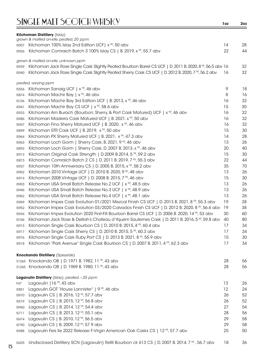|              | <b>Kilchoman Distillery (Islay)</b><br>grown & malted on-site, peated, 20 ppm                              |    |    |
|--------------|------------------------------------------------------------------------------------------------------------|----|----|
| <b>IS507</b> | Kilchoman 100% Islay 2nd Edition UCF   x <sup>YR</sup> , 50 abv                                            | 14 | 28 |
| <b>IS926</b> | Kilchoman Comraich Batch 3 100% Islay CS   B. 2019, x <sup>vR</sup> , 55.7 abv                             | 22 | 44 |
|              | grown & malted on-site, unknown ppm                                                                        |    |    |
| <b>IS939</b> | Kilchoman Jack Rose Single Cask Slightly Peated Bourbon Barrel CS UCF   D. 2011 B. 2020, 8 YP, 56.5 abv 16 |    | 32 |
| <b>IS940</b> | Kilchoman Jack Rose Single Cask Slightly Peated Sherry Cask CS UCF   D. 2012 B. 2020, 7 YR, 56.2 abv       | 16 | 32 |
|              | peated, varying ppm                                                                                        |    |    |
| <b>IS556</b> | Kilchoman Sanaig UCF   x <sup>YR</sup> , 46 abv                                                            | 9  | 18 |
| <b>IS874</b> | Kilchoman Machir Bay   x <sup>YR</sup> , 46 abv                                                            | 8  | 16 |
| <b>IS106</b> | Kilchoman Machir Bay 3rd Edition UCF   B. 2013, x <sup>YR</sup> , 46 abv                                   | 16 | 32 |
| IS941        | Kilchoman Machir Bay CS UCF   x <sup>YR</sup> , 58.6 abv                                                   | 15 | 30 |
| <b>IS933</b> | Kilchoman Am Burach (Bourbon, Sherry, & Port Cask Matured) UCF   x <sup>YR</sup> , 46 abv                  | 16 | 32 |
| IS986        | Kilchoman Madeira Cask Matured UCF   B. 2021, x <sup>YR</sup> , 50 abv                                     | 16 | 32 |
| <b>IS947</b> | Kilchoman Fino Sherry Matured UCF   B. 2020, x <sup>YR</sup> , 46 abv                                      | 16 | 32 |
| <b>IS899</b> | Kilchoman STR Cask UCF   B. 2019, x <sup>YR</sup> , 50 abv                                                 | 15 | 30 |
| IS964        | Kilchoman PX Sherry Matured UCF   B. 2021, x <sup>yR</sup> , 47.3 abv                                      | 14 | 28 |
| <b>IS963</b> | Kilchoman Loch Gorm   Sherry Cask, B. 2021, 9 YR, 46 abv                                                   | 13 | 26 |
| <b>IS892</b> | Kilchoman Loch Gorm   Sherry Cask, D. 2007 B. 2013, x <sup>vR</sup> , 46 abv                               | 20 | 40 |
| <b>IS913</b> | Kilchoman Original Cask Strength   D.2009 B.2014, 5 YR, 59.2 abv                                           | 15 | 30 |
| IS873        | Kilchoman Comraich Batch 2 CS   D. 2011 B. 2019, 7 YR, 55.3 abv                                            | 22 | 44 |
| IS927        | Kilchoman 10th Anniversary CS   D. 2005 B. 2015, x <sup>YR</sup> , 58.2 abv                                | 35 | 70 |
| <b>IS902</b> | Kilchoman 2010 Vintage UCF   D. 2010 B. 2020, 9 YR, 48 abv                                                 | 13 | 26 |
| IS914        | Kilchoman 2008 Vintage UCF   D. 2008 B. 2015, 7 YR, 46 abv                                                 | 15 | 30 |
| <b>IS903</b> | Kilchoman USA Small Batch Release No.2 UCF   x <sup>YR</sup> , 48.5 abv                                    | 13 | 26 |
| <b>IS946</b> | Kilchoman USA Small Batch Release No.3 UCF   x <sup>YR</sup> , 48.9 abv                                    | 13 | 26 |
| <b>IS962</b> | Kilchoman USA Small Batch Release No.4 UCF   x <sup>YR</sup> , 48.1 abv                                    | 13 | 26 |
| <b>IS969</b> | Kilchoman Impex Cask Evolution 01/2021 Mezcal Finish CS UCF   D. 2013 B. 2021, 8 VP, 55.3 abv              | 19 | 38 |
| <b>IS952</b> | Kilchoman Impex Cask Evolution 03/2020 Calvados Finish CS UCF   D. 2012 B. 2020, 8 YP, 56.6 abv            | 19 | 38 |
| <b>IS934</b> | Kilchoman Impex Evolution 2020 First-Fill Bourbon Barrel CS UCF   D. 2006 B. 2020, 14 YR, 53 abv           | 30 | 60 |
| <b>IS766</b> | Kilchoman Jack Rose & Delilah's Chateau d'Yquem Sauternes Cask   D. 2011 B. 2016, 5 YP, 59.8 abv           | 40 | 80 |
| IS915        | Kilchoman Single Cask Bourbon CS   D. 2010 B. 2015, 4 YR, 60.4 abv                                         | 17 | 34 |
| IS917        | Kilchoman Single Cask Sherry CS   D. 2010 B. 2015, 5 YR, 60.3 abv                                          | 17 | 34 |
| <b>IS976</b> | Kilchoman Single Cask Ruby Port CS   D. 2013 B. 2021, 8 YR, 55.9 abv                                       | 15 | 30 |
| IS918        | Kilchoman "Park Avenue" Single Cask Bourbon CS   D. 2007 B. 2011, 4 VP, 62.3 abv                           | 17 | 34 |
|              | <b>Knockando Distillery (Speyside)</b>                                                                     |    |    |
|              | \$1264 Knockando OB   D. 1971 B. 1982, 11 YP, 43 abv                                                       | 28 | 56 |
|              | \$1265 Knockando OB   D. 1969 B. 1980, 11 YR, 43 abv                                                       | 28 | 56 |
|              | Lagavulin Distillery (Islay), peated, ~35 ppm                                                              |    |    |
| F47          | Lagavulin   16 YR, 43 abv                                                                                  | 13 | 26 |
| IS851        | Lagavulin GOT "House Lannister"   9 YR, 46 abv                                                             | 12 | 24 |
| <b>IS970</b> | Lagavulin CS   B. 2016, 12 YR, 57.7 abv                                                                    | 26 | 52 |
| IS519        | Lagavulin CS   B. 2015, 12 YR, 56.8 abv                                                                    | 26 | 52 |
| <b>IS960</b> | Lagavulin CS   B. 2014, 12 YR, 54.4 abv                                                                    | 27 | 54 |
| IS711        | Lagavulin CS   B. 2013, 12 YR, 55.1 abv                                                                    | 28 | 56 |
| IS474        | Lagavulin CS   B. 2010, 12 YR, 56.5 abv                                                                    | 29 | 58 |
| <b>IS790</b> | Lagavulin CS   B. 2009, 12 YR, 57.9 abv                                                                    | 29 | 58 |
| <b>IS988</b> | Lagavulin Feis Ile 2022 Release F-Virgin American Oak Casks CS   12 YR, 57.7 abv                           | 25 | 50 |
|              |                                                                                                            |    |    |

IS435 Undisclosed Distillery SCN (Lagavulin) Refill Bourbon ck 613 CS | D. 2007 B. 2014, 7 YR , 56.7 abv 18 36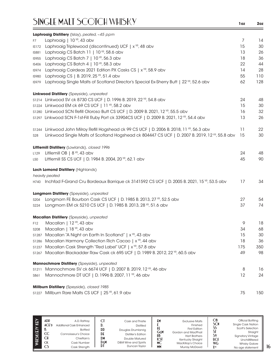|              | Laphroaig Distillery (Islay), peated, ~45 ppm                                                               |     |     |
|--------------|-------------------------------------------------------------------------------------------------------------|-----|-----|
| F7           | Laphroaig   10 YR, 43 abv                                                                                   | 7   | 14  |
| <b>IS172</b> | Laphroaig Triplewood (discontinued) UCF   x <sup>YR</sup> , 48 abv                                          | 15  | 30  |
| <b>IS881</b> | Laphroaig CS Batch 11   10 YR, 58.6 abv                                                                     | 13  | 26  |
| <b>IS955</b> | Laphroaig CS Batch 7   10 YR, 56.3 abv                                                                      | 18  | 36  |
| <b>IS406</b> | Laphroaig CS Batch 4   10 YR, 58.3 abv                                                                      | 22  | 44  |
| IS974        | Laphroaig Cairdeas 2021 Edition PX Casks CS   x <sup>YP</sup> , 58.9 abv                                    | 14  | 28  |
| <b>IS980</b> | Laphroaig CS   B. 2019, 25 YR, 51.4 abv                                                                     | 55  | 110 |
| <b>IS979</b> | Laphroaig Single Malts of Scotland Director's Special Ex-Sherry Butt   22 YR, 52.6 abv                      | 62  | 128 |
|              | Linkwood Distillery (Speyside), unpeated                                                                    |     |     |
|              | s1214 Linkwood SV ck 8730 CS UCF   D. 1996 B. 2019, 22 YR, 54.8 abv                                         | 24  | 48  |
|              | s1224 Linkwood EM ck 69 CS UCF   11 YR, 58.2 abv                                                            | 15  | 30  |
|              | s1280 Linkwood SCN Refill Oloroso Butt CS UCF   D. 2009 B. 2021, 12 YR, 55.5 abv                            | 16  | 32  |
|              | \$1297 Linkwood SCN F-1st-Fill Ruby Port ck 33904CS UCF   D. 2009 B. 2021, 12 YR, 54.4 abv                  | 13  | 26  |
| S1244        | Linkwood John Milroy Refill Hogshead ck 99 CS UCF   D. 2006 B. 2018, 11 YR, 56.3 abv                        | 11  | 22  |
| <b>S28</b>   | Linkwood Single Malts of Scotland Hogshead ck 804447 CS UCF   D. 2007 B. 2019, 12 YR, 55.8 abv              | 15  | 30  |
|              | Littlemill Distillery (Lowlands), closed 1996                                                               |     |     |
| L129         | Litllemill OB $\mid 8$ <sup>YR</sup> , 43 abv                                                               | 24  | 48  |
| L50          | Littlemill SS CS UCF   D. 1984 B. 2004, 20 YR, 62.1 abv                                                     | 45  | 90  |
|              | Loch Lomond Distillery (Highlands)                                                                          |     |     |
|              | heavily peated                                                                                              |     |     |
|              | H740 Inchfad F-Grand Cru Bordeaux Barrique ck 3141592 CS UCF   D. 2005 B. 2021, 15 <sup>VP</sup> , 53.5 abv | 17  | 34  |
|              | Longmorn Distillery (Speyside), unpeated                                                                    |     |     |
| S204         | Longmorn FE Bourbon Cask CS UCF   D. 1985 B. 2013, 27 YR, 52.5 abv                                          | 27  | 54  |
| S224         | Longmorn EM ck 5210 CS UCF   D. 1985 B. 2013, 28 YR, 51.6 abv                                               | 37  | 74  |
|              | Macallan Distillery (Speyside), unpeated                                                                    |     |     |
| F12          | Macallan   12 YR, 43 abv                                                                                    | 9   | 18  |
| <b>S208</b>  | Macallan   18 YR, 43 abv                                                                                    | 34  | 68  |
|              | s1287 Macallan "A Night on Earth In Scotland"   x YR, 43 abv                                                | 15  | 30  |
| S1286        | Macallan Harmony Collection Rich Cacao   x <sup>YR</sup> , 44 abv                                           | 18  | 36  |
| S1237        | Macallan Cask Strength "Red Label" UCF   x YR, 57.8 abv                                                     | 175 | 350 |
|              | \$1267 Macallan Blackadder Raw Cask ck 695 UCF   D. 1989 B. 2012, 22 YR, 60.5 abv                           | 49  | 98  |
|              | Mannochmore Distillery (Speyside), unpeated                                                                 |     |     |
| S1211        | Mannochmore SV ck 6674 UCF   D. 2007 B. 2019, 12 YR, 46 abv                                                 | 8   | 16  |
| S861         | Mannochmore DT UCF   D. 1996 B. 2007, 11 YR, 46 abv                                                         | 12  | 24  |
|              | Millburn Distillery (Speyside), closed 1985                                                                 |     |     |
|              | \$1227 Millburn Rare Malts CS UCF   25 YR, 61.9 abv                                                         | 75  | 150 |

| $\widetilde{H}$<br>₹ | ADR<br>ACF<br>CC<br>СH<br><b>CK</b><br>CS | A.D. Rattrav<br>Additional Cask Enhanced<br><b>Bottled</b><br>Connoisseur's Choice<br>Chieftain's<br>Cask Number<br>Cask Strength | ات<br>DD<br>DE<br>DM<br>Dem<br>DI | Cask and Thistle<br><b>Distilled</b><br>Douglas Drumlanrig<br>Distiller's Edition<br>Double Matured<br>D&M Wine and Spirits<br>Duncan Taylor | £М<br>GεM<br>HB<br>КSТ<br>МC<br><b>MM</b> | <b>Exclusive Malts</b><br>Finished<br><b>First Edition</b><br>Gordon and MacPhail<br><b>Hart Brothers</b><br>Kentucky Straight<br>MacKillop's Choice<br><b>Murray McDavid</b> | ОB<br>SCN<br>ככ<br><b>UCF</b><br><b>WG</b><br><b>Y</b> y <sub>R</sub> | Official Bottling<br><b>Single Cask Nation</b><br>Scott's Selection<br>Straight<br><b>Signatory Vintage</b><br>Unchillfiltered<br><b>Whisky Galore</b><br>No age statement |
|----------------------|-------------------------------------------|-----------------------------------------------------------------------------------------------------------------------------------|-----------------------------------|----------------------------------------------------------------------------------------------------------------------------------------------|-------------------------------------------|-------------------------------------------------------------------------------------------------------------------------------------------------------------------------------|-----------------------------------------------------------------------|----------------------------------------------------------------------------------------------------------------------------------------------------------------------------|
|----------------------|-------------------------------------------|-----------------------------------------------------------------------------------------------------------------------------------|-----------------------------------|----------------------------------------------------------------------------------------------------------------------------------------------|-------------------------------------------|-------------------------------------------------------------------------------------------------------------------------------------------------------------------------------|-----------------------------------------------------------------------|----------------------------------------------------------------------------------------------------------------------------------------------------------------------------|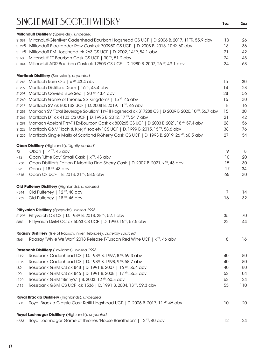|                | Miltonduff Distillery (Speyside), unpeated                                                                                                        |    |          |
|----------------|---------------------------------------------------------------------------------------------------------------------------------------------------|----|----------|
|                | s1081 Miltonduff-Glenlivet Cadenhead Bourbon Hogshead CS UCF   D. 2006 B. 2017, 11 YR, 55.9 abv                                                   | 13 | 26       |
|                | s1228 Miltonduff Blackadder Raw Cask ck 700950 CS UCF   D. 2008 B. 2018, 10YR, 60 abv                                                             | 18 | 36       |
| s1125          | Miltonduff EM Hogshead ck 263 CS UCF   D. 2002, 14 °R, 54.1 abv                                                                                   | 21 | 42       |
| S160           | Miltonduff FE Bourbon Cask CS UCF   30 <sup>YP</sup> , 51.2 abv                                                                                   | 24 | 48       |
| S1044          | Miltonduff ADR Bourbon Cask ck 12503 CS UCF   D. 1980 B. 2007, 26 YR, 49.1 abv                                                                    | 34 | 68       |
|                |                                                                                                                                                   |    |          |
|                | Mortlach Distillery (Speyside), unpeated                                                                                                          |    |          |
|                | \$1248 Mortlach Rare Old   x <sup>YR</sup> , 43.4 abv                                                                                             | 15 | 30       |
|                | s1292 Mortlach Distiller's Dram   16 YR, 43.4 abv                                                                                                 | 14 | 28       |
| S1293          | Mortlach Cowie's Blue Seal   20 YR, 43.4 abv                                                                                                      | 28 | 56       |
| S1260          | Mortlach Game of Thrones Six Kingdoms   15 YR, 46 abv                                                                                             | 15 | 30       |
| S1213          | Mortlach SV ck 800132 UCF   D. 2008 B. 2019, 11 YR, 46 abv                                                                                        | 8  | 16       |
| S1258          | Mortlach SV "Total Beverage Solution" 1st-Fill Hogshead ck 317288 CS   D. 2009 B. 2020, 10 °F, 56.7 abv                                           | 15 | 30       |
| S1266          | Mortlach DT ck 4103 CS UCF   D. 1995 B. 2012, 17 YR, 54.7 abv                                                                                     | 21 | 42       |
| S1291          | Mortlach Adelphi First-Fill Ex-Bourbon Cask ck 800265 CS UCF   D. 2003 B. 2021, 18 <sup>VP</sup> , 57.4 abv                                       | 28 | 56       |
| S1229          | Mortlach G&M "loch & K(e)Y society" CS UCF   D. 1999 B. 2015, 15 YP, 58.6 abv                                                                     | 38 | 76       |
| S1236          | Mortlach Single Malts of Scotland R-Sherry Cask CS UCF   D. 1993 B. 2019, 26 VR, 60.5 abv                                                         | 27 | 54       |
|                | Oban Distillery (Highlands), "lightly peated"                                                                                                     |    |          |
| F <sub>2</sub> | Oban   14 YR, 43 abv                                                                                                                              | 9  | 18       |
| H12            | Oban "Little Bay" Small Cask   x YR, 43 abv                                                                                                       | 10 | 20       |
| H738           | Oban Distiller's Edition F-Montilla Fino Sherry Cask   D. 2007 B. 2021, x <sup>YR</sup> , 43 abv                                                  | 15 | 30       |
| H93            | Oban   18 YR, 43 abv                                                                                                                              | 17 | 34       |
| H315           | Oban CS UCF   B. 2013, 21 YR, 58.5 abv                                                                                                            | 65 | 130      |
|                |                                                                                                                                                   |    |          |
|                | Old Pulteney Distillery (Highlands), unpeated                                                                                                     | 7  |          |
| H344           | Old Pulteney   12 YR, 40 abv                                                                                                                      | 16 | 14<br>32 |
| H732           | Old Pulteney   18 YR, 46 abv                                                                                                                      |    |          |
|                | Pittyvaich Distillery (Speyside), closed 1993                                                                                                     |    |          |
|                | \$1298 Pittyvaich OB CS   D. 1989 B. 2018, 28 YR, 52.1 abv                                                                                        | 35 | 70       |
| S881           | Pittyvaich D&M CC ck 6063 CS UCF   D. 1990, 15 <sup>vP</sup> , 57.5 abv                                                                           | 22 | 44       |
|                |                                                                                                                                                   |    |          |
|                | Raasay Distillery (Isle of Raasay, Inner Hebrides), currently sourced<br>Raasay "While We Wait" 2018 Release F-Tuscan Red Wine UCF   x VR, 46 abv | 8  | 16       |
| i368           |                                                                                                                                                   |    |          |
|                | Rosebank Distillery (Lowlands), closed 1993                                                                                                       |    |          |
| L119           | Rosebank Cadenhead CS   D. 1989 B. 1997, 8 YR, 59.3 abv                                                                                           | 40 | 80       |
| L106           | Rosebank Cadenhead CS   D. 1989 B. 1998, 9 YR, 58.7 abv                                                                                           | 40 | 80       |
| L89            | Rosebank G&M CS ck 848   D. 1991 B. 2007   16 YR, 56.4 abv                                                                                        | 40 | 80       |
| L90            | Rosebank G&M CS ck 846   D. 1991 B. 2008   17 YR, 55.3 abv                                                                                        | 52 | 104      |
| L120           | Rosebank G&M "Binny's"   B. 2003, 12 YR, 60.3 abv                                                                                                 | 62 | 124      |
| L115           | Rosebank G&M CS UCF ck 1536   D. 1991 B. 2004, 13 <sup>YP</sup> , 59.3 abv                                                                        | 55 | 110      |
|                | Royal Brackla Distillery (Highlands), unpeated                                                                                                    |    |          |
| H715           | Royal Brackla Classic Cask Refill Hogshead UCF   D. 2006 B. 2017, 11 YP, 46 abv                                                                   | 10 | 20       |
|                |                                                                                                                                                   |    |          |
|                | Royal Lochnagar Distillery (Highlands), unpeated                                                                                                  |    |          |
| H683           | Royal Lochnagar Game of Thrones "House Baratheon"   12 YR, 40 abv                                                                                 | 12 | 24       |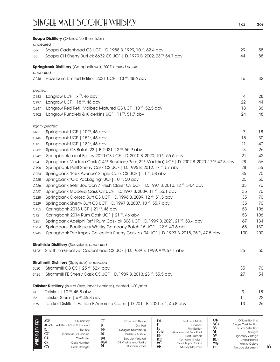|                   | <b>Scapa Distillery</b> (Orkney, Northern Isles)                                                 |     |     |
|-------------------|--------------------------------------------------------------------------------------------------|-----|-----|
| unpeated          |                                                                                                  |     |     |
| i366              | Scapa Cadenhead CS UCF   D. 1988 B. 1999, 10 YR, 62.4 abv                                        | 29  | 58  |
| i381              | Scapa CH Sherry Butt ck 6632 CS UCF   D. 1979 B. 2002, 23 YR 54.7 abv                            | 44  | 88  |
|                   | Springbank Distillery (Campbeltown), 100% malted on-site                                         |     |     |
| unpeated          |                                                                                                  |     |     |
|                   | C246 Hazelburn Limited Edition 2021 UCF   13 YR, 48.6 abv                                        | 16  | 32  |
| peated            |                                                                                                  |     |     |
| C183              | Longrow UCF $\mid x \mid R$ , 46 abv                                                             | 14  | 28  |
| C197              | Longrow UCF   $18$ YR, 46 abv                                                                    | 22  | 44  |
| C <sub>247</sub>  | Longrow Red Refill Malbec Matured CS UCF   10 <sup>YR</sup> , 52.5 abv                           | 18  | 36  |
| C102              | Longrow Rundlets & Kilderkins UCF   11 YR, 51.7 abv                                              | 24  | 48  |
|                   | lightly peated                                                                                   |     |     |
| F46               | Springbank UCF   10 YR, 46 abv                                                                   | 9   | 18  |
| C145              | Springbank UCF   15 YR, 46 abv                                                                   | 15  | 30  |
| C <sub>13</sub>   | Springbank UCF   18 YR, 46 abv                                                                   | 21  | 42  |
| C <sub>252</sub>  | Springbank CS Batch 23   B. 2021, 12 YR, 55.9 abv                                                | 13  | 26  |
| C <sub>242</sub>  | Springbank Local Barley 2020 CS UCF   D. 2010 B. 2020, 10 YR, 55.6 abv                           | 21  | 42  |
| C <sub>24</sub> 1 | Springbank Madeira Cask (14YRS Bourbon/Rum, 3YRS Madeira) UCF   D. 2002 B. 2020, 17 YR, 47.8 abv | 28  | 56  |
| C196              | Springbank Refill Sherry Cask CS UCF   D. 1995 B. 2012, 17 YR, 57 abv                            | 28  | 56  |
| C <sub>224</sub>  | Springbank "Park Avenue" Single Cask CS UCF   11 YR, 58 abv                                      | 35  | 70  |
| C225              | Springbank "Old Packaging" UCF  10 YR, 50 abv                                                    | 25  | 50  |
| C <sub>226</sub>  | Springbank Refill Bourbon / Fresh Claret CS UCF   D. 1997 B. 2010, 12 YR, 54.4 abv               | 35  | 70  |
| C <sub>227</sub>  | Springbank Madeira Cask CS UCF   D. 1997 B. 2009, 11 YP, 55.1 abv                                | 35  | 70  |
| C228              | Springbank Oloroso Butt CS UCF   D. 1996 B. 2009, 12 YR, 51.5 abv                                | 35  | 70  |
| C229              | Springbank Sherry Butt CS UCF   D. 1997 B. 2007, 10 YR, 55.7 abv                                 | 35  | 70  |
| C155              | Springbank 2013 UCF   21 YR, 46 abv                                                              | 53  | 106 |
| C121              | Springbank 2014 Rum Cask UCF   21 YR, 46 abv                                                     | 53  | 106 |
| C <sub>25</sub> 1 | Springbank Adelphi Refill Rum Cask ck 308 UCF   D. 1999 B. 2021, 21 YR, 53.4 abv                 | 67  | 134 |
| C <sub>254</sub>  | Springbank Boutique-y Whisky Company Batch 16 UCF   22 <sup>VP</sup> , 49.6 abv                  | 65  | 130 |
| C <sub>245</sub>  | Springbank The Impex Collection Sherry Cask ck 94 UCF   D. 1993 B. 2018, 25 VR, 47.5 abv         | 100 | 200 |
|                   | <b>Strathisla Distillery</b> (Speyside), unpeated                                                |     |     |
|                   | S1231 Strathisla-Glenlivet Cadenhead CS UCF   D. 1989 B. 1999, 9 YR, 57.1 abv                    | 25  | 50  |
|                   | <b>Strathmill Distillery</b> (Speyside), unpeated                                                |     |     |
| S520              | Strathmill OB CS   25 YR, 52.4 abv                                                               | 35  | 70  |
| S425              | Strathmill FE Sherry Cask CS UCF   D. 1989 B. 2013, 23 YR, 55.5 abv                              | 27  | 54  |
|                   | Talisker Distillery (Isle of Skye, Inner Hebrides), peated, ~20 ppm                              |     |     |
| F4                | Talisker   10 YR, 45.8 abv                                                                       | 9   | 18  |
| i53               | Talisker Storm   x <sup>YR</sup> , 45.8 abv                                                      | 11  | 22  |
| i379              | Talisker Distiller's Edition F-Amoroso Casks   D. 2011 B. 2021, x <sup>YR</sup> , 45.8 abv       | 13  | 26  |

| $\widetilde{H}$ | ADR<br>ACF<br>D.<br>CC<br>C <sub>H</sub><br><b>CK</b> | A.D. Rattray<br>Additional Cask Enhanced<br><b>Bottled</b><br>Connoisseur's Choice<br>Chieftain's<br>Cask Number | J.<br>DD<br>DF<br>DM<br>DεM<br>DI | Cask and Thistle<br><b>Distilled</b><br>Douglas Drumlanrig<br>Distiller's Edition<br>Double Matured<br>D&M Wine and Spirits<br>Duncan Tavlor | £М<br>GεM<br>HB<br>КSТ<br>МC | <b>Exclusive Malts</b><br>Finished<br><b>First Edition</b><br>Gordon and MacPhail<br><b>Hart Brothers</b><br>Kentucky Straight<br>MacKillop's Choice | ОB<br><b>SCN</b><br>ာ<br><b>UCF</b><br><b>WG</b><br><b>Y</b> yp | Official Bottling<br><b>Single Cask Nation</b><br>Scott's Selection<br>Straight<br><b>Signatory Vintage</b><br>Unchillfiltered<br><b>Whisky Galore</b> |
|-----------------|-------------------------------------------------------|------------------------------------------------------------------------------------------------------------------|-----------------------------------|----------------------------------------------------------------------------------------------------------------------------------------------|------------------------------|------------------------------------------------------------------------------------------------------------------------------------------------------|-----------------------------------------------------------------|--------------------------------------------------------------------------------------------------------------------------------------------------------|
|                 | C <sub>2</sub>                                        | Cask Strength                                                                                                    |                                   |                                                                                                                                              | <b>MM</b>                    | Murray McDavid                                                                                                                                       |                                                                 | No age statement                                                                                                                                       |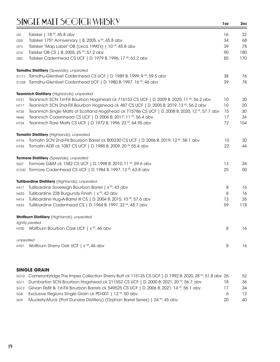| i24      | Talisker   18 YR, 45.8 abv                                                                      | 16 | 32  |
|----------|-------------------------------------------------------------------------------------------------|----|-----|
| i205     | Talisker 175 <sup>th</sup> Anniversary   B. 2005, x YR, 45.8 abv                                | 34 | 68  |
| i373     | Talisker "Map Label" OB (circa 1990's)   10 YR, 45.8 abv                                        | 39 | 78  |
| i216     | Talisker OB CS   B. 2005, 25 YR, 57.2 abv                                                       | 90 | 180 |
| i382     | Talisker Cadenhead CS UCF   D. 1979 B. 1996, 17 YR, 63.2 abv                                    | 85 | 170 |
|          | Tamdhu Distillery (Speyside), unpeated                                                          |    |     |
| S1111    | Tamdhu-Glenlivet Cadenhead CS UCF   D. 1989 B. 1999, 9 YR, 59.5 abv                             | 38 | 76  |
| S1238    | Tamdhu-Glenlivet Cadenhead UCF   D. 1980 B. 1997, 16 YR, 46 abv                                 | 39 | 78  |
|          | Teaninich Distillery (Highlands), unpeated                                                      |    |     |
| H721     | Teaninich SCN 1st-Fill Bourbon Hogshead ck 716153 CS UCF   D. 2009 B. 2020, 11 YR, 56.2 abv     | 10 | 20  |
| H717     | Teaninich SCN 2nd-Fill Bourbon Hogshead ck 487 CS UCF   D. 2005 B. 2019, 13 YP, 56.2 abv        | 10 | 20  |
| H726     | Teaninich Single Malts of Scotland Hogshead ck 715786 CS UCF   D. 2008 B. 2020, 12 YP, 57.7 abv | 15 | 30  |
| H646     | Teaninich Cadenhead CS UCF   D. 2006 B. 2017, 11 YR, 56.4 abv                                   | 17 | 34  |
| H724     | Teaninich Rare Malts CS UCF   D. 1972 B. 1996, 23 YR, 64.95 abv                                 | 72 | 154 |
|          | <b>Tomatin Distillery</b> (Highlands), unpeated                                                 |    |     |
| H716     | Tomatin SCN 2nd-Fill Bourbon Barrel ck 800230 CS UCF   D. 2006 B. 2019, 12 YR, 58.1 abv         | 10 | 20  |
| H743     | Tomatin ADR ck 1087 CS UCF   D. 1988 B. 2009, 20 YR 55.4 abv                                    | 22 | 44  |
|          | Tormore Distillery (Speyside), unpeated                                                         |    |     |
| S527     | Tormore G&M ck 1582 CS UCF   D. 1998 B. 2010, 11 YR, 59.6 abv                                   | 13 | 26  |
|          | s1230 Tormore Cadenhead CS UCF   D. 1984 B. 1997, 13 YR, 63.8 abv                               | 25 | 50  |
|          | Tullibardine Distillery (Highlands), unpeated                                                   |    |     |
| H417     | Tullibardine Sovereign Bourbon Barrel   x <sup>YR</sup> , 43 abv                                | 8  | 16  |
| H420     | Tullibardine 228 Burgundy Finish   x <sup>YR</sup> , 43 abv                                     | 8  | 16  |
| H414     | Tullibardine Hug-A-Barrel III CS   D. 2004 B. 2015, 10 YR, 57.6 abv                             | 13 | 26  |
| H333     | Tullibardine Cadenhead CS   D. 1964 B. 1997, 32 YR, 48.7 abv                                    | 59 | 118 |
|          | Wolfburn Distillery (Highlands), unpeated                                                       |    |     |
|          | lightly peated                                                                                  |    |     |
|          | H700 Wolfburn Bourbon Cask UCF   x YR, 46 abv                                                   | 8  | 16  |
| unpeated |                                                                                                 |    |     |
| H701     | Wolfburn Sherry Oak UCF   x <sup>YR</sup> , 46 abv                                              | 8  | 16  |
|          |                                                                                                 |    |     |

#### **SINGLE GRAIN**

| sg10 Cameronbridge The Impex Collection Sherry Butt ck 115125 CS UCF   D. 1992 B. 2020, 28 YP, 51.8 abv 26 |    | 52  |
|------------------------------------------------------------------------------------------------------------|----|-----|
| sG11 Dumbarton SCN Bourbon Hogshead ck 211552 CS UCF   D. 2000 B. 2021, 20 YR, 56.7 abv                    | 18 | 36  |
| sG12 Girvan Refill & 1st-Fill Bourbon Barrels ck 549525 CS UCF   D. 2006 B. 2021, 14 YR, 56.1 abv          |    | 34  |
| sg8 Exclusive Regions Single Grain ck PD-001   12 YR, 50 abv                                               | 6  | 12. |
| see Muckety-Muck (Port Dundas Distillery) (Orphan Barrel Series)   24 YR, 45 abv                           | 20 | 40. |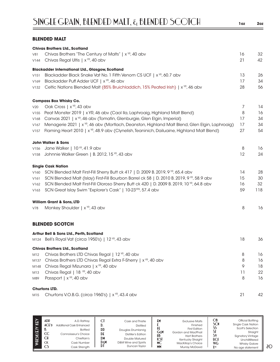#### **BLENDED MALT**

|      | <b>Chivas Brothers Ltd., Scotland</b>                                                                      |    |     |
|------|------------------------------------------------------------------------------------------------------------|----|-----|
| V81  | Chivas Brothers "The Century of Malts"   x <sup>YR</sup> , 40 abv                                          | 16 | 32  |
| V144 | Chivas Regal Ultis   x <sup>YR</sup> , 40 abv                                                              | 21 | 42  |
|      | <b>Blackadder International Ltd., Glasgow, Scotland</b>                                                    |    |     |
| V151 | Blackadder Black Snake Vat No. 1 Fifth Venom CS UCF   x <sup>YR</sup> , 60.7 abv                           | 13 | 26  |
| V169 | Blackadder Puff Adder UCF   x <sup>YR</sup> , 46 abv                                                       | 17 | 34  |
| V132 | Celtic Nations Blended Malt (85% Bruichladdich, 15% Peated Irish)   x <sup>YP</sup> , 46 abv               | 28 | 56  |
|      | <b>Compass Box Whisky Co.</b>                                                                              |    |     |
| V20  | Oak Cross   x YR, 43 abv                                                                                   | 7  | 14  |
| V155 | Peat Monster 2019   x YR, 46 abv (Caol IIa, Laphroaig, Highland Malt Blend)                                | 8  | 16  |
| V168 | Canvas 2021   x <sup>VR</sup> , 46 abv (Tomatin, Glenburgie, Glen Elgin, Imperial)                         | 17 | 34  |
| V167 | Menagerie 2021   x <sup>vp</sup> , 46 abv (Mortlach, Deanston, Highland Malt Blend, Glen Elgin, Laphroaig) | 17 | 34  |
| V157 | Flaming Heart 2010   x <sup>VP</sup> , 48.9 abv (Clynelish, Teaninich, Dailuaine, Highland Malt Blend)     | 27 | 54  |
|      | <b>John Walker &amp; Sons</b>                                                                              |    |     |
| V156 | Jane Walker   10 YR, 41.9 abv                                                                              | 8  | 16  |
| V158 | Johnnie Walker Green   B. 2012, 15 YR, 43 abv                                                              | 12 | 24  |
|      | <b>Single Cask Nation</b>                                                                                  |    |     |
| V160 | SCN Blended Malt First-Fill Sherry Butt ck 417   D. 2009 B. 2019, 9 YR, 65.4 abv                           | 14 | 28  |
| V161 | SCN Blended Malt (Islay) First-Fill Bourbon Barrel ck 58   D. 2010 B. 2019, 9 YR, 58.9 abv                 | 15 | 30  |
| V162 | SCN Blended Malt First-Fill Oloroso Sherry Butt ck 420   D. 2009 B. 2019, 10 VR, 64.8 abv                  | 16 | 32  |
| V163 | SCN Great Islay Swim "Explorer's Cask"   10-23YRS, 57.4 abv                                                | 59 | 118 |
|      | <b>William Grant &amp; Sons, LTD</b>                                                                       |    |     |
| V78  | Monkey Shoulder   x <sup>YR</sup> , 43 abv                                                                 | 8  | 16  |
|      | <b>BLENDED SCOTCH</b>                                                                                      |    |     |
|      | Arthur Bell & Sons Ltd., Perth, Scotland                                                                   |    |     |
|      | M124 Bell's Royal Vat (circa 1950's)   12 YR, 43 abv                                                       | 18 | 36  |
|      | <b>Chivas Brothers Ltd., Scotland</b>                                                                      |    |     |
| M12  | Chivas Brothers LTD Chivas Regal   12 <sup>YR</sup> , 40 abv                                               | 8  | 16  |
| M137 | Chivas Brothers LTD Chivas Regal Extra F-Sherry   x <sup>YR</sup> , 40 abv                                 | 8  | 16  |
| M148 | Chivas Regal Mizunara   x <sup>YR</sup> , 40 abv                                                           | 9  | 18  |
| M13  | Chivas Regal   18 YR, 40 abv                                                                               | 11 | 22  |
| M89  | Passport   x <sup>YR</sup> , 40 abv                                                                        | 8  | 16  |
|      | <b>Churtons LTD.</b>                                                                                       |    |     |
| M15  | Churtons V.O.B.G. (circa 1960's)   x YR, 43.4 abv                                                          | 21 | 42  |

| KEY                             | Official Bottling         |
|---------------------------------|---------------------------|
| ADR                             | £۲                        |
| C                               | <b>Exclusive Malts</b>    |
| A.D. Rattray                    | SCN                       |
| Cask and Thistle                | <b>Single Cask Nation</b> |
| ACFD                            | Finished                  |
| <b>Additional Cask Enhanced</b> | Scott's Selection         |
| <b>Distilled</b>                | <b>First Edition</b>      |
| υ.                              | SI                        |
| WIISK(E)Y                       | GεM                       |
| $\mathbb{D} \mathbb{D}$         | Straight                  |
| <b>Bottled</b>                  | Gordon and MacPhail       |
| Douglas Drumlanrig              | HB                        |
| CC                              | 5۷                        |
| DE                              | <b>Hart Brothers</b>      |
| Connoisseur's Choice            | <b>Signatory Vintage</b>  |
| Distiller's Edition             | КSТ                       |
| СH                              | UCE                       |
| DM                              | Kentucky Straight         |
| Chieftain's                     | Unchillfiltered           |
| Double Matured                  | МC                        |
| DεM                             | <b>WG</b>                 |
| D&M Wine and Spirits            | MacKillop's Choice        |
| <b>CK</b>                       | <b>Whisky Galore</b>      |
| Cask Number                     | MM                        |
| Duncan Taylor                   | <b>Y</b> yp               |
| CS                              | <b>Murray McDavid</b>     |
| Cask Strength                   | No age statement          |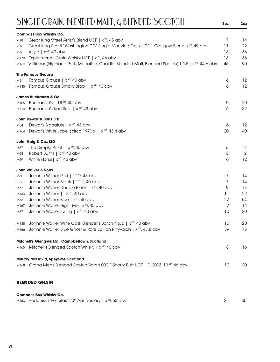# SINGLE GRAIN, BLENDED MALT, & BLENDED SCOTCH **1oz 2oz**

|                 | <b>Compass Box Whisky Co.</b>                                                                                     |    |    |
|-----------------|-------------------------------------------------------------------------------------------------------------------|----|----|
| M18             | Great King Street Artist's Blend UCF   x YR, 43 abv                                                               | 7  | 14 |
| M161            | Great King Street "Washington DC" Single Marrying Cask UCF   Glasgow Blend, x <sup>vp</sup> , 49 abv              | 11 | 22 |
| M <sub>16</sub> | Asyla   $x^{\gamma R}$ , 40 abv                                                                                   | 18 | 36 |
| M170            | Experimental Grain Whisky UCF   x <sup>YR</sup> , 46 abv                                                          | 18 | 36 |
|                 | M169 Vellichor (Highland Park, Macallan, Caol IIa, Blended Malt, Blended Scotch) UCF   x <sup>VP</sup> , 44.6 abv | 45 | 90 |
|                 | <b>The Famous Grouse</b>                                                                                          |    |    |
| M31             | Famous Grouse   x <sup>YR</sup> , 40 abv                                                                          | 6  | 12 |
| M135            | Famous Grouse Smoky Black   x <sup>YR</sup> , 40 abv                                                              | 6  | 12 |
|                 | James Buchanan & Co.                                                                                              |    |    |
| M105            | Buchanan's   18 YR, 40 abv                                                                                        | 10 | 20 |
| M110            | Buchanan's Red Seal   x YR, 43 abv                                                                                | 16 | 32 |
|                 | <b>John Dewar &amp; Sons LTD</b>                                                                                  |    |    |
| M54             | Dewar's Signature   x YR, 43 abv                                                                                  | 6  | 12 |
| M164            | Dewar's White Label (circa 1970's)   x <sup>YR</sup> , 43.4 abv                                                   | 20 | 40 |
|                 | John Haig & Co., LTD                                                                                              |    |    |
| M57             | The Dimple Pinch $\mid x^{\gamma R}$ , 40 abv                                                                     | 6  | 12 |
| M58             | Robert Burns   x <sup>YR</sup> , 40 abv                                                                           | 6  | 12 |
| M59             | White Horse   x <sup>YR</sup> , 40 abv                                                                            | 6  | 12 |
|                 | <b>John Walker &amp; Sons</b>                                                                                     |    |    |
| M60             | Johnnie Walker Red   12 YR, 43 abv                                                                                | 7  | 14 |
| F13             | Johnnie Walker Black   12 YR, 40 abv                                                                              | 7  | 14 |
| M62             | Johnnie Walker Double Black   x <sup>YR</sup> , 40 abv                                                            | 9  | 18 |
| M133            | Johnnie Walker   18 YR, 40 abv                                                                                    | 11 | 22 |
| M66             | Johnnie Walker Blue   x YR, 40 abv                                                                                | 27 | 54 |
| M167            | Johnnie Walker High Rye   x <sup>YR</sup> , 45 abv                                                                | 7  | 14 |
| M67             | Johnnie Walker Swing   x YR, 40 abv                                                                               | 10 | 20 |
| M138            | Johnnie Walker Wine Cask Blender's Batch No. 6   x <sup>YR</sup> , 40 abv                                         | 10 | 20 |
| M166            | Johnnie Walker Blue Ghost & Rare Edition Pittyvaich   x <sup>vp</sup> , 43.8 abv                                  | 39 | 78 |
|                 | Mitchell's Glengyle Ltd., Campbeltown, Scotland                                                                   |    |    |
|                 | M165 Mitchell's Blended Scotch Whisky   x <sup>YR</sup> , 40 abv                                                  | 8  | 16 |
|                 | <b>Murray McDavid, Speyside, Scotland</b>                                                                         |    |    |
|                 | M168 Ordha Meas Blended Scotch Batch 002 F-Sherry Butt UCF   D. 2003, 13 YR, 46 abv                               | 10 | 20 |
|                 |                                                                                                                   |    |    |
|                 | <b>BLENDED GRAIN</b>                                                                                              |    |    |
|                 | <b>Compass Box Whisky Co.</b>                                                                                     |    |    |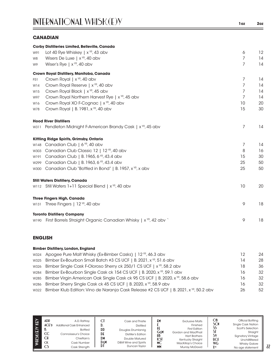#### **CANADIAN**

|      | <b>Corby Distilleries Limited, Belleville, Canada</b>                          |                |    |
|------|--------------------------------------------------------------------------------|----------------|----|
| W91  | Lot 40 Rye Whiskey   $x^{\gamma R}$ , 43 abv                                   | 6              | 12 |
| W8   | Wisers De Luxe   x <sup>YR</sup> , 40 abv                                      | 7              | 14 |
| W9   | Wiser's Rye   $x^{\gamma R}$ , 40 abv                                          | $\overline{7}$ | 14 |
|      | Crown Royal Distillery, Manitoba, Canada                                       |                |    |
| F51  | Crown Royal   x <sup>YR</sup> , 40 abv                                         | 7              | 14 |
| W14  | Crown Royal Reserve   x <sup>YR</sup> , 40 abv                                 | 7              | 14 |
| W15  | Crown Royal Black   x <sup>YR</sup> , 45 abv                                   | 7              | 14 |
| W97  | Crown Royal Northern Harvest Rye   x <sup>YR</sup> , 45 abv                    | $\overline{7}$ | 14 |
| W16  | Crown Royal XO F-Cognac   x <sup>YR</sup> , 40 abv                             | 10             | 20 |
| W78  | Crown Royal   B. 1981, x <sup>YR</sup> , 40 abv                                | 15             | 30 |
|      | <b>Hood River Distillers</b>                                                   |                |    |
|      | W311 Pendleton Midnight F-American Brandy Cask   x <sup>vp</sup> , 45 abv      | 7              | 14 |
|      | Kittling Ridge Spirits, Grimsby, Ontario                                       |                |    |
| W148 | Canadian Club   6 <sup>YR</sup> , 40 abv                                       | 7              | 14 |
| W303 | Canadian Club Classic 12   12 YR, 40 abv                                       | 8              | 16 |
| W191 | Canadian Club   B. 1965, 6 YR, 43.4 abv                                        | 15             | 30 |
| W299 | Canadian Club   B. 1963, 6 YR, 43.4 abv                                        | 25             | 50 |
| W300 | Canadian Club "Bottled in Bond"   B. 1957, x YR, x abv                         | 25             | 50 |
|      | <b>Still Waters Distillery, Canada</b>                                         |                |    |
|      | W112 Still Waters 1+11 Special Blend   x <sup>YR</sup> , 40 abv                | 10             | 20 |
|      | <b>Three Fingers High, Canada</b>                                              |                |    |
|      | W131 Three Fingers   12 YR, 40 abv                                             | 9              | 18 |
|      | <b>Toronto Distillery Company</b>                                              |                |    |
|      | w190 First Barrels Straight Organic Canadian Whisky   x <sup>YR</sup> , 42 abv | 9              | 18 |

#### **ENGLISH**

| <b>Bimber Distillery, London, England</b>                                                              |    |    |
|--------------------------------------------------------------------------------------------------------|----|----|
| w324 Apogee Pure Malt Whisky (Ex-Bimber Casks)   12 YR, 46.3 abv                                       | 12 | 24 |
| w325 Bimber Ex-Bourbon Small Batch #3 CS UCF   B. 2021, x <sup>vR</sup> , 51.6 abv                     | 14 | 28 |
| w326 Bimber Single Cask F-Oloroso Sherry ck 250/1 CS UCF   x <sup>17</sup> , 58.2 abv                  | 18 | 36 |
| w284 Bimber Ex-Bourbon Single Cask ck 154 CS UCF   B. 2020, x <sup>VR</sup> , 59.1 abv                 | 16 | 32 |
| w285 Bimber Virgin American Oak Single Cask ck 95 CS UCF   B. 2020, x <sup>VR</sup> , 58.6 abv         | 16 | 32 |
| w286 Bimber Sherry Single Cask ck 45 CS UCF   B. 2020, $x^{\gamma R}$ , 58.9 abv                       | 16 | 32 |
| wazz Bimber Klub Edition: Vino de Naranja Cask Release #2 CS UCF   B. 2021, x <sup>/P</sup> , 50.2 abv | 26 | 52 |

| KEY<br>K(E)Y<br><b>REM</b> | ADR<br>$ACE$ <sup>D</sup><br>D.<br>CC<br>СH<br><b>CK</b><br>CS | A.D. Rattrav<br><b>Additional Cask Enhanced</b><br><b>Bottled</b><br>Connoisseur's Choice<br>Chieftain's<br>Cask Number<br>Cask Strength | C<br>v.<br>DD<br>DE<br>DM<br>DεM<br>D١ | Cask and Thistle<br><b>Distilled</b><br>Douglas Drumlanrig<br>Distiller's Edition<br>Double Matured<br>D&M Wine and Spirits<br>Duncan Tavlor | E۲<br>GεM<br>HB<br>КSI<br>МC<br><b>MM</b> | <b>Exclusive Malts</b><br>Finished<br><b>First Edition</b><br>Gordon and MacPhail<br><b>Hart Brothers</b><br>Kentucky Straight<br>MacKillop's Choice<br>Murray McDavid | ОB<br>SCN<br>SS<br>SI<br>S۱<br><b>UCF</b><br><b>WG</b><br><b>YYR</b> | Official Bottling<br>Single Cask Nation<br>Scott's Selection<br>Straight<br><b>Signatory Vintage</b><br>Unchillfiltered<br><b>Whisky Galore</b><br>No age statement |
|----------------------------|----------------------------------------------------------------|------------------------------------------------------------------------------------------------------------------------------------------|----------------------------------------|----------------------------------------------------------------------------------------------------------------------------------------------|-------------------------------------------|------------------------------------------------------------------------------------------------------------------------------------------------------------------------|----------------------------------------------------------------------|---------------------------------------------------------------------------------------------------------------------------------------------------------------------|
|----------------------------|----------------------------------------------------------------|------------------------------------------------------------------------------------------------------------------------------------------|----------------------------------------|----------------------------------------------------------------------------------------------------------------------------------------------|-------------------------------------------|------------------------------------------------------------------------------------------------------------------------------------------------------------------------|----------------------------------------------------------------------|---------------------------------------------------------------------------------------------------------------------------------------------------------------------|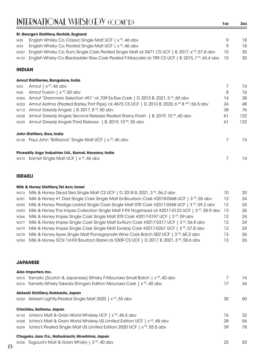### INTERNATIONAL WHISK(E)Y (CONT'D) **1oz 2oz**

|               | St. George's Distillery, Norfolk, England                                                                         |      |    |
|---------------|-------------------------------------------------------------------------------------------------------------------|------|----|
| W35           | English Whisky Co. Classic Single Malt UCF   x <sup>YR</sup> , 46 abv                                             | 9    | 18 |
| W34           | English Whisky Co. Peated Single Malt UCF   $x^{\gamma R}$ , 46 abv                                               | 9    | 18 |
|               | W207 English Whisky Co. Rum Single Cask Peated Single Malt ck 0471 CS UCF   B. 2017, x <sup>vp</sup> , 57.8 abv   | 15   | 30 |
|               | W132 English Whisky Co. Blackadder Raw Cask Peated F-Moscatel ck 789 CS UCF   B. 2015, 7 <sup>vr</sup> , 63.4 abv | - 15 | 30 |
| <b>INDIAN</b> |                                                                                                                   |      |    |

#### **Amrut Distilleries, Bangalore, India**

| W43  | Amrut   $x^{\gamma R}$ , 46 abv                                                              |    | 14  |
|------|----------------------------------------------------------------------------------------------|----|-----|
| W45  | Amrut Fusion   $x^{\gamma R}$ , 50 abv                                                       | 8  | 16  |
| W304 | Amrut "Drammers Selection #51" ck 709 Ex-Rye Cask   D. 2015 B. 2021, 5 YR, 60 abv            | 14 | 28  |
| W253 | Amrut Aatma (Peated Barley, Port Pipe) ck 4675 CS UCF   D. 2013 B. 2020, 6 YR 8 MO, 56.5 abv | 24 | 48  |
|      | W172 Amrut Greedy Angels   B. 2017, 8 $YR$ , 50 abv                                          | 38 | 76  |
| W328 | Amrut Greedy Angels Second Release Peated Sherry Finish   B. 2019, 10 YR, 60 abv             | 61 | 122 |
|      | w329 Amrut Greedy Angels Third Release   B. 2019, 10 TP, 55 abv                              | 61 | 122 |
|      | John Distillers, Goa, India                                                                  |    |     |
|      | W138 Paul John "Brilliance" Single Malt UCF   x YR, 46 abv                                   |    | 14  |
|      | Piceadily Argo Industries Ltd., Karnal, Haryana, India                                       |    |     |
|      | w310 Kamet Single Malt UCF   x <sup>YR</sup> , 46 abv                                        |    | 14  |

#### **ISRAELI**

| Milk & Honey Distillery, Tel Aviv, Israel |  |
|-------------------------------------------|--|
|-------------------------------------------|--|

|      | w313 Milk & Honey Dead Sea Single Malt CS UCF   D. 2018 B. 2021, 3 YP, 56.2 abv                                 | 10      | 20 |
|------|-----------------------------------------------------------------------------------------------------------------|---------|----|
| W291 | Milk & Honey #1 Dad Single Cask Single Malt Ex-Bourbon Cask #2018-0568 UCF   3 <sup>vp</sup> , 55 abv           | 12      | 24 |
|      | w292 Milk & Honey Prestige Ledriot Single Cask Single Malt STR Cask #2017-0368 UCF   3 VR, 59.2 abv             | 12      | 24 |
|      | w293 Milk & Honey The Impex Collection Single Malt F-PX Hogshead ck #2017-0123 UCF   3 <sup>YP</sup> , 58.9 abv | -13     | 26 |
|      | w266 Milk & Honey Impex Single Cask Single Malt STR Cask #2017-0197 UCF   3 YR, 59 abv                          | 12      | 24 |
|      | w277 Milk & Honey Impex Single Cask Single Malt Ex-Rum Cask #2017-0317 UCF   3 VR, 56.8 abv                     | 12      | 24 |
|      | w279 Milk & Honey Impex Single Cask Single Malt Ex-Islay Cask #2017-0267 UCF   3 VR, 57.8 abv                   | $12 \,$ | 24 |
| W278 | Milk & Honey Apex Single Malt Pomegranate Wine Cask Batch 002 UCF   3 <sup>YR</sup> , 60.3 abv                  | 13      | 26 |
|      | W294 Milk & Honey SCN 1st-Fill Bourbon Barrel ck 0309 CS UCF   D. 2017 B. 2021, 3 VR, 58.6 abv                  | 13      | 26 |
|      |                                                                                                                 |         |    |

#### **JAPANESE**

|      | Aiko Importers Inc.                                                                      |    |    |
|------|------------------------------------------------------------------------------------------|----|----|
|      | w315 Yamato (Scotch & Japanese) Whisky F-Mizunara Small Batch   x <sup>vR</sup> , 40 abv |    | 14 |
|      | w316 Yamato Whisky Takeda Shingen Edition Mizunara Cask   x <sup>YR</sup> , 40 abv       | 17 | 34 |
|      | Akkeshi Distillery, Hokkaido, Japan                                                      |    |    |
|      | W254 Akkeshi Lightly-Peated Single Malt 2020   x YR, 55 abv                              | 30 | 60 |
|      | Chichibu, Saitamu, Japan                                                                 |    |    |
| W153 | Ichiro's Malt & Grain World Whiskey UCF   x <sup>YR</sup> , 46.5 abv                     | 16 | 32 |
| W258 | Ichiro's Malt & Grain World Whiskey US Limited Edition UCF   $x^{\gamma R}$ , 48 abv     | 28 | 56 |
| W259 | Ichiro's Peated Single Malt US Limited Edition 2020 UCF   x <sup>yp</sup> , 55.5 abv     | 39 | 78 |
|      | Chugoku Jozo Co., Hatsukiachi, Hiroshima, Japan                                          |    |    |
|      | w235 Togouchi Malt & Grain Whisky   3 YR, 40 abv                                         | 25 | 50 |
|      |                                                                                          |    |    |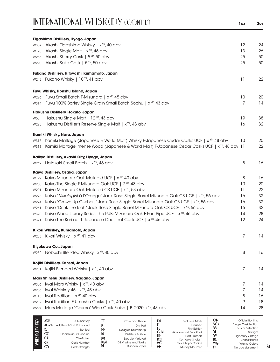| INTERNATIONAL WHISK(E)Y (CONT'D) | 20z |
|----------------------------------|-----|
|                                  |     |

| 1 o z | 2oz |
|-------|-----|
|       |     |

|      | Eigashima Distillery, Hyogo, Japan                                                                                |    |    |
|------|-------------------------------------------------------------------------------------------------------------------|----|----|
| W307 | Akashi Eigashima Whisky   x YR, 40 abv                                                                            | 12 | 24 |
| W198 | Akashi Single Malt   x <sup>YR</sup> , 46 abv                                                                     | 13 | 26 |
| W255 | Akashi Sherry Cask   5 <sup>YR</sup> , 50 abv                                                                     | 25 | 50 |
| W290 | Akashi Sake Cask   5 <sup>YR</sup> , 50 abv                                                                       | 25 | 50 |
|      | Fukano Distillery, Hitoyoshi, Kumamoto, Japan                                                                     |    |    |
|      | w248 Fukano Whisky   10 YR, 41 abv                                                                                | 11 | 22 |
|      | Fuyu Whisky, Honshu Island, Japan                                                                                 |    |    |
| W226 | Fuyu Small Batch F-Mizunara   x <sup>yp</sup> , 45 abv                                                            | 10 | 20 |
| W314 | Fuyu 100% Barley Single Grain Small Batch Sochu   x <sup>YR</sup> , 43 abv                                        | 7  | 14 |
|      | Hakushu Distillery, Hokuto, Japan                                                                                 |    |    |
| W65  | Hakushu Single Malt   12 YR, 43 abv                                                                               | 19 | 38 |
| W298 | Hakushu Distiller's Reserve Single Malt   x <sup>YR</sup> , 43 abv                                                | 16 | 32 |
|      | Kamiki Whisky, Nara, Japan                                                                                        |    |    |
|      | w317 Kamiki Maltage (Japanese & World Malt) Whisky F-Japanese Cedar Casks UCF   x <sup>vr,</sup> 48 abv           | 10 | 20 |
|      | w318 Kamiki Maltage Intense Wood (Japanese & World Malt) F-Japanese Cedar Casks UCF   x <sup>vp</sup> , 48 abv 11 |    | 22 |
|      | Kaikyo Distillery, Akashi City, Hyogo, Japan                                                                      |    |    |
|      | w249 Hatozaki Small Batch   x YR, 46 abv                                                                          | 8  | 16 |
|      | Kaiyo Distillery, Osaka, Japan                                                                                    |    |    |
| W199 | Kaiyo Mizunara Oak Matured UCF   x YR, 43 abv                                                                     | 8  | 16 |
| W200 | Kaiyo The Single F-Mizunara Oak UCF   7 YR, 48 abv                                                                | 10 | 20 |
| W201 | Kaiyo Mizunara Oak Matured CS UCF   x <sup>YR</sup> , 53 abv                                                      | 11 | 22 |
| W273 | Kaiyo "Mixologist à l'Orange" Jack Rose Single Barrel Mizunara Oak CS UCF   x <sup>vp</sup> , 56 abv              | 16 | 32 |
| W274 | Kaiyo "Grown Up Gushers" Jack Rose Single Barrel Mizunara Oak CS UCF   x <sup>YP</sup> , 56 abv                   | 16 | 32 |
| W261 | Kaiyo "Drink the Rich" Jack Rose Single Barrel Mizunara Oak CS UCF   x <sup>VP</sup> , 56 abv                     | 16 | 32 |
| W320 | Kaiyo Wood Library Series: The RUBi Mizunara Oak F-Port Pipe UCF   x <sup>vR</sup> , 46 abv                       | 14 | 28 |
| W321 | Kaiyo The Kuri no. 1 Japanese Chestnut Cask UCF   x <sup>YR</sup> , 46 abv                                        | 12 | 24 |
|      | Kikori Whiskey, Kumamoto, Japan                                                                                   |    |    |
|      | w283 Kikori Whisky   x YR, 41 abv                                                                                 | 7  | 14 |
|      | Kiyokawa Co., Japan                                                                                               |    |    |
|      | W252 Nobushi Blended Whisky   x YR, 40 abv                                                                        | 8  | 16 |
|      | Kojiki Distillery, Kansai, Japan                                                                                  |    |    |
| W281 | Kojiki Blended Whisky   x YR, 40 abv                                                                              | 7  | 14 |
|      | Mars Shinshu Distillery, Nagano, Japan                                                                            |    |    |
| W306 | Iwai Mars Whisky   x <sup>YR</sup> , 40 abv                                                                       | 7  | 14 |
| W256 | Iwai Whiskey 45   x YR, 45 abv                                                                                    | 7  | 14 |
| W113 | Iwai Tradition   x <sup>YR</sup> , 40 abv                                                                         | 8  | 16 |
| W282 | Iwai Tradition F-Umeshu Casks   x <sup>YR</sup> , 40 abv                                                          | 9  | 18 |
| W297 | Mars Maltage "Cosmo" Wine Cask Finish   B. 2020, x YR, 43 abv                                                     | 14 | 28 |
|      |                                                                                                                   |    |    |

| $\widehat{\mathbf{\Theta}}$ | ADR<br>$ACE$ <sup>D</sup><br>$\rm CC$<br><b>CH</b><br>СK<br>CS | A.D. Rattrav<br>Additional Cask Enhanced<br><b>Bottled</b><br>Connoisseur's Choice<br>Chieftain's<br>Cask Number<br>Cask Strength | اما<br>D.<br>$\mathbb{D} \mathbb{D}$<br>D <sub>f</sub><br>DM<br>DεM<br>DI | Cask and Thistle<br><b>Distilled</b><br>Douglas Drumlanrig<br>Distiller's Edition<br>Double Matured<br>D&M Wine and Spirits<br>Duncan Taylor | E۲<br>ΗŁ<br>GεM<br>HB<br><b>KS</b><br><b>MC</b><br><b>MM</b> | <b>Exclusive Malts</b><br>Finished<br><b>First Edition</b><br>Gordon and MacPhail<br><b>Hart Brothers</b><br>Kentucky Straight<br>MacKillop's Choice<br><b>Murray McDavid</b> | OB<br>SCN<br>SS<br>Ы<br>S٧<br><b>UCE</b><br><b>WG</b><br><b>Y</b> yp | Official Bottling<br>Single Cask Nation<br>Scott's Selection<br>Straight<br><b>Signatory Vintage</b><br>Unchillfiltered<br><b>Whisky Galore</b><br>No age statement |
|-----------------------------|----------------------------------------------------------------|-----------------------------------------------------------------------------------------------------------------------------------|---------------------------------------------------------------------------|----------------------------------------------------------------------------------------------------------------------------------------------|--------------------------------------------------------------|-------------------------------------------------------------------------------------------------------------------------------------------------------------------------------|----------------------------------------------------------------------|---------------------------------------------------------------------------------------------------------------------------------------------------------------------|
|-----------------------------|----------------------------------------------------------------|-----------------------------------------------------------------------------------------------------------------------------------|---------------------------------------------------------------------------|----------------------------------------------------------------------------------------------------------------------------------------------|--------------------------------------------------------------|-------------------------------------------------------------------------------------------------------------------------------------------------------------------------------|----------------------------------------------------------------------|---------------------------------------------------------------------------------------------------------------------------------------------------------------------|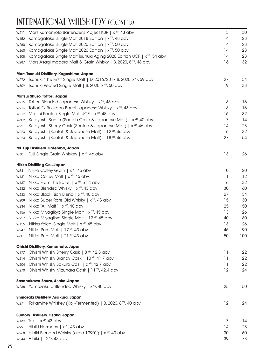## INTERNATIONAL WHISK(E)Y (CONT'D)

| W211 | Mars Kumamoto Bartender's Project KBP   x <sup>YR</sup> , 43 abv                 | 15 | 30  |
|------|----------------------------------------------------------------------------------|----|-----|
| W152 | Komagatake Single Malt 2018 Edition   x <sup>YR</sup> , 48 abv                   | 14 | 28  |
| W260 | Komagatake Single Malt 2020 Edition   x <sup>YR</sup> , 50 abv                   | 14 | 28  |
| W260 | Komagatake Single Malt 2020 Edition   x <sup>YR</sup> , 50 abv                   | 14 | 28  |
| W308 | Komagatake Single Malt Tsunuki Aging 2020 Edition UCF   x <sup>yp</sup> , 54 abv | 14 | 28  |
| W287 | Mars Asagi madara Malt & Grain Whisky   B. 2020, 8 YR, 48 abv                    | 16 | 32  |
|      | Mars Tsunuki Distillery, Kagoshima, Japan                                        |    |     |
|      | w272 Tsunuki "The First" Single Malt   D. 2016/2017 B. 2020, x VR, 59 abv        | 27 | 54  |
|      | w309 Tsunuki Peated Single Malt   B. 2020, x YR, 50 abv                          | 19 | 38  |
|      | Matsui Shuzo, Tottori, Japan                                                     |    |     |
| W215 | Tottori Blended Japanese Whisky   x YR, 43 abv                                   | 8  | 16  |
| W216 | Tottori Ex-Bourbon Barrel Japanese Whisky   x <sup>YR</sup> , 43 abv             | 8  | 16  |
| W219 | Matsui Peated Single Malt UCF   x <sup>YR</sup> , 48 abv                         | 16 | 32  |
| W302 | Kurayoshi San-In (Scotch Grain & Japanese Malt)   x <sup>YR</sup> , 40 abv       | 7  | 14  |
| W221 | Kurayoshi Sherry Cask (Scotch & Japanese Malt)   x <sup>YR</sup> , 46 abv        | 14 | 28  |
| W223 | Kurayoshi (Scotch & Japanese Malt)   12 <sup>YR</sup> , 46 abv                   | 16 | 32  |
| W224 | Kurayoshi (Scotch & Japanese Malt)   18 YR, 46 abv                               | 27 | 54  |
|      | Mt. Fuji Distillery, Gotemba, Japan                                              |    |     |
|      | W301 Fuji Single Grain Whiskey   x <sup>YR</sup> , 46 abv                        | 13 | 26  |
|      | Nikka Distilling Co., Japan                                                      |    |     |
| W54  | Nikka Coffey Grain   x <sup>YR</sup> , 45 abv                                    | 10 | 20  |
| W181 | Nikka Coffey Malt   x <sup>YR</sup> , 45 abv                                     | 11 | 12  |
| W187 | Nikka From the Barrel   x <sup>YR</sup> , 51.4 abv                               | 16 | 32  |
| W232 | Nikka Blended Whisky   x <sup>YR</sup> , 43 abv                                  | 30 | 60  |
| W233 | Nikka Black Rich Blend   x <sup>YR</sup> , 40 abv                                | 27 | 54  |
| W209 | Nikka Super Rare Old Whisky   x <sup>YR</sup> , 43 abv                           | 15 | 30  |
| W234 | Nikka "All Malt"   x YR, 40 abv                                                  | 25 | 50  |
| W156 | Nikka Miyagikyo Single Malt   x YR, 45 abv                                       | 13 | 26  |
| W257 | Nikka Miyagikyo Single Malt   12 YR, 45 abv                                      | 40 | 80  |
| W155 | Nikka Yoichi Single Malt   x <sup>YR</sup> , 45 abv                              | 13 | 26  |
| W247 | Nikka Pure Malt   17 YR, 43 abv                                                  | 45 | 90  |
| W60  | Nikka Pure Malt   21 YR, 43 abv                                                  | 50 | 100 |
|      | Ohishi Distillery, Kumamoto, Japan                                               |    |     |
| W177 | Ohishi Whisky Sherry Cask   8 <sup>YR</sup> , 42.3 abv                           | 11 | 22  |
| W214 | Ohishi Whisky Brandy Cask   10 <sup>YR</sup> , 41.7 abv                          | 11 | 22  |
| W204 | Ohishi Whisky Sakura Cask   x <sup>YR</sup> , 42.7 abv                           | 11 | 22  |
| W270 | Ohishi Whisky Mizunara Cask   11 YR, 42.4 abv                                    | 12 | 24  |
|      | Sasanokawa Shuzo, Asaka, Japan                                                   |    |     |
|      | w236 Yamazakura Blended Whisky   x YR, 40 abv                                    | 25 | 50  |
|      | Shinozaki Distillery, Asakura, Japan                                             |    |     |
|      | w271 Takamine Whiskey (Koji-Fermented)   B. 2020, 8 YR, 40 abv                   | 12 | 24  |
|      | <b>Suntory Distillery, Osaka, Japan</b>                                          |    |     |
|      | W139 Toki   $x^{\gamma R}$ , 43 abv                                              | 7  | 14  |
| W99  | Hibiki Harmony   x YR, 43 abv                                                    | 14 | 28  |
| W268 | Hibiki Blended Whisky (circa 1990's)   x <sup>YR</sup> , 43 abv                  | 30 | 60  |
| W244 | Hibiki   12 YR, 43 abv                                                           | 39 | 78  |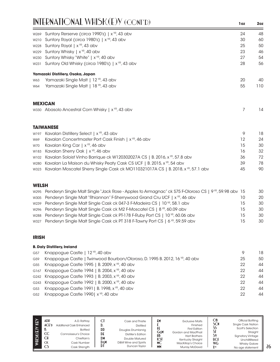|      | INTERNATIONAL WHISK(E)Y (CONT'D)                                                       | 1oz | 2oz |
|------|----------------------------------------------------------------------------------------|-----|-----|
| W269 | Suntory Rerserve (circa 1990's)   x <sup>YR</sup> , 43 abv                             | 24  | 48  |
| W210 | Suntory Royal (circa 1980's)   x YR, 43 abv                                            | 30  | 60  |
| W228 | Suntory Royal   x <sup>YR</sup> , 43 abv                                               | 25  | 50  |
| W229 | Suntory Whisky   x <sup>YR</sup> , 40 abv                                              | 23  | 46  |
| W230 | Suntory Whisky "White"   x YR, 40 abv                                                  | 27  | 54  |
| W231 | Suntory Old Whisky (circa 1980's)   x YR, 43 abv                                       | 28  | 56  |
|      | Yamazaki Distillery, Osaka, Japan                                                      |     |     |
| W63  | Yamazaki Single Malt   12 YR, 43 abv                                                   | 20  | 40  |
| W64  | Yamazaki Single Malt   18 YR, 43 abv                                                   | 55  | 110 |
|      | <b>MEXICAN</b>                                                                         |     |     |
|      | w330 Abasolo Ancestral Corn Whisky   x <sup>YR</sup> , 43 abv                          | 7   | 14  |
|      | <b>TAIWANESE</b>                                                                       |     |     |
| W197 | Kavalan Distillery Select   x <sup>YR</sup> , 43 abv                                   | 9   | 18  |
| W69  | Kavalan Concertmaster Port Cask Finish   x <sup>YR</sup> , 46 abv                      | 12  | 24  |
| W70  | Kavalan King Car   x <sup>YR</sup> , 46 abv                                            | 15  | 30  |
| W183 | Kavalan Sherry Oak   x <sup>YR</sup> , 46 abv                                          | 16  | 32  |
| W102 | Kavalan Soloist Vinho Barrique ck W120302027A CS   B. 2016, x <sup>vR</sup> , 57.8 abv | 36  | 72  |
| W280 | Kavalan La Maison du Whisky Peaty Cask CS UCF   B. 2015, x <sup>vP</sup> , 54 abv      | 39  | 78  |

w323 Kavalan Moscatel Sherry Single Cask ck MO110321017A CS | B. 2018, x<sup>vp</sup>, 57.1 abv 45 45 90

#### **WELSH**

| 20  |
|-----|
| 30  |
| 30  |
| 30  |
| 30. |
|     |

#### **IRISH**

#### **B. Daly Distillery, Ireland**

| Knappogue Castle   12 YR, 40 abv                                            | 9  | 18 |
|-----------------------------------------------------------------------------|----|----|
| Knappogue Castle   Twinwood Bourbon/Oloroso, D. 1995 B. 2012, 16 YP, 40 abv | 25 | 50 |
| Knappogue Castle 1995   B. 2009, x YR, 40 abv                               | 22 | 44 |
| G167 Knappogue Castle 1994   B. 2004, x <sup>YR</sup> , 40 abv              | 22 | 44 |
| G242 Knappogue Castle 1993   B. 2003, x YR, 40 abv                          | 22 | 44 |
| G243 Knappogue Castle 1992   B. 2000, x YR, 40 abv                          | 22 | 44 |
| Knappogue Castle 1991   B. 1998, x <sup>YR</sup> , 40 abv                   | 22 | 44 |
| Knappogue Castle 1990   x YR, 40 abv                                        | 22 | 44 |
|                                                                             |    |    |

| Ιĝ | ADP<br>ACFD<br>D.<br>CC<br><b>CH</b><br><b>CK</b><br>CS. | A.D. Rattray<br>Additional Cask Enhanced<br><b>Bottled</b><br>Connoisseur's Choice<br>Chieftain's<br>Cask Number<br>Cask Strength | C<br>υ.<br>DD<br>DF<br>DM<br>DεM<br>DI | Cask and Thistle<br><b>Distilled</b><br>Douglas Drumlanrig<br>Distiller's Edition<br>Double Matured<br>D&M Wine and Spirits<br>Duncan Tavlor | £М<br>tέ<br>GεM<br>HB<br><b>KSI</b><br>МC<br>MM | <b>Exclusive Malts</b><br>Finished<br><b>First Edition</b><br>Gordon and MacPhail<br><b>Hart Brothers</b><br>Kentucky Straight<br>MacKillop's Choice<br><b>Murray McDavid</b> | ОB<br>SCN<br>SS<br>SI<br>S۱<br><b>UCF</b><br><b>WG</b><br><b>XYR</b> | Official Bottling<br><b>Single Cask Nation</b><br>Scott's Selection<br>Straight<br><b>Signatory Vintage</b><br>Unchillfiltered<br><b>Whisky Galore</b><br>No age statement |
|----|----------------------------------------------------------|-----------------------------------------------------------------------------------------------------------------------------------|----------------------------------------|----------------------------------------------------------------------------------------------------------------------------------------------|-------------------------------------------------|-------------------------------------------------------------------------------------------------------------------------------------------------------------------------------|----------------------------------------------------------------------|----------------------------------------------------------------------------------------------------------------------------------------------------------------------------|
|----|----------------------------------------------------------|-----------------------------------------------------------------------------------------------------------------------------------|----------------------------------------|----------------------------------------------------------------------------------------------------------------------------------------------|-------------------------------------------------|-------------------------------------------------------------------------------------------------------------------------------------------------------------------------------|----------------------------------------------------------------------|----------------------------------------------------------------------------------------------------------------------------------------------------------------------------|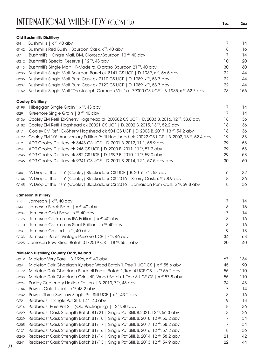|      | <b>Old Bushmill's Distillery</b>                                                                                     |    |     |
|------|----------------------------------------------------------------------------------------------------------------------|----|-----|
| G4   | Bushmill's   x YR, 40 abv                                                                                            | 7  | 14  |
|      | G142 Bushmill's Red Bush   Bourbon Cask, x <sup>YR</sup> , 40 abv                                                    | 8  | 16  |
| G7   | Bushmill's   Single Malt, DM, Oloroso/Bourbon, 10 YR, 40 abv                                                         | 7  | 14  |
| G212 | Bushmill's Special Reserve   12 YR, 43 abv                                                                           | 10 | 20  |
| G113 | Bushmill's Single Malt   F-Madeira, Oloroso, Bourbon 21 YR, 40 abv                                                   | 30 | 60  |
| G235 | Bushmill's Single Malt Bourbon Barrel ck 8141 CS UCF   D. 1989, x <sup>vR</sup> , 56.5 abv                           | 22 | 44  |
| G236 | Bushmill's Single Malt Rum Cask ck 7110 CS UCF   D. 1989, x <sup>YR</sup> , 53.7 abv                                 | 22 | 44  |
| G237 | Bushmill's Single Malt Rum Cask ck 7122 CS UCF   D. 1989, x <sup>VR</sup> , 53.7 abv                                 | 22 | 44  |
| G162 | Bushmill's Single Malt "The Joseph Garneau Visit" ck 79000 CS UCF   B. 1985, x <sup>VP</sup> , 62.7 abv              | 78 | 156 |
|      | <b>Cooley Distillery</b>                                                                                             |    |     |
| G199 | Kilbeggan Single Grain   x YR, 43 abv                                                                                | 7  | 14  |
| G29  | Greenore Single Grain   8 <sup>YR</sup> , 40 abv                                                                     | 7  | 14  |
| G136 | Cooley EM Refill Ex-Sherry Hogshead ck 200502 CS UCF   D. 2003 B. 2016, 12 YR, 53.8 abv                              | 18 | 36  |
| G102 | Cooley EM Refill Hogshead ck 20021 CS UCF   D. 2002 B. 2015, 13 YP, 52.2 abv                                         | 18 | 36  |
| G171 | Cooley EM Refill Ex-Sherry Hogshead ck 504 CS UCF   D. 2003 B. 2017, 13 YR, 54.2 abv                                 | 18 | 36  |
| G122 | Cooley EM 10 <sup>™</sup> Anniversary Edition Refill Hogshead ck 20022 CS UCF   B. 2002, 13 <sup>vr</sup> , 52.4 abv | 19 | 38  |
| G12  | ADR Cooley Distillery ck 3443 CS UCF   D. 2001 B. 2012, 11 YR, 55.9 abv                                              | 29 | 58  |
| G244 | ADR Cooley Distillery ck 246 CS UCF   D. 2000 B. 2011, 11 YR, 57.7 abv                                               | 29 | 58  |
| G245 | ADR Cooley Distillery ck 882 CS UCF   D. 1999 B. 2010, 11 YR, 59.0 abv                                               | 29 | 58  |
| G246 | ADR Cooley Distillery ck 9941 CS UCF   D. 2001 B. 2014, 12 YR, 57.5 abv abv                                          | 30 | 60  |
| G84  | "A Drop of the Irish" (Cooley) Blackadder CS UCF   B. 2016, x YR, 58 abv                                             | 16 | 32  |
| G144 | "A Drop of the Irish" (Cooley) Blackadder CS 2016   Sherry Cask, x <sup>VP</sup> , 58.9 abv                          | 18 | 36  |
| G145 | "A Drop of the Irish" (Cooley) Blackadder CS 2016   Jamaican Rum Cask, x <sup>vp</sup> , 59.8 abv                    | 18 | 36  |
|      | <b>Jameson Distillery</b>                                                                                            |    |     |
| F14  | Jameson   $x^{\gamma R}$ , 40 abv                                                                                    | 7  | 14  |
| G44  | Jameson Black Barrel   x <sup>YR</sup> , 40 abv                                                                      | 8  | 16  |
| G234 | Jameson Cold Brew   x <sup>YR</sup> , 40 abv                                                                         | 7  | 14  |
| G175 | Jameson Caskmates IPA Edition   x <sup>YR</sup> , 40 abv                                                             | 8  | 16  |
| G110 | Jameson Caskmates Stout Edition   x <sup>YR</sup> , 40 abv                                                           | 8  | 16  |
| G231 | Jameson Crested   x YR, 40 abv                                                                                       | 9  | 18  |
| G133 | Jameson Rarest Vintage Reserve UCF   x <sup>YR</sup> , 46 abv                                                        | 34 | 68  |
|      | G225 Jameson Bow Street Batch 01/2019 CS   18 YR, 55.1 abv                                                           | 20 | 40  |
|      | Midleton Distillery, Country Cork, Ireland                                                                           |    |     |
| G219 | Midleton Very Rare   B. 1996, x YR, 40 abv                                                                           | 67 | 134 |
| G241 | Midleton Dair Ghaelach Kylebeg Wood Batch 1, Tree 1 UCF CS   x <sup>YR</sup> 55.6 abv                                | 45 | 90  |
| G172 | Midleton Dair Ghaelach Bluebell Forest Batch 1, Tree 4 UCF CS   x <sup>YR</sup> 56.2 abv                             | 55 | 110 |
| G238 | Midleton Dair Ghaelach Grinsell's Wood Batch 1, Tree 8 UCF CS   $x^{\gamma R}$ 57.8 abv                              | 55 | 110 |
| G224 | Paddy Centenary Limited Edition   B. 2013, 7 YR, 43 abv                                                              | 24 | 48  |
| G184 | Powers Gold Label   x <sup>YR</sup> , 43.2 abv                                                                       | 7  | 14  |
| G232 | Powers Three Swallow Single Pot Still UCF   x <sup>YR</sup> , 43.2 abv                                               | 8  | 16  |
| G72  | Redbreast   Single Pot Still, 12 YR, 40 abv                                                                          | 9  | 18  |
| G214 | Redbreast Pure Pot Still (Old Packaging)   12 YR, 40 abv                                                             | 18 | 36  |
| G229 | Redbreast Cask Strength Batch B1/21   Single Pot Still, B.2021, 12 YR, 56.3 abv                                      | 13 | 26  |
| G239 | Redbreast Cask Strength Batch B1/18   Single Pot Still, B. 2018, 12 YR, 56.2 abv                                     | 17 | 34  |
| G205 | Redbreast Cask Strength Batch B1/17   Single Pot Still, B. 2017, 12 YP, 58.2 abv                                     | 17 | 34  |
| G131 | Redbreast Cask Strength Batch B1/16   Single Pot Still, B. 2016, 12 YR, 57.2 abv                                     | 18 | 36  |
| G240 | Redbreast Cask Strength Batch B1/14   Single Pot Still, B. 2014, 12 YR, 58.2 abv                                     | 21 | 42  |
|      |                                                                                                                      |    |     |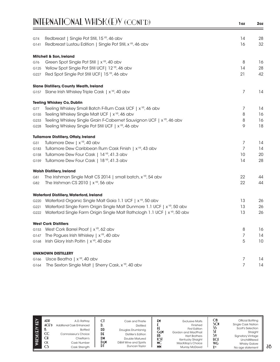|      | INTERNATIONAL WHISK(E)Y (CONT'D)                                                      | 1oz | 2oz |
|------|---------------------------------------------------------------------------------------|-----|-----|
| G74  | Redbreast   Single Pot Still, 15 YR, 46 abv                                           | 14  | 28  |
| G141 | Redbreast Lustau Edition   Single Pot Still, x <sup>YR</sup> , 46 abv                 | 16  | 32  |
|      | <b>Mitchell &amp; Son, Ireland</b>                                                    |     |     |
| G76  | Green Spot Single Pot Still   x YR, 40 abv                                            | 8   | 16  |
| G125 | Yellow Spot Single Pot Still UCF   12 <sup>YR</sup> , 46 abv                          | 14  | 28  |
| G227 | Red Spot Single Pot Still UCF  15 YR, 46 abv                                          | 21  | 42  |
|      | <b>Slane Distillery, County Meath, Ireland</b>                                        |     |     |
|      | G157 Slane Irish Whiskey Triple Cask   x <sup>YR</sup> , 40 abv                       | 7   | 14  |
|      | <b>Teeling Whiskey Co, Dublin</b>                                                     |     |     |
| G77  | Teeling Whiskey Small Batch F-Rum Cask UCF   x <sup>YR</sup> , 46 abv                 | 7   | 14  |
| G155 | Teeling Whiskey Single Malt UCF   x <sup>YR</sup> , 46 abv                            | 8   | 16  |
| G233 | Teeling Whiskey Single Grain F-Cabernet Sauvignon UCF   x <sup>YR</sup> , 46 abv      | 8   | 16  |
| G228 | Teeling Whiskey Single Pot Still UCF   x YR, 46 abv                                   | 9   | 18  |
|      | <b>Tullamore Distillery, Offaly, Ireland</b>                                          |     |     |
| G31  | Tullamore Dew   x <sup>YR</sup> , 40 abv                                              | 7   | 14  |
| G183 | Tullamore Dew Caribbean Rum Cask Finish   x <sup>YR</sup> , 43 abv                    | 7   | 14  |
| G158 | Tullamore Dew Four Cask   14 YR, 41.3 abv                                             | 10  | 20  |
| G159 | Tullamore Dew Four Cask   18 YR, 41.3 abv                                             | 14  | 28  |
|      | <b>Walsh Distillery, Ireland</b>                                                      |     |     |
| G81  | The Irishman Single Malt CS 2014   small batch, x <sup>YR</sup> , 54 abv              | 22  | 44  |
| G82  | The Irishman CS 2010   $x^{YR}$ , 56 abv                                              | 22  | 44  |
|      | <b>Waterford Distillery, Waterford, Ireland</b>                                       |     |     |
| G220 | Waterford Organic Single Malt Gaia 1.1 UCF   x <sup>YR</sup> , 50 abv                 | 13  | 26  |
| G221 | Waterford Single Farm Origin Single Malt Dunmore 1.1 UCF   x <sup>vR</sup> , 50 abv   | 13  | 26  |
| G222 | Waterford Single Farm Origin Single Malt Rathclogh 1.1 UCF   x <sup>YR</sup> , 50 abv | 13  | 26  |
|      | <b>West Cork Distillers</b>                                                           |     |     |
| G153 | West Cork Barrel Proof   x <sup>YR</sup> , 62 abv                                     | 8   | 16  |
| G147 | The Pogues Irish Whiskey   $x^{\gamma R}$ , 40 abv                                    | 7   | 14  |
| G168 | Irish Glory Irish Poitin   x <sup>YR</sup> , 40 abv                                   | 5   | 10  |
|      | <b>UNKNOWN DISTILLERY</b>                                                             |     |     |
| G166 | Uisce Beatha   $x^{YR}$ , 40 abv                                                      | 7   | 14  |
| G164 | The Sexton Single Malt   Sherry Cask, x <sup>YR</sup> , 40 abv                        | 7   | 14  |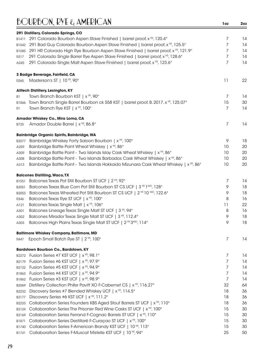### BOURBON, RYE & AMERICAN **1oz 2oz**

|                  | 291 Distillery, Colorado Springs, CO                                                                                                                                     |                |          |
|------------------|--------------------------------------------------------------------------------------------------------------------------------------------------------------------------|----------------|----------|
| B1411            | 291 Colorado Bourbon Aspen Stave Finished   barrel proof, x <sup>YR</sup> , 120.4°                                                                                       | 7              | 14       |
| B1542            | 291 Bad Guy Colorado Bourbon Aspen Stave Finished   barrel proof, $x^{\gamma R}$ , 125.5°                                                                                | 7              | 14       |
| B1585            | 291 HR Colorado High Rye Bourbon Aspen Stave Finished   barrel proof, x <sup>vR</sup> , 121.9°                                                                           | 7              | 14       |
| R317             | 291 Colorado Single Barrel Rye Aspen Stave Finished   barrel proof, x <sup>YR</sup> , 128.6°                                                                             | 7              | 14       |
| A245             | 291 Colorado Single Malt Aspen Stave Finished   barrel proof, x <sup>vp</sup> , 123.6°                                                                                   | 7              | 14       |
|                  |                                                                                                                                                                          |                |          |
|                  | 3 Badge Beverage, Fairfield, CA                                                                                                                                          |                |          |
| R <sub>265</sub> | Masterson's ST   10 YR, 90°                                                                                                                                              | 11             | 22       |
|                  | <b>Alltech Distillery, Lexington, KY</b>                                                                                                                                 |                |          |
| B1               | Town Branch Bourbon KST   x <sup>YR</sup> , 90°                                                                                                                          | 7              | 14       |
|                  | B1066 Town Branch Single Barrel Bourbon ck 558 KST   barrel proof, B. 2017, x <sup>vp</sup> , 125.07°                                                                    | 15             | 30       |
| R1               | Town Branch Rye KST   x <sup>YR</sup> , 100°                                                                                                                             | $\overline{7}$ | 14       |
|                  | Amador Whiskey Co., Mira Loma, CA                                                                                                                                        |                |          |
| B725             | Amador Double Barrel   x <sup>YR</sup> , 86.8°                                                                                                                           | 7              | 14       |
|                  | <b>Bainbridge Organic Spirits, Bainbridge, WA</b>                                                                                                                        |                |          |
| B2077            | Bainbridge Whiskey Forty Saloon Bourbon   x <sup>YR</sup> , 100°                                                                                                         | 9              | 18       |
| A259             | Bainbridge Battle Point Wheat Whiskey   x <sup>YR</sup> , 86°                                                                                                            | 10             | 20       |
| A309             | Bainbridge Battle Point - Two Islands Islay Cask Wheat Whiskey   x <sup>vp</sup> , 86°                                                                                   | 10             | 20       |
| A308             | Bainbridge Battle Point - Two Islands Barbados Cask Wheat Whiskey   x <sup>vp</sup> , 86°                                                                                | 10             | 20       |
| A313             | Bainbridge Battle Point - Two Islands Hokkaido Mizunara Cask Wheat Whiskey   x <sup>VR</sup> , 86°                                                                       | 10             | 20       |
|                  | <b>Balcones Distilling, Waco, TX</b>                                                                                                                                     |                |          |
| B1551            | Balcones Texas Pot Still Bourbon ST UCF   2 YR, 92°                                                                                                                      | 7              | 14       |
| B2051            | Balcones Texas Blue Corn Pot Still Bourbon ST CS UCF   3 YR 1 MO, 128°                                                                                                   | 9              | 18       |
| B2053            | Balcones Texas Wheated Pot Still Bourbon ST CS UCF   2 YR 10 MO, 122.6°                                                                                                  | 9              | 18       |
| R346             | Balcones Texas Rye ST UCF   x YR, 100°                                                                                                                                   | 8              | 16       |
| A121             | Balcones Texas Single Malt   x YR, 106°                                                                                                                                  | 11             | 22       |
| A301             | Balcones Lineage Texas Single Malt ST UCF   3 YP, 94°                                                                                                                    | 8              | 16       |
| A302             | Balcones Mirador Texas Single Malt ST UCF   3 YR, 112.4°                                                                                                                 | 9              | 18       |
| A303             | Balcones High Plains Texas Single Malt ST UCF   2 YR 3MO, 114°                                                                                                           | 9              | 18       |
|                  | <b>Baltimore Whiskey Company, Baltimore, MD</b>                                                                                                                          |                |          |
| R447             | Epoch Small Batch Rye ST   2 YR, 100°                                                                                                                                    | 7              | 14       |
|                  | <b>Bardstown Bourbon Co., Bardstown, KY</b>                                                                                                                              |                |          |
|                  | Fusion Series #7 KST UCF   x YR, 98.1°                                                                                                                                   | 7              | 14       |
| B2272<br>B2179   | Fusion Series #6 KST UCF   x YR, 97.9°                                                                                                                                   | 7              | 14       |
| B2122            | Fusion Series #5 KST UCF   x <sup>YR</sup> , 94.9°                                                                                                                       | 7              | 14       |
| B1863            | Fusion Series #4 KST UCF   x YR, 94.9°                                                                                                                                   | 7              | 14       |
| B1862            | Fusion Series #3 KST UCF   x YR, 98.9°                                                                                                                                   | 7              | 14       |
|                  | Distillery Collection Phifer Pavitt XO F-Cabernet CS   x <sup>YR</sup> , 116.27°                                                                                         | 32             | 64       |
| B2069            | Discovery Series #7 Blended Whiskey UCF   x <sup>YR</sup> , 114.5°                                                                                                       | 18             | 36       |
| B2232            | Discovery Series #6 KST UCF   x <sup>YR</sup> , 111.2°                                                                                                                   | 18             | 36       |
| B2177            |                                                                                                                                                                          |                |          |
| B2233            | Collaboration Series Founders KBS Aged Stout Barrels ST UCF   x <sup>vp</sup> , 110°<br>Collaboration Series The Prisoner Red Wine Casks ST UCF   x <sup>YR</sup> , 100° | 18<br>15       | 36<br>30 |
| B2124            | Collaboration Series Ferrand F-Cognac Barrels ST UCF   x <sup>vp</sup> , 110°                                                                                            | 15             | 30       |
| B2169            | Collaboration Series Destillaré F-Curaçao ST UCF   x VR, 100°                                                                                                            | 15             | 30       |
| B1871            | Collaboration Series F-American Brandy KST UCF   10 YR, 113°                                                                                                             | 15             | 30       |
| B1740<br>B1741   | Collaboration Series F-Muscat Mistelle KST UCF   10 YR, 94°                                                                                                              | 25             | 50       |
|                  |                                                                                                                                                                          |                |          |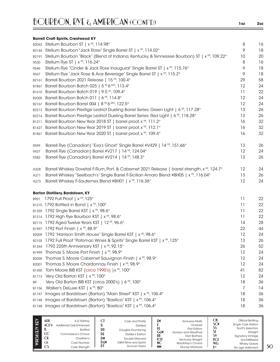|              | <b>Barrell Craft Spirits, Crestwood KY</b>                                                                |    |    |
|--------------|-----------------------------------------------------------------------------------------------------------|----|----|
|              | B2042 Stellum Bourbon ST   x <sup>YR</sup> , 114.98°                                                      | 8  | 16 |
| B2144        | Stellum Bourbon "Jack Rose" Single Barrel ST   x <sup>YR</sup> , 114.02°                                  | 9  | 18 |
| B2191        | Stellum Bourbon "Black" (Blend of Indiana, Kentucky, & Tennessee Bourbon) ST   x <sup>YP</sup> , 109.22°  | 10 | 20 |
| R530         | Stellum Rye ST   x <sup>YR</sup> , 116.24°                                                                | 8  | 16 |
| R546         | Stellum Rye "Cinder & Jack Rose Inaugural" Single Barrel ST   x <sup>YR</sup> , 115.76°                   | 9  | 18 |
| R547         | Stellum Rye "Jack Rose & Ace Beverage" Single Barrel ST   x <sup>YR</sup> , 115.2°                        | 9  | 18 |
| B2161        | Barrell Bourbon 2021 Release   15 YR, 100.4°                                                              | 29 | 58 |
| B1867        | Barrell Bourbon Batch 025   5 YR 6 MO, 113.4°                                                             | 12 | 24 |
| B1610        | Barrell Bourbon Batch 019   9.5 YR, 109.4°                                                                | 11 | 22 |
| B2005        | Barrell Bourbon Batch 011   6 <sup>YR</sup> , 114.8°                                                      | 12 | 24 |
| B2167        | Barrell Bourbon Barrel 004   8 YR 6 MO, 122.5°                                                            | 12 | 24 |
| B2213        | Barrell Bourbon Prestige Ledriot Dueling Barrel Series: Green Light   6 <sup>VR</sup> , 117.28°           | 13 | 26 |
| B2214        | Barrell Bourbon Prestige Ledriot Dueling Barrel Series: Red Light   6 <sup>VR</sup> , 118.28°             | 13 | 26 |
| B1211        | Barrell Bourbon New Year 2018 ST   barrel proof, x <sup>vR</sup> , 111.2°                                 | 16 | 32 |
| B1427        | Barrell Bourbon New Year 2019 ST   barrel proof, x YR, 112.1°                                             | 16 | 32 |
| B1861        | Barrell Bourbon New Year 2020 ST   barrel proof, x YR, 109.4°                                             | 16 | 32 |
| R599         | Barrell Rye (Canadian) "Eva's Ghost" Single Barrel #V429   14 YR, 151.66°                                 | 13 | 26 |
| R437         | Barrell Rye (Canadian) Barrel #V217   14 YR, 124.04°                                                      | 12 | 24 |
| R382         | Barrell Rye (Canadian) Barrel #V214   14 YR, 148.3°                                                       | 13 | 26 |
| A328         | Barrell Whiskey Dovetail F-Rum, Port, & Cabernet 2021 Release   barrel strength, x <sup>VR</sup> , 124.7° | 12 | 24 |
| A271         | Barrell Whiskey "Seelbach's" Single Barrel F-Sicilian Amaro Blend #BH05   x <sup>YR</sup> , 116.04°       | 13 | 26 |
| A273         | Barrell Whiskey F-Sauternes Blend #BH01   x <sup>YR</sup> , 116.36°                                       | 12 | 24 |
|              | <b>Barton Distillery, Bardstown, KY</b>                                                                   |    |    |
| B951         | 1792 Full Proof   x <sup>YR</sup> , 125°                                                                  | 11 | 22 |
|              | B1215 1792 Bottled in Bond   x <sup>YR</sup> , 100°                                                       | 11 | 22 |
|              | B1259 1792 Single Barrel KST   x <sup>YR</sup> , 98.6°                                                    | 11 | 22 |
|              | B1214 1792 High Rye Bourbon KST   x <sup>YR</sup> , 98.6°                                                 | 11 | 22 |
|              | B2115 1792 Aged Twelve Years KST   12 YR, 96.6°                                                           | 14 | 28 |
|              | B1997 1792 Port Finish   x <sup>YR</sup> , 88.9°                                                          | 22 | 44 |
|              | B2009 1792 "Harrison Smith House" Single Barrel KST   x <sup>YR</sup> , 98.6°                             | 12 | 24 |
|              | B2103 1792 Full Proof "Potomac Wines & Spirits" Single Barrel KST   x <sup>vR</sup> , 125°                | 13 | 26 |
| B1344        | 1792 225th Anniversary KST   $x^{\gamma R}$ , 92.15 $^{\circ}$                                            | 26 | 52 |
| B1999        | Thomas S. Moore Port Finish   x <sup>YR</sup> , 98.9°                                                     | 12 | 24 |
| <b>B2000</b> | Thomas S. Moore Cabernet Sauvignon Finish   x <sup>YR</sup> , 98.9°                                       | 12 | 24 |
| B2001        | Thomas S. Moore Chardonnay Finish   x <sup>YR</sup> , 98.9°                                               | 12 | 24 |
| B1450        | Tom Moore BIB KST (circa 1990's)   x YR, 100°                                                             | 41 | 82 |
| B1713        | Very Old Barton KST   x <sup>YR</sup> , 100°                                                              | 12 | 24 |
| B9           | Very Old Barton BIB KST (circa 2000's)   6 <sup>YR</sup> , 100°                                           | 18 | 36 |
| B1156        | Walker's DeLuxe KST   x YR, 80°                                                                           | 7  | 14 |
| B1747        | Images of Bardstown (Barton) "Main Street" KST   x VR, 106.4°                                             | 18 | 36 |
| B1748        | Images of Bardstown (Barton) "Basilica" KST   x <sup>YR</sup> , 106.4°                                    | 18 | 36 |
| B1748        | Images of Bardstown (Barton) "Basilica" KST   x <sup>YR</sup> , 106.4°                                    | 18 | 36 |

| $\widehat{\mathbf{\Theta}}$ | ADR<br>ACFD<br>D.<br>CC<br>СH<br><b>CK</b><br>CS | A.D. Rattrav<br>Additional Cask Enhanced<br><b>Bottled</b><br>Connoisseur's Choice<br>Chieftain's<br>Cask Number<br>Cask Strength | u<br>ע<br>DD<br>DE<br>DN<br>DεM<br>DI | Cask and Thistle<br><b>Distilled</b><br>Douglas Drumlanrig<br>Distiller's Edition<br>Double Matured<br>D&M Wine and Spirits<br>Duncan Taylor | EM<br>ΗŁ<br>GεM<br>HB<br><b>KSI</b><br>МC<br>MM | <b>Exclusive Malts</b><br>Finished<br><b>First Edition</b><br>Gordon and MacPhail<br><b>Hart Brothers</b><br>Kentucky Straight<br>MacKillop's Choice<br><b>Murray McDavid</b> | OB<br>SCN<br>SS<br>S١<br><b>UCF</b><br><b>WG</b><br><b>XYR</b> | Official Bottling<br><b>Single Cask Nation</b><br>Scott's Selection<br>Straight<br><b>Signatory Vintage</b><br>Unchillfiltered<br><b>Whisky Galore</b><br>No age statement |
|-----------------------------|--------------------------------------------------|-----------------------------------------------------------------------------------------------------------------------------------|---------------------------------------|----------------------------------------------------------------------------------------------------------------------------------------------|-------------------------------------------------|-------------------------------------------------------------------------------------------------------------------------------------------------------------------------------|----------------------------------------------------------------|----------------------------------------------------------------------------------------------------------------------------------------------------------------------------|
|-----------------------------|--------------------------------------------------|-----------------------------------------------------------------------------------------------------------------------------------|---------------------------------------|----------------------------------------------------------------------------------------------------------------------------------------------|-------------------------------------------------|-------------------------------------------------------------------------------------------------------------------------------------------------------------------------------|----------------------------------------------------------------|----------------------------------------------------------------------------------------------------------------------------------------------------------------------------|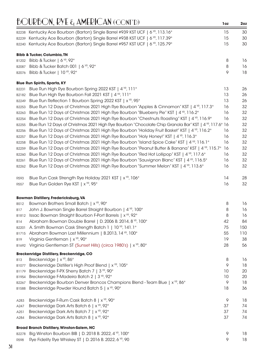|                     | $\sim$ on $\nu$ only in $\epsilon$ of $\ell$ in tent of $\epsilon$ in $\sim$ of $\epsilon$ in $\nu$                |          | --        |
|---------------------|--------------------------------------------------------------------------------------------------------------------|----------|-----------|
|                     | B2238 Kentucky Ace Bourbon (Barton) Single Barrel #939 KST UCF   6 YR, 113.16°                                     | 15       | 30        |
| B2239               | Kentucky Ace Bourbon (Barton) Single Barrel #938 KST UCF   6 YR, 117.39°                                           | 15       | 30        |
| B2240               | Kentucky Ace Bourbon (Barton) Single Barrel #957 KST UCF   6 YR, 125.79°                                           | 15       | 30        |
|                     | <b>Bibb &amp; Tucker, Columbia, TN</b>                                                                             |          |           |
| B1202               | Bibb & Tucker   $6^{\text{VP}}$ , 92°                                                                              | 8        | 16        |
| B2087               | Bibb & Tucker Batch 001   $6$ <sup>YR</sup> , 92°                                                                  | 8        | 16        |
| B2076               | Bibb & Tucker   10 YR, 92°                                                                                         | 9        | 18        |
|                     | <b>Blue Run Spirits, Sparta, KY</b>                                                                                |          |           |
| B2231               | Blue Run High Rye Bourbon Spring 2022 KST   4 YR, 111°                                                             | 13       | 26        |
| B2182               | Blue Run High Rye Bourbon Fall 2021 KST   4 YR, 111°                                                               | 13       | 26        |
| B2249               | Blue Run Reflection 1 Bourbon Spring 2022 KST   x <sup>YR</sup> , 95°                                              | 13       | 26        |
| B2253               | Blue Run 12 Days of Christmas 2021 High Rye Bourbon "Apples & Cinnamon" KST   4 YR, 117.3°                         | 16       | 32        |
| B2263               | Blue Run 12 Days of Christmas 2021 High Rye Bourbon "Blueberry Pie" KST   4 <sup>VR</sup> , 116.2°                 | 16       | 32        |
| B2254               | Blue Run 12 Days of Christmas 2021 High Rye Bourbon "Chestnuts Roasting" KST   4 <sup>VR</sup> , 116.9°            | 16       | 32        |
| B2255               | Blue Run 12 Days of Christmas 2021 High Rye Bourbon "Chocolate Chip Granola Bar" KST   4 <sup>VR</sup> , 117.6° 16 |          | 32        |
| B2256               | Blue Run 12 Days of Christmas 2021 High Rye Bourbon "Holiday Fruit Basket" KST   4 YR, 116.2°                      | 16       | 32        |
| B2257               | Blue Run 12 Days of Christmas 2021 High Rye Bourbon "Holy Honey!" KST   4 <sup>VR</sup> , 116.3°                   | 16       | 32        |
| B2258               | Blue Run 12 Days of Christmas 2021 High Rye Bourbon "Island Spice Cake" KST   4 \m, 116.1°                         | 16       | 32        |
| B2259               | Blue Run 12 Days of Christmas 2021 High Rye Bourbon "Peanut Butter & Banana" KST   4 YR, 115.7°                    | 16       | 32        |
| B2260               | Blue Run 12 Days of Christmas 2021 High Rye Bourbon "Red Hot Lollipop" KST   4 <sup>VR</sup> , 117.6°              | 16       | 32        |
| B2261               | Blue Run 12 Days of Christmas 2021 High Rye Bourbon "Sauvignon Blanc" KST   4 $\%$ , 116.5°                        | 16       | 32        |
| B2262               | Blue Run 12 Days of Christmas 2021 High Rye Bourbon "Summer Melon" KST   4 <sup>VR</sup> , 113.6°                  | 16       | 32        |
| R593                | Blue Run Cask Strength Rye Holiday 2021 KST   x <sup>YR</sup> , 106°                                               | 14       | 28        |
| R557                | Blue Run Golden Rye KST   x <sup>YR</sup> , 95°                                                                    | 16       | 32        |
|                     |                                                                                                                    |          |           |
|                     | <b>Bowman Distillery, Fredericksburg, VA</b>                                                                       |          |           |
| B512                | Bowman Brothers Small Batch   x <sup>YR</sup> , 90°                                                                | 8        | 16        |
| B17                 | John J. Bowman Single Barrel Straight Bourbon   4 YR, 100°                                                         | 8        | 16        |
| B1812               | Issac Bowman Straight Bourbon F-Port Barrels   x <sup>YR</sup> , 92°                                               | 8        | 16        |
| B14                 | Abraham Bowman Double Barrel   D. 2006 B. 2014, 8 YR, 100°                                                         | 42       | 84        |
| B2201               | A. Smith Bowman Cask Strength Batch 1   10 YR, 141.1°                                                              | 75       | 150       |
|                     | B1715 Abraham Bowman Last Millennium   B.2013, 14 YR, 100°<br>Virginia Gentleman   x <sup>YR</sup> , 90°           | 55<br>19 | 110<br>38 |
| <b>B19</b>          |                                                                                                                    |          |           |
| B1692               | Virginia Gentleman ST (Sunset Hills) (circa 1980's)   x <sup>YR</sup> , 80°                                        | 28       | 56        |
|                     | Breckenridge Distillery, Breckenridge, CO<br>Breckenridge   x <sup>YR</sup> , 86°                                  | 8        | 16        |
| <b>B13</b><br>B1077 | Breckenridge Distiller's High Proof Blend   x <sup>YR</sup> , 105°                                                 | 9        | 18        |
| B1179               | Breckenridge F-PX Sherry Batch 7   3 YR, 90°                                                                       | 10       | 20        |
| B1954               | Breckenridge F-Madeira Batch 2   3 YR, 92°                                                                         | 10       | 20        |
| B2267               | Breckenridge Bourbon Denver Broncos Champions Blend - Team Blue   x <sup>vR</sup> , 86°                            | 9        | 18        |
| B1588               | Breckenridge Powder Hound Batch 5   x <sup>YR</sup> , 90°                                                          | 18       | 36        |
|                     |                                                                                                                    |          |           |
| A283                | Breckenridge F-Rum Cask Batch 8   x <sup>YR</sup> , 90°                                                            | 9        | 18        |
| A247                | Breckenridge Dark Arts Batch 6   x YR, 92°                                                                         | 37       | 74        |
| A251                | Breckenridge Dark Arts Batch 7   x <sup>YR</sup> , 92°<br>Breckenridge Dark Arts Batch 8   x <sup>YR</sup> , 92°   | 37<br>37 | 74<br>74  |
| A284                |                                                                                                                    |          |           |
|                     | <b>Broad Branch Distillery, Winston-Salem, NC</b>                                                                  |          |           |
| B2278               | Big Winston Bourbon BIB   D. 2018 B. 2022, 4 YR, 100°                                                              | 9        | 18        |
| R <sub>598</sub>    | Rye Fidelity Rye Whiskey ST   D. 2016 B. 2022, 6 YR, 90                                                            | 9        | 18        |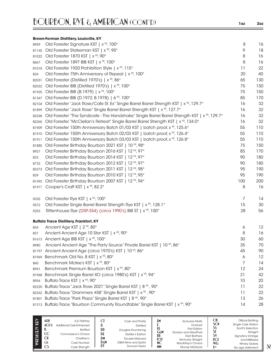|                  | <b>Brown-Forman Distillery, Louisville, KY</b>                                                            |     |     |
|------------------|-----------------------------------------------------------------------------------------------------------|-----|-----|
| B959             | Old Forester Signature KST   x <sup>YR</sup> , 100°                                                       | 8   | 16  |
| B1145            | Old Forester Statesman KST   x <sup>YR</sup> , 95°                                                        | 9   | 18  |
| B1022            | Old Forester 1870 KST   x <sup>YR</sup> , 90°                                                             | 8   | 16  |
| B667             | Old Forester 1897 BIB KST   x <sup>YR</sup> , 100°                                                        | 8   | 16  |
| B1018            | Old Forester 1920 Prohibition Style   x <sup>YR</sup> , 115°                                              | 11  | 22  |
| <b>B24</b>       | Old Forester 75th Anniversary of Repeal   x <sup>YR</sup> , 100°                                          | 20  | 40  |
| B2031            | Old Forester (Distilled 1970's)   x YR, 86°                                                               | 65  | 130 |
| B2032            | Old Forester BIB (Distilled 1970's)   x <sup>YR</sup> , 100°                                              | 75  | 150 |
| B1925            | Old Forester BIB (B.1979)   x <sup>YR</sup> , 100°                                                        | 75  | 150 |
| B1347            | Old Forester BIB (D.1972, B.1978)   6 YR, 100°                                                            | 85  | 170 |
| B2104            | Old Forester "Jack Rose/Cafe St. Ex" Single Barrel Barrel Strength KST   x <sup>YR</sup> , 129.7°         | 16  | 32  |
| B1899            | Old Forester "Jack Rose" Single Barrel Barrel Strength KST   x <sup>YR</sup> , 127.7°                     | 16  | 32  |
| B2248            | Old Forester "The Syndicate - The Handshake" Single Barrel Barrel Strength KST   x <sup>YP</sup> , 129.7° | 16  | 32  |
| B2265            | Old Forester "McClellan's Retreat" Single Barrel Barrel Strength KST   x <sup>YP</sup> , 134.0°           | 16  | 32  |
| B1909            | Old Forester 150th Anniversary Batch 01/03 KST   batch proof, x <sup>YR</sup> , 125.6°                    | 55  | 110 |
| B1910            | Old Forester 150th Anniversary Batch 02/03 KST   batch proof, x <sup>vR</sup> , 126.4°                    | 55  | 110 |
| B1911            | Old Forester 150th Anniversary Batch 03/03 KST   batch proof, x <sup>YR</sup> , 126.8°                    | 55  | 110 |
| B1885            | Old Forester Birthday Bourbon 2021 KST   10 YR, 98°                                                       | 75  | 150 |
| B927             | Old Forester Birthday Bourbon 2016 KST   12 YR, 97°                                                       | 85  | 170 |
| B33              | Old Forester Birthday Bourbon 2014 KST   12 YR, 97°                                                       | 90  | 180 |
| B732             | Old Forester Birthday Bourbon 2012 KST   12 YR, 97°                                                       | 90  | 180 |
| B2273            | Old Forester Birthday Bourbon 2011 KST   12 YP, 98°                                                       | 95  | 190 |
| B <sub>29</sub>  | Old Forester Birthday Bourbon 2010 KST   12 YR, 95°                                                       | 95  | 190 |
| B1492            | Old Forester Birthday Bourbon 2007 KST   12 YR, 94°                                                       | 100 | 200 |
| B1971            | Cooper's Craft KST   x <sup>YR</sup> , 82.2°                                                              | 8   | 16  |
| R335             | Old Forester Rye KST   x <sup>YR</sup> , 100°                                                             | 7   | 14  |
| R572             | Old Forester Single Barrel Barrel Strength Rye KST   x <sup>vR</sup> , 128.1°                             | 15  | 30  |
| R <sub>253</sub> | Rittenhouse Rye (DSP-354) (circa 1990's) BIB ST   x <sup>YR</sup> , 100°                                  | 28  | 56  |
|                  | <b>Buffalo Trace Distillery, Frankfort, KY</b>                                                            |     |     |
| B34              | Ancient Age KST   2 <sup>YR</sup> , 80°                                                                   | 6   | 12  |
| <b>B37</b>       | Ancient Ancient Age 10 Star KST   x <sup>YR</sup> , 90°                                                   | 8   | 16  |
|                  | B1613 Ancient Age BIB KST   x <sup>YR</sup> , 100°                                                        | 30  | 60  |
| B980             | Ancient Ancient Age "The Party Source" Private Barrel KST   10 YR, 86°                                    | 35  | 70  |
| B1797            | Ancient Ancient Age (circa 1970's) KST   10 YR, 86°                                                       | 45  | 90  |
| B1969            | Benchmark Old No. 8 KST   x <sup>YR</sup> , 80°                                                           | 6   | 12  |
| <b>B40</b>       | Benchmark Mcfee's KST   x <sup>YR</sup> , 80°                                                             | 7   | 14  |
| B941             | Benchmark Premium Bourbon KST   x <sup>YR</sup> , 80°                                                     | 12  | 24  |
| B1968            | Benchmark Single Barrel XO (circa 1980's) KST   x YR, 94°                                                 | 21  | 42  |
| B954             | Buffalo Trace KST   x <sup>YR</sup> , 90°                                                                 | 10  | 20  |
| B2220            | Buffalo Trace "Jack Rose 2021" Single Barrel KST   8 YR, 90°                                              | 11  | 22  |
|                  | B2242 Buffalo Trace "Drammers #58" Single Barrel KST   x <sup>YR</sup> , 90°                              | 11  | 22  |
| B1801            | Buffalo Trace "Park Plaza" Single Barrel KST   8 YR, 90°                                                  | 13  | 26  |
|                  | B1313 Buffalo Trace "Bourbon Community Roundtable" Single Barrel KST   x <sup>YR</sup> , 90°              | 14  | 28  |

| KEY<br>$\widetilde{H}$ | ADR<br>$ACE$ <sup>D</sup><br>D.<br>CC<br>СH<br><b>CK</b> | A.D. Rattrav<br>Additional Cask Enhanced<br><b>Bottled</b><br>Connoisseur's Choice<br>Chieftain's<br>Cask Number | u<br><b>DD</b><br>$\mathbf{D}$<br>DM<br>DεM<br>DI | Cask and Thistle<br><b>Distilled</b><br>Douglas Drumlanrig<br>Distiller's Edition<br>Double Matured<br>D&M Wine and Spirits<br>Duncan Taylor | ЕM<br>GεM<br>HB<br>КSТ<br>МC | <b>Exclusive Malts</b><br>Finished<br><b>First Edition</b><br>Gordon and MacPhail<br><b>Hart Brothers</b><br>Kentucky Straight<br>MacKillop's Choice | ОB<br>SCN<br>S۱<br><b>UCF</b><br><b>WG</b> | Official Bottling<br><b>Single Cask Nation</b><br>Scott's Selection<br>Straight<br><b>Signatory Vintage</b><br>Unchillfiltered<br><b>Whisky Galore</b> |
|------------------------|----------------------------------------------------------|------------------------------------------------------------------------------------------------------------------|---------------------------------------------------|----------------------------------------------------------------------------------------------------------------------------------------------|------------------------------|------------------------------------------------------------------------------------------------------------------------------------------------------|--------------------------------------------|--------------------------------------------------------------------------------------------------------------------------------------------------------|
|                        | <b>CS</b>                                                | Cask Strength                                                                                                    |                                                   |                                                                                                                                              | <b>MM</b>                    | <b>Murray McDavid</b>                                                                                                                                | <b>Yyp</b>                                 | No age statement                                                                                                                                       |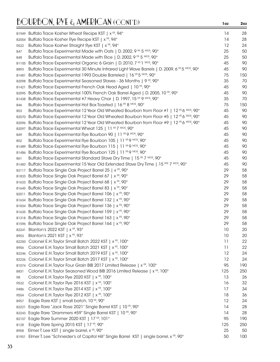|                  | B1949 Buffalo Trace Kosher Wheat Recipe KST   x <sup>YR</sup> , 94°                                 | 14  | 28  |
|------------------|-----------------------------------------------------------------------------------------------------|-----|-----|
| B2054            | Buffalo Trace Kosher Rye Recipe KST   x <sup>YR</sup> , 94°                                         | 14  | 28  |
| R522             | Buffalo Trace Kosher Straight Rye KST   x <sup>YR</sup> , 94°                                       | 12  | 24  |
| B47              | Buffalo Trace Experimental Made with Oats   D. 2002, 9 YR 5 MOS, 90°                                | 25  | 50  |
| B48              | Buffalo Trace Experimental Made with Rice   D. 2002, 9 YR 5 MOS, 90°                                | 25  | 50  |
| B1105            | Buffalo Trace Experimental Organic 6 Grain   D. 2010, 7 YR 1 MOS, 90°                               | 45  | 90  |
| B893             | Buffalo Trace Experimental 30 Minute Infrared Light Wave Barrels   D. 2009, 6 YR 5 MOS, 90°         | 45  | 90  |
| B1481            | Buffalo Trace Experimental 1993 Double Barreled   16 <sup>vR</sup> 5 <sup>MOS</sup> , 90°           | 75  | 150 |
| B2098            | Buffalo Trace Experimental Seasoned Staves - 36 Months   9 <sup>YR</sup> , 90°                      | 35  | 70  |
| B1421            | Buffalo Trace Experimental French Oak Head Aged   10 YR, 90°                                        | 45  | 90  |
| B2095            | Buffalo Trace Experimental 100% French Oak Barrel Aged   D. 2005, 10 YR, 90°                        | 45  | 90  |
| B1438            | Buffalo Trace Experimental #7 Heavy Char   D. 1997, 15 YR 9 MOS, 90°                                | 35  | 70  |
| B46              | Buffalo Trace Experimental Hot Box Toasted   16 YR 8 MOS, 90°                                       | 75  | 150 |
| <b>B53</b>       | Buffalo Trace Experimental 12 Year Old Wheated Bourbon from Floor #1   12 <sup>YR</sup> 6 MOS, 90°  | 45  | 90  |
| B2070            | Buffalo Trace Experimental 12 Year Old Wheated Bourbon from Floor #5   12 <sup>YR</sup> 6 MOS, 90°  | 45  | 90  |
|                  | B2096 Buffalo Trace Experimental 12 Year Old Wheated Bourbon from Floor #9   12 YR 6 MOS, 90°       | 45  | 90  |
| B2097            | Buffalo Trace Experimental Wheat 125   11 YR 7 MOS, 90°                                             | 45  | 90  |
| B49              | Buffalo Trace Experimental Rye Bourbon 90   11 YR 9 MOS, 90°                                        | 45  | 90  |
| B <sub>52</sub>  | Buffalo Trace Experimental Rye Bourbon 105   11 YR 9 MOS, 90°                                       | 45  | 90  |
| B1489            | Buffalo Trace Experimental Rye Bourbon 115   11 YR 9 MOS, 90°                                       | 45  | 90  |
| B1486            | Buffalo Trace Experimental Rye Bourbon 125   11 YR 9 MOS, 90°                                       | 45  | 90  |
| <b>B61</b>       | Buffalo Trace Experimental Standard Stave Dry Time   15 YR 7 MOS, 90°                               | 45  | 90  |
|                  | B1483 Buffalo Trace Experimental 15 Year Old Extended Stave Dry Time   15 YRS 7 MOS, 90°            | 45  | 90  |
| B2117            | Buffalo Trace Single Oak Project Barrel 25   x YR, 90°                                              | 29  | 58  |
|                  | B1833 Buffalo Trace Single Oak Project Barrel 67   x <sup>YR</sup> , 90°                            | 29  | 58  |
|                  | B1633 Buffalo Trace Single Oak Project Barrel 68   x <sup>YR</sup> , 90°                            | 29  | 58  |
|                  | B1645 Buffalo Trace Single Oak Project Barrel 83   x <sup>YR</sup> , 90°                            | 29  | 58  |
| B2011            | Buffalo Trace Single Oak Project Barrel 106   x <sup>YR</sup> , 90°                                 | 29  | 58  |
|                  | B1634 Buffalo Trace Single Oak Project Barrel 132   x <sup>YR</sup> , 90°                           | 29  | 58  |
|                  | B1834 Buffalo Trace Single Oak Project Barrel 136   x <sup>YR</sup> , 90°                           | 29  | 58  |
|                  | B1635 Buffalo Trace Single Oak Project Barrel 159   x <sup>YR</sup> , 90°                           | 29  | 58  |
|                  | B1318 Buffalo Trace Single Oak Project Barrel 163   x <sup>YR</sup> , 90°                           | 29  | 58  |
|                  | B1596 Buffalo Trace Single Oak Project Barrel 164   x <sup>YP</sup> , 90°                           | 29  | 58  |
|                  | B2241 Blanton's 2022 KST   x YR, 93°                                                                | 10  | 20  |
| B953             | Blanton's 2021 KST   x YR, 93°                                                                      | 10  | 20  |
| B2250            | Colonel E.H. Taylor Small Batch 2022 KST   x <sup>YR</sup> , 100°                                   | 11  | 22  |
| <b>B956</b>      | Colonel E.H. Taylor Small Batch 2021 KST   x <sup>YR</sup> , 100°                                   | 11  | 22  |
| B2246            | Colonel E.H. Taylor Small Batch 2019 KST   x <sup>YR</sup> , 100°                                   | 12  | 24  |
| B2226            | Colonel E.H. Taylor Small Batch 2017 KST   x <sup>YR</sup> , 100°                                   | 12  | 24  |
| B1074            | Colonel E.H. Taylor Four Grain BIB 2017 Limited Release   x <sup>YR</sup> , 100°                    | 95  | 190 |
| B831             | Colonel E.H. Taylor Seasoned Wood BIB 2016 Limited Release   x <sup>YR</sup> , 100°                 | 125 | 250 |
| R8               | Colonel E.H. Taylor Rye 2020 KST   x <sup>YR</sup> , 100°                                           | 13  | 26  |
| R532             | Colonel E.H. Taylor Rye 2016 KST   x <sup>YR</sup> , 100°                                           | 16  | 32  |
| R486             | Colonel E.H. Taylor Rye 2014 KST   x <sup>YR</sup> , 100°                                           | 17  | 34  |
| R <sub>554</sub> | Colonel E.H. Taylor Rye 2012 KST   x <sup>YR</sup> , 100°                                           | 18  | 36  |
| B957             | Eagle Rare KST   small batch, 10 YR, 90°                                                            | 12  | 24  |
| B2221            | Eagle Rare "Jack Rose 2021" Single Barrel KST   10 YR, 90°                                          | 14  | 28  |
| B2243            | Eagle Rare "Drammers #59" Single Barrel KST   10 YR, 90°                                            | 14  | 28  |
| B2107            | Eagle Rare Summer 2020 KST   17 YR, 101°                                                            | 95  | 190 |
| B128             | Eagle Rare Spring 2015 KST   17 YR, 90°                                                             | 125 | 250 |
| B958             | Elmer T. Lee KST   single barrel, x YR, 90°                                                         | 25  | 50  |
| B1951            | Elmer T. Lee "Schneider's of Capitol Hill" Single Barrel KST   single barrel, x <sup>yp</sup> , 90° | 50  | 100 |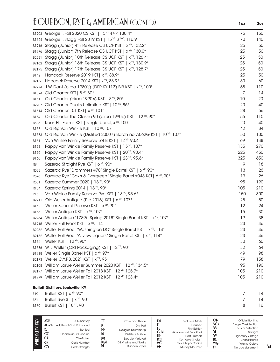|             | B1903 George T. Fall 2020 CS KST   15 YR 4 MO, 130.4°                                | 75  | 150 |
|-------------|--------------------------------------------------------------------------------------|-----|-----|
|             | B1624 George T. Stagg Fall 2019 KST   15 YR 3 MO, 116.9°                             | 70  | 140 |
|             | B1916 Stagg (Junior) 4th Release CS UCF KST   x <sup>YR</sup> , 132.2°               | 25  | 50  |
|             | B1976 Stagg (Junior) 7th Release CS UCF KST   x <sup>YR</sup> , 130.0°               | 25  | 50  |
| B2281       | Stagg (Junior) 10th Release CS UCF KST   x <sup>YR</sup> , 126.4°                    | 25  | 50  |
|             | B2162 Stagg (Junior) 16th Release CS UCF KST   x <sup>YR</sup> , 130.9°              | 25  | 50  |
|             | B2195 Stagg (Junior) 17th Release CS UCF KST   x <sup>YR</sup> , 128.7°              | 25  | 50  |
| B142        | Hancock Reserve 2019 KST   x YR, 88.9°                                               | 25  | 50  |
|             | B2136 Hancock Reserve 2014 KST   x <sup>YR</sup> , 88.9°                             | 30  | 60  |
|             | B2274 J.W. Dant (circa 1980's) (DSP-KY-113) BIB KST   x <sup>VR</sup> , 100°         | 55  | 110 |
|             | B1324 Old Charter KST   8 YR, 80°                                                    | 7   | 14  |
| <b>B151</b> | Old Charter (circa 1990's) KST   8 YR, 80°                                           | 10  | 20  |
| B2207       | Old Charter Ducks Unlimited KST  10 <sup>YR</sup> , 86°                              | 20  | 40  |
| B1614       | Old Charter 101 KST   x <sup>YR</sup> , 101°                                         | 28  | 56  |
| B154        | Old Charter The Classic 90 (circa 1990's) KST   12 YR, 90°                           | 55  | 110 |
| <b>B506</b> | Rock Hill Farms KST   single barrel, x YR, 100°                                      | 20  | 40  |
| B157        | Old Rip Van Winkle KST   10 YR, 107°                                                 | 42  | 84  |
| B1783       | Old Rip Van Winkle (Distilled 2000's) Batch no. A062G KST   10 YR, 107°              | 50  | 100 |
| B161        | Van Winkle Family Reserve Lot B KST   12 YR, 90.4°                                   | 69  | 138 |
| <b>B158</b> | Pappy Van Winkle Family Reserve KST   15 YR, 107°                                    | 135 | 270 |
| B159        | Pappy Van Winkle Family Reserve KST   20 YR, 90.4°                                   | 225 | 450 |
| B160        | Pappy Van Winkle Family Reserve KST   23 YR, 95.6°                                   | 325 | 650 |
| R9          | Sazerac Straight Rye KST   6 YR, 90°                                                 | 9   | 18  |
| <b>R588</b> | Sazerac Rye "Drammers #70" Single Barrel KST   6 YR, 90°                             | 13  | 26  |
| R576        | Sazerac Rye "Cox's & Evergreen" Single Barrel #048 KST   6 YR, 90°                   | 13  | 26  |
| R531        | Sazerac Summer 2020   18 YR, 90°                                                     | 95  | 190 |
| R154        | Sazerac Spring 2014   18 YR, 90°                                                     | 105 | 210 |
| R15         | Van Winkle Family Reserve Rye KST   13 YR, 95.6°                                     | 150 | 300 |
| B2211       | Old Weller Antique (Pre-2016) KST   x <sup>YR</sup> , 107°                           | 25  | 50  |
| B162        | Weller Special Reserve KST   x YR, 90°                                               | 12  | 24  |
| B155        | Weller Antique KST   x <sup>YR</sup> , 107°                                          | 15  | 30  |
| B2264       | Weller Antique "1789b Spring 2018" Single Barrel KST   x <sup>YR</sup> , 107°        | 19  | 38  |
|             | B1915 Weller Full Proof KST   x <sup>YR</sup> , 114°                                 | 23  | 46  |
|             | B2252 Weller Full Proof "Washington DC" Single Barrel KST   x <sup>YR</sup> , 114°   | 23  | 46  |
|             | B2132 Weller Full Proof "Allview Liquors" Single Barrel KST   x <sup>VR</sup> , 114° | 23  | 46  |
| B164        | Weller KST   12 YR, 90°                                                              | 30  | 60  |
|             | B1786 W. L. Weller (Old Packaging) KST   12 YR, 90°                                  | 32  | 64  |
|             | B1918 Weller Single Barrel KST   x <sup>YR</sup> , 97°                               | 49  | 98  |
|             | B2173 Weller C.Y.P.B. 2021 KST   x <sup>YR</sup> , 95°                               | 79  | 158 |
|             | B2108 William Larue Weller Summer 2020 KST   12 YR, 134.5°                           | 95  | 190 |
|             | B2197 William Larue Weller Fall 2018 KST   12 YR, 125.7°                             | 105 | 210 |
|             | B1979 William Larue Weller Fall 2012 KST   12 YR, 123.4°                             | 105 | 210 |
|             | <b>Bulleit Distillery, Louisville, KY</b>                                            |     |     |

| F19        | Bulleit KST   $\times$ $YR$ , 90 $^{\circ}$    | 14 |
|------------|------------------------------------------------|----|
| <b>F31</b> | Bulleit Rye ST   $\times$ $YR$ , 90 $^{\circ}$ | 14 |
|            | B170 Bulleit KST   $10^{y_R}$ , 90 $^{\circ}$  | 16 |

| WHISK(E)Y KEY | ADR<br>$ACE$ <sup>D</sup><br>CC<br>СH<br>CК<br>w | A.D. Rattray<br>Additional Cask Enhanced<br><b>Bottled</b><br>Connoisseur's Choice<br>Chieftain's<br>Cask Number<br>Cask Strength | DD<br>DE<br>DM<br>DεM | Cask and Thistle<br><b>Distilled</b><br>Douglas Drumlanrig<br>Distiller's Edition<br><b>Double Matured</b><br>D&M Wine and Spirits<br>Duncan Taylor | £۲<br>GεM<br>HB<br>KSI<br>МC<br><b>MM</b> | <b>Exclusive Malts</b><br>Finished<br><b>First Edition</b><br>Gordon and MacPhail<br><b>Hart Brothers</b><br>Kentucky Straight<br>MacKillop's Choice<br><b>Murray McDavid</b> | ОB<br><b>SCN</b><br><b>UCI</b><br><b>WG</b><br><b>Y</b> yp | Official Bottling<br><b>Single Cask Nation</b><br>Scott's Selection<br>Straight<br><b>Signatory Vintage</b><br>Unchillfiltered<br><b>Whisky Galore</b><br>No age statement |
|---------------|--------------------------------------------------|-----------------------------------------------------------------------------------------------------------------------------------|-----------------------|-----------------------------------------------------------------------------------------------------------------------------------------------------|-------------------------------------------|-------------------------------------------------------------------------------------------------------------------------------------------------------------------------------|------------------------------------------------------------|----------------------------------------------------------------------------------------------------------------------------------------------------------------------------|
|---------------|--------------------------------------------------|-----------------------------------------------------------------------------------------------------------------------------------|-----------------------|-----------------------------------------------------------------------------------------------------------------------------------------------------|-------------------------------------------|-------------------------------------------------------------------------------------------------------------------------------------------------------------------------------|------------------------------------------------------------|----------------------------------------------------------------------------------------------------------------------------------------------------------------------------|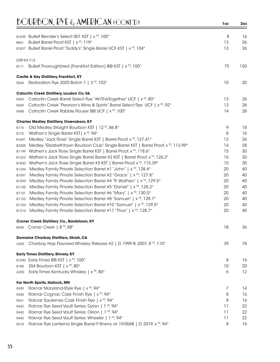|                | B1695 Bulleit Blender's Select 001 KST   x <sup>YR</sup> , 100°                                                                                              | 8        | 16       |
|----------------|--------------------------------------------------------------------------------------------------------------------------------------------------------------|----------|----------|
| B841           | Bulleit Barrel Proof KST   x <sup>YR</sup> , 119°                                                                                                            | 13       | 26       |
|                | B1837 Bulleit Barrel Proof "Toddy's" Single Barrel UCF KST   x <sup>VR</sup> , 104°                                                                          | 13       | 26       |
|                |                                                                                                                                                              |          |          |
| DSP-KY-113     |                                                                                                                                                              |          |          |
| <b>B171</b>    | Bulleit Thoroughbred (Frankfort Edition) BIB KST   x <sup>YR</sup> , 100°                                                                                    | 75       | 150      |
|                | <b>Castle &amp; Key Distillery, Frankfort, KY</b>                                                                                                            |          |          |
| R544           | Restoration Rye 2020 Batch 1   3 <sup>YR</sup> , 103°                                                                                                        | 10       | 20       |
|                | <b>Catoctin Creek Distillery, Loudon Co.VA</b>                                                                                                               |          |          |
| R429           | Catoctin Creek Barrel Select Rye "#InThisTogether" UCF   x YR, 80°                                                                                           | 13       | 26       |
| R569           | Catoctin Creek "Pearson's Wine & Spirits" Barrel Select Rye UCF   x YR, 92°                                                                                  | 13       | 26       |
| R488           | Catoctin Creek Rabble Rouser BIB UCF   x <sup>YR</sup> , 100°                                                                                                | 14       | 28       |
|                |                                                                                                                                                              |          |          |
|                | <b>Charles Medley Distillery, Owensboro, KY</b>                                                                                                              |          |          |
| B174           | Old Medley Straight Bourbon KST   12 YR, 86.8°                                                                                                               | 9        | 18       |
| B175           | Wathen's Single Barrel KST  x <sup>YR</sup> , 94°                                                                                                            | 8        | 16<br>26 |
| B1691          | Medley "Jack Rose" Single Barrel KST   Barrel Proof, x YR, 127.41°                                                                                           | 13<br>14 | 28       |
| B2205          | Medley "Elizabethtown Bourbon Club" Single Barrel KST   Barrel Proof, x <sup>VR</sup> , 113.99°                                                              | 15       | 30       |
| B1199          | Wathen's Jack Rose Single Barrel KST   Barrel Proof, x YR, 118.6°<br>Wathen's Jack Rose Single Barrel Barrel #2 KST   Barrel Proof, x <sup>YR</sup> , 126.2° | 15       | 30       |
| B1422<br>B1830 | Wathen's Jack Rose Single Barrel #3 KST   Barrel Proof, x <sup>YR</sup> , 115.39°                                                                            | 15       | 30       |
| B1244          | Medley Family Private Selection Barrel #1 "John"   x YR, 128.4°                                                                                              | 20       | 40       |
| B1097          | Medley Family Private Selection Barrel #2 "Grace"   x YR, 127.8°                                                                                             | 20       | 40       |
| B1099          | Medley Family Private Selection Barrel #4 "R. Wathen"   x YR, 129.5°                                                                                         | 20       | 40       |
| B1100          | Medley Family Private Selection Barrel #5 "Daniel"   x YR, 128.2°                                                                                            | 20       | 40       |
| B1101          | Medley Family Private Selection Barrel #6 "Mary"   x YR, 130.0°                                                                                              | 20       | 40       |
| B1103          | Medley Family Private Selection Barrel #8 "Samuel"   x YR, 128.7°                                                                                            | 20       | 40       |
| B1104          | Medley Family Private Selection Barrel #10 "Samuel"   x YR, 129.5°                                                                                           | 20       | 40       |
| B1210          | Medley Family Private Selection Barrel #11 "Thos"   x YR, 128.7°                                                                                             | 20       | 40       |
|                |                                                                                                                                                              |          |          |
|                | Corner Creek Distillery Co., Bardstown, KY                                                                                                                   |          |          |
| <b>B540</b>    | Corner Creek   8 YR, 88°                                                                                                                                     | 18       | 36       |
|                | <b>Domaine Charbay Distillers, Ukiah, CA</b>                                                                                                                 |          |          |
| A265           | Charbay Hop Flavored Whiskey Release #2   D. 1999 B. 2007, 8 YR, 110°                                                                                        | 39       | 78       |
|                | <b>Early Times Distillery, Shively, KY</b>                                                                                                                   |          |          |
|                | B1590 Early Times BIB KST   x YR, 100°                                                                                                                       | 8        | 16       |
| B188           | 354 Bourbon KST   x YR, 80°                                                                                                                                  | 10       | 20       |
| A255           | Early Times Kentucky Whiskey   x <sup>YR</sup> , 80°                                                                                                         | 6        | 12       |
|                |                                                                                                                                                              |          |          |
| R439           | Far North Spirits, Hallock, MN<br>Roknar Maryland-Style Rye   x <sup>YR</sup> , 94°                                                                          | 7        | 14       |
| R440           | Roknar Cognac Cask Finish Rye   x YR, 94°                                                                                                                    | 8        | 16       |
| R441           | Roknar Sauternes Cask Finish Rye   x <sup>YR</sup> , 94°                                                                                                     | 8        | 16       |
| R442           | Roknar Rye Seed Vault Series: Dylan   1 YR, 94°                                                                                                              | 11       | 22       |
| R443           | Roknar Rye Seed Vault Series: Oklon   1 YR, 94°                                                                                                              | 11       | 22       |
| R445           | Roknar Rye Seed Vault Series: Wheeler   1 YR, 94°                                                                                                            | 11       | 22       |
| R518           | Roknar Rye Lanterna Single Barrel F-Sherry ck 19-0048   D. 2019, x YR, 94°                                                                                   | 8        | 16       |
|                |                                                                                                                                                              |          |          |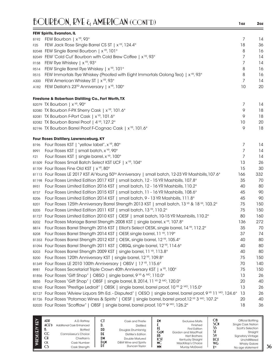|                   | <b>BOURBON, RYE &amp; AMERICAN (CONT'D)</b>                                                                    | 1oz | 2oz |
|-------------------|----------------------------------------------------------------------------------------------------------------|-----|-----|
|                   | FEW Spirits, Evanston, IL                                                                                      |     |     |
| B192              | FEW Bourbon   x <sup>YR</sup> , 93°                                                                            | 7   | 14  |
| F <sub>25</sub>   | FEW Jack Rose Single Barrel CS ST   x <sup>YR</sup> , 124.4°                                                   | 18  | 36  |
|                   | B2048 FEW Single Barrel Bourbon   x <sup>YR</sup> , 101°                                                       | 8   | 16  |
|                   | B2049 FEW 'Cold Cut' Bourbon with Cold Brew Coffee   x <sup>YR</sup> , 93°                                     | 7   | 14  |
| R158              | FEW Rye Whiskey   x <sup>YR</sup> , 93°                                                                        | 7   | 14  |
| R <sub>5</sub> 14 | FEW Single Barrel Rye Whiskey   x <sup>YR</sup> , 101°                                                         | 8   | 16  |
| R515              | FEW Immortals Rye Whiskey (Proofed with Eight Immortals Oolong Tea)   x <sup>YR</sup> , 93°                    | 8   | 16  |
| A300              | FEW American Whiskey ST   x <sup>YR</sup> , 93°                                                                | 7   | 14  |
| A182              | FEW Delilah's 23 <sup>RD</sup> Anniversary   x <sup>YR</sup> , 100°                                            | 10  | 20  |
|                   | Firestone & Robertson Distilling Co., Fort Worth, TX                                                           |     |     |
|                   | B2079 TX Bourbon   x <sup>YR</sup> , 90°                                                                       | 7   | 14  |
|                   | B2080 TX Bourbon F-PX Sherry Cask   x YR, 101.6°                                                               | 9   | 18  |
|                   | B2081 TX Bourbon F-Port Cask   x <sup>YR</sup> , 101.6°                                                        | 9   | 18  |
|                   | B2082 TX Bourbon Barrel Proof   4 <sup>YR</sup> , 127.2°                                                       | 10  | 20  |
|                   | B2196 TX Bourbon Barrel Proof F-Cognac Cask   x <sup>YR</sup> , 101.6°                                         | 9   | 18  |
|                   | Four Roses Distillery, Lawrenceburg, KY                                                                        |     |     |
| <b>B196</b>       | Four Roses KST   "yellow label", x YR, 80°                                                                     | 7   | 14  |
| B991              | Four Roses KST   small batch, x <sup>YR</sup> , 90°                                                            | 7   | 14  |
| F <sub>2</sub> 1  | Four Roses KST   single barrel, x YR, 100°                                                                     | 7   | 14  |
|                   | B1509 Four Roses Small Batch Select KST UCF   x <sup>YR</sup> , 104°                                           | 13  | 26  |
|                   | B1709 Four Roses Fine Old KST   x <sup>YR</sup> , 80°                                                          | 15  | 30  |
|                   | B1113 Four Roses LE 2017 KST AI Young 50™ Anniversary   small batch, 12-23 YR Mashbills, 107.6°                | 166 | 332 |
|                   | B1198 Four Roses Limited Edition 2017 KST   small batch, 12 - 15 YR Mashbills, 107.8°                          | 35  | 70  |
| B931              | Four Roses Limited Edition 2016 KST   small batch, 12 - 16 YR Mashbills, 110.2°                                | 40  | 80  |
| <b>B737</b>       | Four Roses Limited Edition 2015 KST   small batch, 11 - 16 YR Mashbills, 108.6°                                | 45  | 90  |
| <b>B206</b>       | Four Roses Limited Edition 2014 KST   small batch, 9 - 13 YR Mashbills, 111.8°                                 | 45  | 90  |
| <b>B201</b>       | Four Roses 125th Anniversary Barrel Strength 2013 KST   small batch, 13 YR & 18 YR, 103.2°                     | 75  | 150 |
| <b>B205</b>       | Four Roses Limited Edition 2011 KST   small batch, 13 YR, 110.2°                                               | 75  | 150 |
|                   | B1727 Four Roses Limited Edition 2010 KST   OESF   small batch, 10-15 YR Mashbills, 110.2°                     | 80  | 160 |
| B202              | Four Roses Mariage Barrel Strength 2008 KST   single barrel, x <sup>vR</sup> , 107.8°                          | 136 | 272 |
| B874              | Four Roses Barrel Strength 2016 KST   Elliot's Select OESK, single barrel, 14 YR, 112.2°                       | 35  | 70  |
| <b>B208</b>       | Four Roses Barrel Strength 2014 KST   OESF, single barrel, 11 YR, 119°                                         | 37  | 74  |
| B1353             | Four Roses Barrel Strength 2012 KST   OESK, single barrel, 12 YR, 105.4°                                       | 40  | 80  |
| B1094             | Four Roses Barrel Strength 2011 KST   OBSQ, single barrel, 12 YR, 114.6°                                       | 40  | 80  |
| B203              | Four Roses Barrel Strength 2009 KST   single barrel, 11 YR, 113.8°                                             | 40  | 80  |
| <b>B200</b>       | Four Roses 120th Anniversary KST   single barrel, 12 YR, 109.8°                                                | 75  | 150 |
| B1349             | Four Roses LE 2010 100th Anniversary   OBSV   17 YR, 115.6°                                                    | 70  | 140 |
| B981              | Four Roses Secretariat Triple Crown 40th Anniversary KST   x <sup>YR</sup> , 100°                              | 75  | 150 |
|                   | B1856 Four Roses "Gift Shop"   OBSO   single barrel, 9 YR 6 MO, 110.0°                                         | 13  | 26  |
| <b>B855</b>       | Four Roses "Gift Shop"   OBSF   single barrel, B. 2014, 11 YR 2 MO, 120.0°                                     | 20  | 40  |
|                   | B2160 Four Roses "Prestige Ledroit"   OBSK   single barrel, barrel proof, 10 YR 2 MO, 115.0°                   | 13  | 26  |
|                   | B2127 Four Roses "Allview Liquors 5th Ed. - Disputed"   OESO   single barrel, barrel proof, 9 VR 11 MO, 124.6° | 13  | 26  |
|                   | B1726 Four Roses "Potomac Wines & Spirits"   OESF   single barrel, barrel proof, 12 VR 3 MO, 107.2°            | 20  | 40  |
|                   | B2020 Four Roses "Scofflaw"   OBSF   single barrel, barrel proof, 10 YR 9 MO, 126.2°                           | 18  | 36  |

| Ē | ADR<br>$ACF$ <sup>D</sup><br>CC<br>СH<br><b>CK</b><br>w | A.D. Rattrav<br>Additional Cask Enhanced<br><b>Bottled</b><br>Connoisseur's Choice<br>Chieftain's<br>Cask Number<br>Cask Strength | DD<br>DE<br>DM<br>Den<br>DI | Cask and Thistle<br><b>Distilled</b><br>Douglas Drumlanrig<br><b>Distiller's Edition</b><br>Double Matured<br>D&M Wine and Spirits<br>Duncan Taylor | £۲<br>GεM<br>HB<br>КSТ<br>МC<br>MM | <b>Exclusive Malts</b><br>Finished<br><b>First Edition</b><br>Gordon and MacPhail<br><b>Hart Brothers</b><br>Kentucky Straight<br>MacKillop's Choice<br><b>Murray McDavid</b> | ОB<br>SCN<br>رر<br><b>UCE</b><br>WG<br><b>Y</b> yp | Official Bottling<br><b>Single Cask Nation</b><br>Scott's Selection<br>Straight<br><b>Signatory Vintage</b><br>Unchillfiltered<br><b>Whisky Galore</b><br>No age statement |
|---|---------------------------------------------------------|-----------------------------------------------------------------------------------------------------------------------------------|-----------------------------|-----------------------------------------------------------------------------------------------------------------------------------------------------|------------------------------------|-------------------------------------------------------------------------------------------------------------------------------------------------------------------------------|----------------------------------------------------|----------------------------------------------------------------------------------------------------------------------------------------------------------------------------|
|---|---------------------------------------------------------|-----------------------------------------------------------------------------------------------------------------------------------|-----------------------------|-----------------------------------------------------------------------------------------------------------------------------------------------------|------------------------------------|-------------------------------------------------------------------------------------------------------------------------------------------------------------------------------|----------------------------------------------------|----------------------------------------------------------------------------------------------------------------------------------------------------------------------------|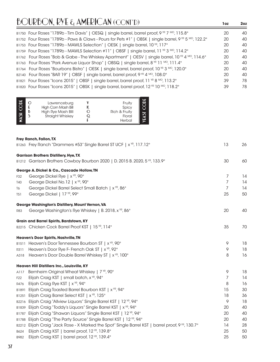| B1750 Four Roses "1789b - Tim Davis"   OESQ   single barrel, barrel proof, 9 YR 7 Mo, 115.8°                               | 20 | 40 |
|----------------------------------------------------------------------------------------------------------------------------|----|----|
| B1752 Four Roses "1789b - Paws & Claws - Pours for Pets #1"   OBSK   single barrel, 9 YR 5 Mo, 122.2°                      | 20 | 40 |
| B1753 Four Roses "1789b - MAWLS Selection"   OESK   single barrel, 10 YR, 117°                                             | 20 | 40 |
| B1759 Four Roses "1789b - MAWLS Selection #11"   OBSF   single barrel, 11 YR 3 MO, 114.2°                                  | 20 | 40 |
| B1762 Four Roses "Bob & Gabe - The Whiskey Apartment"   OESV   single barrel, 10 VR 4 MO, 114.6°                           | 20 | 40 |
| B1763 Four Roses "Park Avenue Liquor Shop"   OBSQ   single barrel, 8 $\frac{1000 \text{ N}}{11 \text{ N}}$ 111.4 $\degree$ | 20 | 40 |
| B1764 Four Roses "Bourbons Bistro"   OESK   single barrel, barrel proof, 10 YR 3 MO, 120.0°                                | 20 | 40 |
| B2140 Four Roses "BAR 19"   OBSF   single barrel, barrel proof, 9 YR 4 MO, 108.0°                                          | 20 | 40 |
| B1821 Four Roses "Icons 2015"   OBSF   single barrel, barrel proof, 11 YR 8 MO, 113.2°                                     | 39 | 78 |
| B1820 Four Roses "Icons 2015"   OBSK   single barrel, barrel proof, 12 YR 10 Mo, 118.2°                                    | 39 | 78 |
|                                                                                                                            |    |    |

| <b>DE</b><br>HSW | Lawrenceburg<br>High Corn Mash Bill<br>High Rye Mash Blll<br><b>Straight Whiskey</b> |  | Fruity<br>Spicy<br>Rich & Fruity<br>Floral<br>Herbal |  |
|------------------|--------------------------------------------------------------------------------------|--|------------------------------------------------------|--|
|------------------|--------------------------------------------------------------------------------------|--|------------------------------------------------------|--|

|                 | Frey Ranch, Fallon, TX                                                                            |    |    |
|-----------------|---------------------------------------------------------------------------------------------------|----|----|
|                 | B1263 Frey Ranch "Drammers #53" Single Barrel ST UCF   x <sup>YR</sup> , 117.12°                  | 13 | 26 |
|                 | <b>Garrison Brothers Distillery, Hye, TX</b>                                                      |    |    |
|                 | B1212 Garrison Brothers Cowboy Bourbon 2020   D. 2015 B. 2020, 5 YR, 133.9°                       | 30 | 60 |
|                 | George A. Dickel & Co., Cascade Hollow, TN                                                        |    |    |
| F32             | George Dickel Rye   x <sup>YR</sup> , 90°                                                         | 7  | 14 |
| T40             | George Dickel No.12   x <sup>YR</sup> , 90°                                                       | 7  | 14 |
| T6              | George Dickel Barrel Select Small Batch   x <sup>YR</sup> , 86°                                   | 7  | 14 |
| <b>T51</b>      | George Dickel   17 YR, 99°                                                                        | 25 | 50 |
|                 | George Washington's Distillery, Mount Vernon, VA                                                  |    |    |
| <b>R83</b>      | George Washington's Rye Whiskey   B. 2018, x YR, 86°                                              | 20 | 40 |
|                 | Grain and Barrel Spirits, Bardstown, KY                                                           |    |    |
|                 | B2215 Chicken Cock Barrel Proof KST   15 YR, 114°                                                 | 35 | 70 |
|                 | Heaven's Door Spirits, Nashville, TN                                                              |    |    |
|                 | B1511 Heaven's Door Tennessee Bourbon ST   x <sup>YR</sup> , 90°                                  | 9  | 18 |
| R311            | Heaven's Door Rye F- French Oak ST   x <sup>YR</sup> , 92°                                        | 9  | 18 |
| A318            | Heaven's Door Double Barrel Whiskey ST   x <sup>YR</sup> , 100°                                   | 8  | 16 |
|                 | Heaven Hill Distillers Inc., Louisville, KY                                                       |    |    |
| A117            | Bernheim Original Wheat Whiskey   7 YR, 90°                                                       | 9  | 18 |
| F <sub>22</sub> | Elijah Craig KST   small batch, x YR, 94°                                                         | 7  | 14 |
| R476            | Elijah Craig Rye KST   x YR, 94°                                                                  | 8  | 16 |
| B1891           | Elijah Craig Toasted Barrel Bourbon KST   x <sup>YR</sup> , 94°                                   | 15 | 30 |
| B1251           | Elijah Craig Barrel Select KST   x <sup>YR</sup> , 125°                                           | 18 | 36 |
| B2216           | Elijah Craig "Allview Liquors" Single Barrel KST   12 YR, 94°                                     | 9  | 18 |
| B1839           | Elijah Craig "Toddy's Liquors" Single Barrel KST   x YR, 94°                                      | 20 | 40 |
| B1787           | Elijah Craig "Shawan Liquors" Single Barrel KST   12 YR, 94°                                      | 20 | 40 |
|                 | B1788 Elijah Craig "The Party Source" Single Barrel KST   12 YR, 94°                              | 20 | 40 |
|                 | B2212 Elijah Craig "Jack Rose - X Marked the Spot" Single Barrel KST   barrel proof, 9 YR, 130.7° | 14 | 28 |
| B624            | Elijah Craig KST   barrel proof, 12 YR, 139.8°                                                    | 25 | 50 |
| B982            | Elijah Craig KST   barrel proof, 12 YR, 139.4°                                                    | 25 | 50 |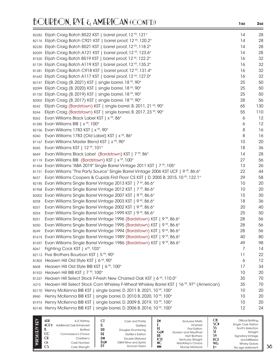|                  | B2282 Elijah Craig Batch B522 KST   barrel proof, 12 YR, 121°                                                                                          | 14       | 28       |
|------------------|--------------------------------------------------------------------------------------------------------------------------------------------------------|----------|----------|
| B2176            | Elijah Craig Batch C921 KST   barrel proof, 12 YR, 120.2°                                                                                              | 14       | 28       |
| B2230            | Elijah Craig Batch B521 KST   barrel proof, 12 YR, 118.2°                                                                                              | 14       | 28       |
| B2059            | Elijah Craig Batch A121 KST   barrel proof, 12 YR, 123.6°                                                                                              | 14       | 28       |
| B1520            | Elijah Craig Batch B519 KST   barrel proof, 12 YR, 122.2°                                                                                              | 16       | 32       |
| B1729            | Elijah Craig Batch A119 KST   barrel proof, 12 YR, 135.2°                                                                                              | 16       | 32       |
| B1381            | Elijah Craig Batch C918 KST   barrel proof, 12 YR, 131.4°                                                                                              | 16       | 32       |
| B1642            | Elijah Craig Batch A117 KST   barrel proof, 12 YR, 127.0°                                                                                              | 16       | 32       |
| B2147            | Elijah Craig (B. 2021) KST   single barrel, 18 YR, 90°                                                                                                 | 25       | 50       |
| B2099            | Elijah Craig (B. 2020) KST   single barrel, 18 YR, 90°                                                                                                 | 25       | 50       |
| B1730            | Elijah Craig (B. 2019) KST   single barrel, 18 YR, 90°                                                                                                 | 25       | 50       |
| B2003            | Elijah Craig (B. 2017) KST   single barrel, 18 YR, 90°                                                                                                 | 28       | 56       |
| B242             | Elijah Craig (Bardstown) KST   single barrel, B. 2011, 21 YR, 90°                                                                                      | 65       | 130      |
| B244             | Elijah Craig (Bardstown) KST   single barrel, B. 2017, 23 YR, 90°                                                                                      | 55       | 110      |
| B262             | Evan Williams Black Label KST   x <sup>YR</sup> , 86°                                                                                                  | 6        | 12       |
| B1285            | Evan Williams BIB   x <sup>YR</sup> , 100°                                                                                                             | 6        | 12       |
|                  | B2156 Evan Williams 1783 KST   x <sup>YR</sup> , 90°                                                                                                   | 8        | 16       |
| <b>B260</b>      | Evan Williams 1783 (Old Label) KST   x <sup>YR</sup> , 86°                                                                                             | 8        | 16       |
| B1167            | Evan Williams Master Blend KST   x YR, 90°                                                                                                             | 10       | 20       |
| B <sub>265</sub> | Evan Williams KST   12 YR, 101°                                                                                                                        | 18       | 36       |
| B669             | Evan Williams Black Label (Bardstown) KST   7 YR, 86°                                                                                                  | 14       | 28       |
|                  | B1119 Evan Williams BIB (Bardstown) KST   x <sup>YR</sup> , 100°                                                                                       | 27       | 56       |
|                  | B1454 Evan Williams "ABA 2019" Single Barrel Vintage 2011 KST   7 YR, 105°                                                                             | 13       | 26       |
|                  | B1731 Evan Williams "The Party Source" Single Barrel Vintage 2006 KST UCF   9 YR, 86.6°                                                                | 22       | 44       |
| B637             | Evan Williams Coopers & Cupids First Floor CS KST   D. 2005 B. 2015, 10 YR, 122.1°                                                                     | 29       | 58       |
| B2185            | Evan Williams Single Barrel Vintage 2013 KST   7 YR, 86.6°                                                                                             | 10       | 20       |
| B1958            | Evan Williams Single Barrel Vintage 2012 KST   7 YR, 86.6°                                                                                             | 10       | 20       |
| B2002            | Evan Williams Single Barrel Vintage 2007 KST   9 <sup>YR</sup> , 86.6°                                                                                 | 15       | 30       |
| <b>B258</b>      | Evan Williams Single Barrel Vintage 2003 KST   9 <sup>YR</sup> , 86.6°                                                                                 | 18       | 36       |
| B257             | Evan Williams Single Barrel Vintage 2002 KST   9 YR, 86.6°                                                                                             | 20       | 40       |
| B254             | Evan Williams Single Barrel Vintage 1999 KST   9 YR, 86.6°                                                                                             | 25       | 50       |
| B251             | Evan Williams Single Barrel Vintage 1996 (Bardstown) KST   9 YR, 86.6°                                                                                 | 28       | 56       |
| <b>B250</b>      | Evan Williams Single Barrel Vintage 1995 (Bardstown) KST   9 YR, 86.6°                                                                                 | 28       | 56       |
| B249             | Evan Williams Single Barrel Vintage 1994 (Bardstown) KST   9 YR, 86.6°                                                                                 | 28       | 56       |
|                  | B1615 Evan Williams Single Barrel Vintage 1989 (Bardstown) KST   9 <sup>VR</sup> , 86.6°                                                               | 40       | 80       |
| B1597            | Evan Williams Single Barrel Vintage 1986 (Bardstown) KST   9 YR, 86.6°                                                                                 | 49       | 98       |
| B267             | Fighting Cock KST   x <sup>YR</sup> , 103°                                                                                                             | 7        | 14       |
|                  | B2113 Five Brothers Bourbon KST   5 YR, 90°                                                                                                            | 11       | 22       |
|                  | B1803 Heaven Hill Old Style KST   6 YR, 90°                                                                                                            | 6        | 12       |
| <b>B608</b>      | Heaven Hill Old Style BIB KST   6 <sup>YR</sup> , 100°                                                                                                 | 17       | 34       |
|                  | B1922 Heaven Hill BIB KST   7 YR, 100°                                                                                                                 | 10       | 20       |
|                  | B1227 Heaven Hill Select Stock F-Fresh New Charred Oak KST   6 YR, 110.0°                                                                              | 35       | 70       |
| A215             | Heaven Hill Select Stock Corn Whiskey F-Wheat Whiskey Barrel KST   16 YR, 97° (American)                                                               | 35       | 70       |
| B2170            | Henry McKenna BIB KST   single barrel, D. 2011 B. 2021, 10 YR, 100°                                                                                    | 10       | 20       |
| B960             | Henry McKenna BIB KST   single barrel, D. 2010 B. 2020, 10 YR, 100°                                                                                    | 10       | 20       |
|                  | B1974 Henry McKenna BIB KST   single barrel, D. 2009 B. 2019, 10 YR, 100°<br>B2145 Henry McKenna BIB KST   single barrel, D. 2006 B. 2016, 10 YR, 100° | 10<br>12 | 20<br>24 |
|                  |                                                                                                                                                        |          |          |
|                  |                                                                                                                                                        |          |          |

| Î | ADR<br>ACFD<br>$_{\rm CC}$<br>СH<br><b>CK</b><br>w | A.D. Rattrav<br>Additional Cask Enhanced<br><b>Bottled</b><br>Connoisseur's Choice<br>Chieftain's<br>Cask Number<br>Cask Strength | J.<br>DD<br>DE<br>DM<br>DεM<br>DI | Cask and Thistle<br><b>Distilled</b><br>Douglas Drumlanrig<br><b>Distiller's Edition</b><br>Double Matured<br>D&M Wine and Spirits<br>Duncan Taylor | £۲<br>GεM<br>HB<br><b>KST</b><br>МC<br><b>MM</b> | <b>Exclusive Malts</b><br>Finished<br><b>First Edition</b><br>Gordon and MacPhail<br><b>Hart Brothers</b><br>Kentucky Straight<br>MacKillop's Choice<br><b>Murray McDavid</b> | ОB<br>SCN<br>S۱<br><b>UCF</b><br><b>WG</b><br><b>XYR</b> | Official Bottling<br>Single Cask Nation<br>Scott's Selection<br>Straight<br><b>Signatory Vintage</b><br>Unchillfiltered<br><b>Whisky Galore</b><br>No age statement |
|---|----------------------------------------------------|-----------------------------------------------------------------------------------------------------------------------------------|-----------------------------------|-----------------------------------------------------------------------------------------------------------------------------------------------------|--------------------------------------------------|-------------------------------------------------------------------------------------------------------------------------------------------------------------------------------|----------------------------------------------------------|---------------------------------------------------------------------------------------------------------------------------------------------------------------------|
|---|----------------------------------------------------|-----------------------------------------------------------------------------------------------------------------------------------|-----------------------------------|-----------------------------------------------------------------------------------------------------------------------------------------------------|--------------------------------------------------|-------------------------------------------------------------------------------------------------------------------------------------------------------------------------------|----------------------------------------------------------|---------------------------------------------------------------------------------------------------------------------------------------------------------------------|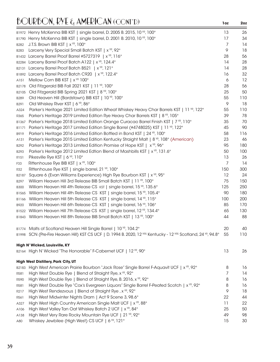|             | B1972 Henry McKenna BIB KST   single barrel, D. 2005 B. 2015, 10 YR, 100°                                      | 13             | 26  |
|-------------|----------------------------------------------------------------------------------------------------------------|----------------|-----|
| B1790       | Henry McKenna BIB KST   single barrel, D. 2001 B. 2010, 10 YR, 100°                                            | 17             | 34  |
| B282        | J.T.S. Brown BIB KST   x <sup>YR</sup> , 100°                                                                  | 7              | 14  |
| B283        | Larceny Very Special Small Batch KST   x <sup>YR</sup> , 92°                                                   | 9              | 18  |
|             | B1432 Larceny Barrel Proof Barrel #5727319   x <sup>YR</sup> , 116°                                            | 28             | 56  |
| B2284       | Larceny Barrel Proof Batch A122   x <sup>YR</sup> , 124.4°                                                     | 14             | 28  |
| B2131       | Larceny Barrel Proof Batch B521   x <sup>YR</sup> , 121°                                                       | 14             | 28  |
| B1892       | Larceny Barrel Proof Batch C920   x <sup>YR</sup> , 122.4°                                                     | 16             | 32  |
| A151        | Mellow Corn BIB KST   x <sup>YR</sup> 100°                                                                     | 6              | 12  |
| B2178       | Old Fitzgerald BIB Fall 2021 KST   11 YR, 100°                                                                 | 28             | 56  |
| B2105       | Old Fitzgerald BIB Spring 2021 KST   8 YR, 100°                                                                | 25             | 50  |
| B289        | Old Heaven Hill (Bardstown) BIB KST   10 YR, 100°                                                              | 55             | 110 |
| B291        | Old Whiskey River KST   6 YR, 86°                                                                              | 9              | 18  |
| A324        | Parker's Heritage 2021 Limited Edition Wheat Whiskey Heavy Char Barrels KST   11 YR, 122°                      | 55             | 110 |
| R365        | Parker's Heritage 2019 Limited Edition Rye Heavy Char Barrels KST   8 YR, 105°                                 | 39             | 78  |
| B1367       | Parker's Heritage 2018 Limited Edition Orange Curacao Barrel Finish KST   7 YR, 110°                           | 35             | 70  |
| B1171       | Parker's Heritage 2017 Limited Edition Single Barrel (#4748025) KST   11 VP, 122°                              | 45             | 90  |
| B919        | Parker's Heritage 2016 Limited Edition Bottled in Bond KST   24 YR, 100°                                       | 58             | 116 |
| A131        | Parker's Heritage 2015 Limited Edition Kentucky Straight Malt   8 <sup>YP</sup> , 108° (American)              | 23             | 46  |
| B292        | Parker's Heritage 2013 Limited Edition Promise of Hope KST   x <sup>YR</sup> , 96°                             | 95             | 180 |
| B293        | Parker's Heritage 2012 Limited Edtion Blend of Mashbills KST   x <sup>vR</sup> , 131.6°                        | 50             | 100 |
| R151        | Pikesville Rye KST   6 <sup>YR</sup> , 110°                                                                    | 13             | 26  |
| F33         | Rittenhouse Rye BIB KST   x <sup>YR</sup> , 100°                                                               | $\overline{7}$ | 14  |
| <b>R32</b>  | Rittenhouse Rye KST   single barrel, 21 YR, 100°                                                               | 150            | 300 |
| B2187       | Square 6 (Evan Williams Experience) High Rye Bourbon KST   x <sup>YR</sup> , 95°                               | 12             | 24  |
| B297        | William Heaven Hill 3rd Release BIB Small Batch KST   11 YR, 100°                                              | 75             | 150 |
| <b>B300</b> | William Heaven Hill 4th Release CS KST   single barrel, 15 YR, 135.6°                                          | 125            | 250 |
| B1565       | William Heaven Hill 4th Release CS KST   single barrel, 15 YR, 105.4°                                          | 90             | 180 |
| B1166       | William Heaven Hill 5th Release CS KST   single barrel, 14 YR, 115°                                            | 100            | 200 |
| B920        | William Heaven Hill 6th Release CS KST   single barrel, 16 YR, 106°                                            | 85             | 170 |
| B1522       | William Heaven Hill 7th Release CS KST   single barrel, 12 YR, 134.4°                                          | 65             | 130 |
|             | B1843 William Heaven Hill 8th Release BIB Small Batch KST   13 YR, 100°                                        | 44             | 88  |
|             | B1774 Malts of Scotland Heaven Hill Single Barrel   10 YR, 104.2°                                              | 20             | 40  |
|             | B1998 SCN (Pre-Fire Heaven Hill) KST CS UCF   D. 1994 B. 2020, 12 YRS Kentucky - 12 YRS Scotland, 24 YR, 94.8° | 55             | 110 |
|             | High N' Wicked, Louisville, KY                                                                                 |                |     |
|             | B2164 High N' Wicked "The Honorable" F-Cabernet UCF   12 YR, 90°                                               | 13             | 26  |
|             | High West Distillery, Park City, UT                                                                            |                |     |
| B2183       | High West American Prairie Bourbon "Jack Rose" Single Barrel F-Aquavit UCF   x <sup>yp</sup> , 92°             | 8              | 16  |
| R581        | High West Double Rye   Blend of Straight Rye, x YR, 92°                                                        | 7              | 14  |
| R590        | High West Double Rye   Blend of Straight Rye, B. 2016, x YR, 92°                                               | 8              | 16  |
| R581        | High West Double Rye "Cox's Evergreen Liquors" Single Barrel F-Peated Scotch   x <sup>VR</sup> , 92°           | 8              | 16  |
| R217        | High West Rendezvous   Blend of Straight Rye, x <sup>YR</sup> , 92°                                            | 9              | 18  |
| R561        | High West Midwinter Nights Dram   Act 9 Scene 3, 98.6°                                                         | 22             | 44  |
| A327        | High West High Country American Single Malt UCF   x <sup>YR</sup> , 88°                                        | 11             | 22  |
| A106        | High West Valley Tan Oat Whiskey Batch 2 UCF   x <sup>YR</sup> , 84°                                           | 25             | 50  |
| A138        | High West Very Rare Rocky Mountain Rye UCF   21 YR, 92°                                                        | 49             | 98  |
| A80         | Whiskey Jewbilee (High West) CS UCF   6 YR, 121°                                                               | 15             | 30  |
|             |                                                                                                                |                |     |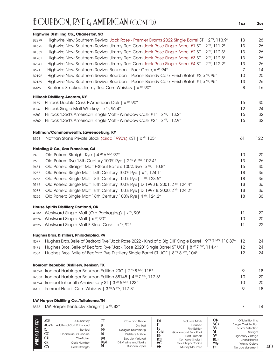|                  | <b>Highwire Distilling Co., Charleston, SC</b>                                                                                    |                |     |
|------------------|-----------------------------------------------------------------------------------------------------------------------------------|----------------|-----|
| B2279            | Highwire New Southern Revival Jack Rose - Premier Drams 2022 Single Barrel ST   2 <sup>VR</sup> , 113.9°                          | 13             | 26  |
| B1625            | Highwire New Southern Revival Jimmy Red Corn Jack Rose Single Barrel #1 ST   2 <sup>'re</sup> , 111.2 <sup>°</sup>                | 13             | 26  |
| B1832            | Highwire New Southern Revival Jimmy Red Corn Jack Rose Single Barrel #2 ST   2 <sup>VR</sup> , 112.3°                             | 13             | 26  |
| B1901            | Highwire New Southern Revival Jimmy Red Corn Jack Rose Single Barrel #3 ST   2 <sup>VR</sup> , 112.8°                             | 13             | 26  |
| B2041            | Highwire New Southern Revival Jimmy Red Corn Jack Rose Single Barrel #4 ST   2 <sup>vR</sup> , 112.2°                             | 13             | 26  |
| B621             | Highwire New Southern Revival Bourbon   Four Grain, x <sup>YR</sup> , 94°                                                         | $\overline{7}$ | 14  |
| B2192            | Highwire New Southern Revival Bourbon   Peach Brandy Cask Finish Batch #2, x <sup>yp</sup> , 95°                                  | 10             | 20  |
| B2139            | Highwire New Southern Revival Bourbon   Peach Brandy Cask Finish Batch #1, x <sup>YR</sup> , 95°                                  | 13             | 26  |
| A325             | Benton's Smoked Jimmy Red Corn Whiskey   x <sup>YR</sup> , 90°                                                                    | 8              | 16  |
|                  | <b>Hillrock Distillery, Ancram, NY</b>                                                                                            |                |     |
| R159             | Hillrock Double Cask F-American Oak   x <sup>YR</sup> , 90°                                                                       | 15             | 30  |
| A137             | Hillrock Single Malt Whiskey   x <sup>YR</sup> , 96.4°                                                                            | 12             | 24  |
| A261             | Hillrock "Dad's American Single Malt - Winebow Cask #1"   x <sup>YR</sup> , 113.2°                                                | 16             | 32  |
| A262             | Hillrock "Dad's American Single Malt - Winebow Cask #2"   x <sup>vp</sup> , 112.9°                                                | 16             | 32  |
|                  | Hoffman/Commonwealth, Lawrenceburg, KY                                                                                            |                |     |
| B523             | Nathan Stone Private Stock (circa 1990's) KST   x <sup>YR</sup> , 105°                                                            | 61             | 122 |
|                  | Hotaling & Co., San Francisco, CA                                                                                                 |                |     |
| R4               | Old Potrero Straight Rye   4 YR 6 MO, 97°                                                                                         | 10             | 20  |
| R6               | Old Potrero Rye 18th Century 100% Rye   2 YR 6 MO. 102.4°                                                                         | 13             | 26  |
| R451             | Old Potrero Straight Malt F-Stout Barrels 100% Rye   x <sup>YR</sup> , 110.8°                                                     | 15             | 30  |
| R <sub>257</sub> | Old Potrero Single Malt 18th Century 100% Rye   x <sup>vR</sup> , 124.1°                                                          | 18             | 36  |
| R <sub>255</sub> | Old Potrero Single Malt 18th Century 100% Rye   1 YR, 123.5°                                                                      | 18             | 36  |
| R166             | Old Potrero Single Malt 18th Century 100% Rye   D. 1998 B. 2001, 2 YR, 124.4°                                                     | 18             | 36  |
| R288             | Old Potrero Single Malt 18th Century 100% Rye   D. 1997 B. 2000, 2 YR, 124.2°                                                     | 18             | 36  |
| R <sub>256</sub> | Old Potrero Single Malt 18th Century 100% Rye   4 YR, 124.2°                                                                      | 18             | 36  |
|                  | <b>House Spirits Distillery, Portland, OR</b>                                                                                     |                |     |
| A199             | Westward Single Malt (Old Packaging)   x <sup>YR</sup> , 90°                                                                      | 11             | 22  |
| A294             | Westward Single Malt   x <sup>YR</sup> , 90°                                                                                      | 10             | 20  |
| A295             | Westward Single Malt F-Stout Cask   x YR, 92°                                                                                     | 11             | 22  |
|                  | Hughes Bros. Distillers, Philadelphia, PA                                                                                         |                |     |
| R577             | Hughes Bros. Belle of Bedford Rye "Jack Rose 2022 - Kind of a Big Dill" Single Barrel   9 <sup>VR</sup> 7 <sup>MO</sup> , 110.87° | 12             | 24  |
| R472             | Hughes Bros. Belle of Bedford Rye "Jack Rose 2020" Single Barrel ST UCF   8 NR 7 MO, 114.4°                                       | 12             | 24  |
| R584             | Hughes Bros. Belle of Bedford Rye Distillery Single Barrel ST UCF   8 YR 8 MO, 104°                                               | 12             | 24  |
|                  | <b>Ironroot Republic Distillery, Denison, TX</b>                                                                                  |                |     |
|                  | B1693 Ironroot Harbinger Bourbon Edition 20C   2 YR 8 MO, 115°                                                                    | 9              | 18  |
| B2083            | Ironroot Harbinger Bourbon Edition 58145   4 YR 7 MO, 117.8°                                                                      | 10             | 20  |
| B1694            | Ironroot Ichor 5th Anniversary ST   3 YR 5 MO, 123°                                                                               | 10             | 20  |
| A311             | Ironroot Hubris Corn Whiskey   3 YR 6 MO, 117.8°                                                                                  | 9              | 18  |
|                  | I.W. Harper Distilling Co., Tullahoma, TN                                                                                         |                |     |
| <b>B575</b>      | I.W. Harper Kentucky Straight   x <sup>YR</sup> , 82°                                                                             | 7              | 14  |
|                  |                                                                                                                                   |                |     |

| $\widehat{\mathbf{\Theta}}$ | ADR<br>ACFD<br>$\rm CC$<br>СH<br><b>CK</b> | A.D. Rattrav<br>Additional Cask Enhanced<br><b>Bottled</b><br>Connoisseur's Choice<br>Chieftain's<br>Cask Number | υ.<br><b>DD</b><br>$\mathbf{D}$<br>D M<br>DεM<br>וע | Cask and Thistle<br><b>Distilled</b><br>Douglas Drumlanrig<br>Distiller's Edition<br>Double Matured<br>D&M Wine and Spirits<br>Duncan Taylor | £۲<br>GεM<br>HB<br>КSI<br>МC | <b>Exclusive Malts</b><br>Finished<br><b>First Edition</b><br>Gordon and MacPhail<br><b>Hart Brothers</b><br>Kentucky Straight<br>MacKillop's Choice | ОB<br>SCN<br>UCF<br><b>WG</b><br><b>Y</b> yp | Official Bottling<br><b>Single Cask Nation</b><br>Scott's Selection<br>Straight<br><b>Signatory Vintage</b><br>Unchillfiltered<br><b>Whisky Galore</b> |
|-----------------------------|--------------------------------------------|------------------------------------------------------------------------------------------------------------------|-----------------------------------------------------|----------------------------------------------------------------------------------------------------------------------------------------------|------------------------------|------------------------------------------------------------------------------------------------------------------------------------------------------|----------------------------------------------|--------------------------------------------------------------------------------------------------------------------------------------------------------|
|                             | CS                                         | Cask Strength                                                                                                    |                                                     |                                                                                                                                              | MN                           | <b>Murray McDavid</b>                                                                                                                                |                                              | No age statement                                                                                                                                       |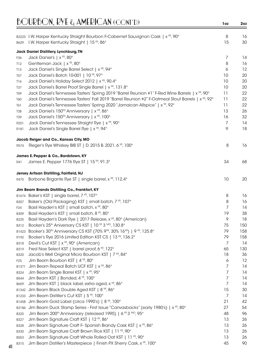|                     | B2223 I.W. Harper Kentucky Straight Bourbon F-Cabernet Sauvignon Cask   x <sup>vp</sup> , 90°                               | 8        | 16       |
|---------------------|-----------------------------------------------------------------------------------------------------------------------------|----------|----------|
| B629                | I.W. Harper Kentucky Straight   15 YR, 86°                                                                                  | 15       | 30       |
|                     | Jack Daniel Distillery, Lynchburg, TN                                                                                       |          |          |
| F <sub>36</sub>     | Jack Daniel's   x <sup>YR</sup> , 80°                                                                                       | 7        | 14       |
| T12                 | Gentleman Jack   x <sup>YR</sup> , 80°                                                                                      | 8        | 16       |
| T13                 | Jack Daniel's Single Barrel Select   x YR, 94°                                                                              | 6        | 12       |
| T57                 | Jack Daniel's Batch 10-001   10 YR, 97°                                                                                     | 10       | 20       |
| T16                 | Jack Daniel's Holiday Select 2012   x <sup>YR</sup> , 90.4°                                                                 | 10       | 20       |
| T37                 | Jack Daniel's Barrel Proof Single Barrel   x <sup>YR</sup> , 131.8°                                                         | 10       | 20       |
| T59                 | Jack Daniel's Tennessee Tasters' Spring 2019 "Barrel Reunion #1" F-Red Wine Barrels   x <sup>VR</sup> , 90°                 | 11       | 22       |
| T60                 | Jack Daniel's Tennessee Tasters' Fall 2019 "Barrel Reunion #2" F-Oatmeal Stout Barrels   x <sup>VP</sup> , 92°              | 11       | 22       |
| T61                 | Jack Daniel's Tennessee Tasters' Spring 2020 "Jamaican Allspice"   x <sup>YR</sup> , 92°                                    | 11       | 22       |
| T38                 | Jack Daniel's 150 <sup>TH</sup> Anniversary   x <sup>YR</sup> , 86°                                                         | 13       | 26       |
| T39                 | Jack Daniel's 150 <sup>TH</sup> Anniversary   x <sup>YR</sup> , 100°                                                        | 16       | 32       |
| R <sub>25</sub> 1   | Jack Daniel's Tennessee Straight Rye   x YR, 90°                                                                            | 7        | 14       |
| R181                | Jack Daniel's Single Barrel Rye   x YR, 94°                                                                                 | 9        | 18       |
|                     | Jacob Reiger and Co., Kansas City, MO                                                                                       |          |          |
| R574                | Rieger's Rye Whiskey BIB ST   D. 2015 B. 2021, 6 YR, 100°                                                                   | 8        | 16       |
|                     |                                                                                                                             |          |          |
| R41                 | James E. Pepper & Co., Bardstown, KY<br>James E. Pepper 1776 Rye ST   15 YR, 91.3°                                          | 34       | 68       |
|                     |                                                                                                                             |          |          |
|                     | Jersey Artisan Distilling, Fairfield, NJ                                                                                    |          |          |
| R475                | Borbone Brigante Rye ST   single barrel, x YR, 112.4°                                                                       | 10       | 20       |
|                     | Jim Beam Brands Distilling Co., Frankfort, KY                                                                               |          |          |
|                     | B1674 Baker's KST   single barrel, 7 YR, 107°                                                                               | 8        | 16       |
| B307                | Baker's (Old Packaging) KST   small batch, 7 YR, 107°                                                                       | 8        | 16       |
| F24                 | Basil Hayden's KST   small batch, x YR, 80°                                                                                 | 7        | 14       |
| <b>B309</b>         | Basil Hayden's KST   small batch, 8 YR, 80°                                                                                 | 19       | 38       |
| B225                | Basil Hayden's Dark Rye   2017 Release, x YR, 80° (American)                                                                | 9        | 18       |
| B312                | Booker's 25 <sup>th</sup> Aniversary CS KST   10 <sup>YR</sup> 3 <sup>MO</sup> , 130.8°                                     | 75       | 150      |
|                     | B1423 Booker's 30 <sup>TH</sup> Anniversary CS KST (70% 9 <sup>YR</sup> , 30% 16 <sup>YR</sup> )   9 <sup>YR</sup> , 125.8° | 79       | 158      |
| R192                | Booker's Rye 2016 Limited Edition KST CS   13 YR, 136.2°                                                                    | 79       | 158      |
| B318                | Devil's Cut KST   x <sup>YR</sup> , 90° (American)                                                                          | 7        | 14       |
| B319                | Fred Noe Select KST   barrel proof, 6 YR, 122°                                                                              | 65       | 130      |
| <b>B320</b>         | Jacob's Well Original Micro Bourbon KST   7 YR, 84°                                                                         | 18       | 36       |
| F <sub>25</sub>     | Jim Beam Bourbon KST   4 YR, 80°                                                                                            | 6        | 12       |
| B1371               | Jim Beam Repeal Batch UCF KST   x <sup>YR</sup> , 86°                                                                       | 7        | 14       |
| B324                | Jim Beam Single Barrel KST   x <sup>YR</sup> , 95°                                                                          | 7        | 14       |
| B544                | Jim Beam KST   Bonded, 4 YR, 100°                                                                                           | 7        | 14       |
| B659                | Jim Beam KST   black label, extra aged, x YR, 86°                                                                           | 7        | 14       |
|                     | B1342 Jim Beam Black Double Aged KST   8 YR, 86°                                                                            | 15       | 30       |
| B1233               | Jim Beam Distiller's Cut KST   5 YR, 100°                                                                                   | 7        | 14       |
| B1458               | Jim Beam Gold Label (circa 1990's)   8 YR, 100°                                                                             | 21       | 42       |
| B2186               | Jim Beam Duck Stamp Series - First Issue "Canvasbacks" (early 1980's)   x <sup>vR</sup> , 80°                               | 27       | 54       |
| B325                | Jim Beam 200 <sup>th</sup> Anniversary (released 1995)   6 <sup>YR</sup> 3 <sup>MO</sup> , 95°                              | 48       | 96       |
| B327                | Jim Beam Signature Craft KST   12 YR, 86°                                                                                   | 13       | 26       |
| <b>B328</b>         | Jim Beam Signature Craft F-Spanish Brandy Cask KST   x <sup>YR</sup> , 86°                                                  | 13       | 26       |
| <b>B330</b>         | Jim Beam Signature Craft Brown Rice KST   11 YR, 90°<br>Jim Beam Signature Craft Whole Rolled Oat KST   11 YR, 90°          | 13<br>13 | 26<br>26 |
| B553<br><b>B315</b> | Jim Beam Distiller's Masterpiece   Finish PX Sherry Cask, x <sup>YR</sup> , 100°                                            | 45       | 90       |
|                     |                                                                                                                             |          |          |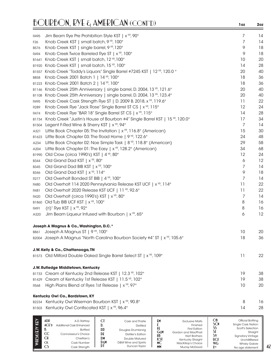|                  | BOURBON, RYE & AMERICAN (CONT'D)                                                                                 | 1oz                                                                | 2oz |
|------------------|------------------------------------------------------------------------------------------------------------------|--------------------------------------------------------------------|-----|
| R495             | Jim Beam Rye Pre Prohibition Style KST   x <sup>YR</sup> , 90°                                                   | 7                                                                  | 14  |
| F <sub>26</sub>  | Knob Creek KST   small batch, 9 YR, 100°                                                                         | 7                                                                  | 14  |
| B576             | Knob Creek KST   single barrel, 9 YR, 120°                                                                       | 9                                                                  | 18  |
| R494             | Knob Creek Twice Barreled Rye ST   x <sup>YR</sup> , 100°                                                        | 9                                                                  | 18  |
| B1641            | Knob Creek KST   small batch, 12 YR, 100°                                                                        | 10                                                                 | 20  |
| B1920            | Knob Creek KST   small batch, 15 <sup>YR</sup> , 100°                                                            | 14                                                                 | 28  |
| B1557            | Knob Creek "Toddy's Liquors" Single Barrel #7245 KST   12 YR, 120.0 °                                            | 20                                                                 | 40  |
| <b>B858</b>      | Knob Creek 2001 Batch 1   14 YR, 100°                                                                            | 18                                                                 | 36  |
| B1223            | Knob Creek 2001 Batch 2   14 YR, 100°                                                                            | 18                                                                 | 36  |
| B1146            | Knob Creek 25th Anniversary   single barrel, D. 2004, 13 YR, 121.6°                                              | 20                                                                 | 40  |
| B1108            | Knob Creek 25th Anniversary   single barrel, D. 2004, 13 YR, 123.4°                                              | 20                                                                 | 40  |
| R495             | Knob Creek Cask Strength Rye ST   D. 2009 B. 2018, x <sup>VR</sup> , 119.6°                                      | 11                                                                 | 22  |
| R <sub>289</sub> | Knob Creek Rye "Jack Rose" Single Barrel ST CS   x <sup>YR</sup> , 115°                                          | 12                                                                 | 24  |
| R474             | Knob Creek Rye "BAR 18" Single Barrel ST CS   x <sup>YR</sup> , 115°                                             | 14                                                                 | 28  |
| B1734            | Knob Creek "Justin's House of Bourbon #4" Single Barrel KST   15 YR, 120.0°                                      | 17                                                                 | 34  |
| B1504            | Legent F-Red Wine & Sherry KST   x <sup>YR</sup> , 94°                                                           | 7                                                                  | 14  |
| A321             | Little Book Chapter 05: The Invitation   $x^{\gamma R}$ , 116.8° (American)                                      | 15                                                                 | 30  |
| B1623            | Little Book Chapter 03: The Road Home   9 <sup>YR</sup> , 122.6°                                                 | 24                                                                 | 48  |
| A234             | Little Book Chapter 02: Noe Simple Task   8 <sup>vR</sup> , 118.8° (American)                                    | 29                                                                 | 58  |
| A204             | Little Book Chapter 01: The Easy   $x^{rR}$ , 128.2° (American)                                                  | 34                                                                 | 68  |
| B1990            | Old Crow (circa 1990's) KST   4 YR, 80°                                                                          | 12                                                                 | 24  |
| <b>B344</b>      | Old Grand Dad KST   x <sup>YR</sup> , 80°                                                                        | 6                                                                  | 12  |
| <b>B345</b>      | Old Grand Dad BIB KST   x <sup>YR</sup> , 100°                                                                   | 7                                                                  | 14  |
| <b>B346</b>      | Old Grand Dad KST   x <sup>YR</sup> , 114°                                                                       | 9                                                                  | 18  |
| R <sub>277</sub> | Old Overholt Bonded ST BIB   4 <sup>YR</sup> , 100°                                                              | 7                                                                  | 14  |
| R480             | Old Overholt 114 2020 Pennsylvania Release KST UCF   x <sup>YR</sup> , 114°                                      | 11                                                                 | 22  |
| R481             | Old Overholt 2020 Release KST UCF   11 YR, 92.6°                                                                 | 11                                                                 | 22  |
| R420             | Old Overholt (circa 1990's) KST   x YR, 80°                                                                      | 7                                                                  | 14  |
| B1860            | Old Tub BIB UCF KST   x <sup>YR</sup> , 100°                                                                     | 8                                                                  | 16  |
| R491             | $(ri)^1$ Rye KST   $x^{\gamma R}$ , 92°                                                                          | 8                                                                  | 16  |
| A320             | Jim Beam Liqueur Infused with Bourbon   x <sup>YR</sup> , 65°                                                    | 6                                                                  | 12  |
|                  | Joseph A Magnus & Co., Washington, D.C.*                                                                         |                                                                    |     |
| B861             | Joseph A Magnus ST   9 <sup>YR</sup> , 100°                                                                      | 10                                                                 | 20  |
| B2004            | Joseph A Magnus "North Carolina Bourbon Society #4" ST   x <sup>YR</sup> , 105.6°                                | 18                                                                 | 36  |
|                  | J.W. Kelly & Co., Chattanooga, TN                                                                                |                                                                    |     |
|                  | B1573 Old Milford Double Oaked Single Barrel Select ST   x <sup>YR</sup> , 109°                                  | 11                                                                 | 22  |
|                  | J.W. Rutledge Middletown, Kentucky                                                                               |                                                                    |     |
| B1733            | Cream of Kentucky 2nd Release KST   12.3 YR, 102°                                                                | 19                                                                 | 38  |
| B1429            | Cream of Kentucky 1st Release KST   11.5 YR, 102°                                                                | 19                                                                 | 38  |
| R568             | High Plains Blend of Ryes 1st Release   x <sup>YR</sup> , 97°                                                    | 10                                                                 | 20  |
|                  | Kentucky Owl Co., Bardstown, KY                                                                                  |                                                                    |     |
| B2234            | Kentucky Owl Wiseman Bourbon KST   x <sup>YR</sup> , 90.8°                                                       | 8                                                                  | 16  |
| B1503            | Kentucky Owl Confiscated KST   x <sup>YR</sup> , 96.4°                                                           | 14                                                                 | 28  |
| 준                | ADR<br><b>CI</b><br>ΈM<br>A.D. Rattray<br>Cask and Thistle<br><b>Exclusive Malts</b><br>Einished<br><sup>n</sup> | OB<br>Official Bottling<br><b>SCN</b><br><b>Single Cask Nation</b> |     |

|   | ADR           | A.D. Rattrav             |     | Cask and Thistle     | £۲        | <b>Exclusive Malts</b> | ОB          | Official Bottling        |
|---|---------------|--------------------------|-----|----------------------|-----------|------------------------|-------------|--------------------------|
|   | ACFD          | Additional Cask Enhanced |     | <b>Distilled</b>     |           | Finished               | SCN         | Single Cask Nation       |
| Ë |               | <b>Bottled</b>           | DD  | Douglas Drumlanrig   |           | <b>First Edition</b>   | SS          | Scott's Selection        |
|   | <sub>CC</sub> | Connoisseur's Choice     | DE  | Distiller's Edition  | GεM       | Gordon and MacPhail    |             | Straight                 |
|   | СH            | Chieftain's              | DM  | Double Matured       | HB        | <b>Hart Brothers</b>   | S١          | <b>Signatory Vintage</b> |
|   |               |                          | DεM | D&M Wine and Spirits | КSI       | Kentucky Straight      | <b>UCF</b>  | Unchillfiltered          |
|   | <b>CK</b>     | Cask Number              |     |                      | МC        | MacKillop's Choice     | <b>WG</b>   | <b>Whisky Galore</b>     |
|   |               | Cask Strength            |     | Duncan Taylor        | <b>MM</b> | <b>Murray McDavid</b>  | <b>Y</b> yp | No age statement         |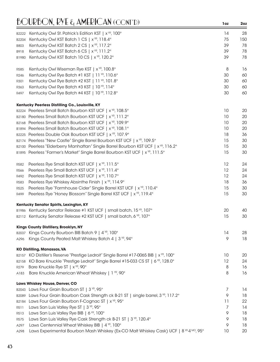|                  | Kentucky Owl St. Patrick's Edition KST   x <sup>YR</sup> , 100°                                     | 14 | 28  |
|------------------|-----------------------------------------------------------------------------------------------------|----|-----|
| B2222<br>B2204   | Kentucky Owl KST Batch 1 CS   x <sup>YR</sup> , 118.4°                                              | 75 | 150 |
| <b>B803</b>      | Kentucky Owl KST Batch 2 CS   x <sup>YR</sup> , 117.2°                                              | 39 | 78  |
| B918             | Kentucky Owl KST Batch 6 CS   x <sup>YR</sup> , 111.2°                                              | 39 | 78  |
| B1980            | Kentucky Owl KST Batch 10 CS   x <sup>YR</sup> , 120.2°                                             | 39 | 78  |
|                  |                                                                                                     |    |     |
| R585             | Kentucky Owl Wiseman Rye KST   x <sup>YR</sup> , 100.8°                                             | 8  | 16  |
| R <sub>246</sub> | Kentucky Owl Rye Batch #1 KST   11 YR, 110.6°                                                       | 30 | 60  |
| R301             | Kentucky Owl Rye Batch #2 KST   11 YR, 101.8°                                                       | 30 | 60  |
| R363             | Kentucky Owl Rye Batch #3 KST   10 YR, 114°                                                         | 30 | 60  |
| R497             | Kentucky Owl Rye Batch #4 KST   10 YR, 112.8°                                                       | 30 | 60  |
|                  | Kentucky Peerless Distilling Co., Louisville, KY                                                    |    |     |
|                  | B2224 Peerless Small Batch Bourbon KST UCF   x <sup>YR</sup> , 108.5°                               | 10 | 20  |
|                  | B2180 Peerless Small Batch Bourbon KST UCF   x <sup>YR</sup> , 111.2°                               | 10 | 20  |
| B2168            | Peerless Small Batch Bourbon KST UCF   x <sup>YR</sup> , 109.9°                                     | 10 | 20  |
|                  | B1894 Peerless Small Batch Bourbon KST UCF   x <sup>YR</sup> , 108.1°                               | 10 | 20  |
| B2225            | Peerless Double Oak Bourbon KST UCF   x <sup>YR</sup> , 107.9°                                      | 18 | 36  |
|                  | B2174 Peerless "New Castle" Single Barrel Bourbon KST UCF   x <sup>YR</sup> , 109.5°                | 15 | 30  |
| B2100            | Peerless "Elderberry Manhattan" Single Barrel Bourbon KST UCF   x <sup>YR</sup> , 116.2°            | 15 | 30  |
|                  | B1895 Peerless "Farmer's Market" Single Barrel Bourbon KST UCF   x <sup>YR</sup> , 111.5°           | 15 | 30  |
|                  |                                                                                                     |    |     |
| R582             | Peerless Rye Small Batch KST UCF   x <sup>YR</sup> , 111.5°                                         | 12 | 24  |
| R566             | Peerless Rye Small Batch KST UCF   x <sup>YR</sup> , 111.4°                                         | 12 | 24  |
| R492             | Peerless Rye Small Batch KST UCF   x <sup>YR</sup> , 110.7°                                         | 12 | 24  |
| R583             | Peerless Rye Whiskey Absinthe Finish   x <sup>YR</sup> , 114.9°                                     | 18 | 36  |
| R525             | Peerless Rye "Farmhouse Cider" Single Barrel KST UCF   x <sup>YR</sup> , 110.4°                     | 15 | 30  |
| R499             | Peerless Rye "Honey Blossom" Single Barrel KST UCF   x YR, 119.4°                                   | 15 | 30  |
|                  | Kentucky Senator Spirits, Lexington, KY                                                             |    |     |
|                  | B1986 Kentucky Senator Release #1 KST UCF   small batch, 15 YR, 107°                                | 20 | 40  |
|                  | B2112 Kentucky Senator Release #2 KST UCF   small batch, 6 YR, 107°                                 | 15 | 30  |
|                  | Kings County Distillery, Brooklyn, NY                                                               |    |     |
|                  | B2037 Kings County Bourbon BIB Batch 9   4 YR, 100°                                                 | 14 | 28  |
| A296             | Kings County Peated Malt Whiskey Batch 4   3 YR, 94°                                                | 9  | 18  |
|                  | <b>KO Distilling, Manassas, VA</b>                                                                  |    |     |
|                  | B2157 KO Distiller's Reserve "Prestige Ledroit" Single Barrel #17-0065 BIB   x <sup>VR</sup> , 100° | 10 | 20  |
| B2158            | KO Bare Knuckle "Prestige Ledroit" Single Barrel #15-033 CS ST   6 YR, 128.0°                       | 12 | 24  |
| R <sub>279</sub> | Bare Knuckle Rye ST   x <sup>YR</sup> , 90°                                                         | 8  | 16  |
| A183             | Bare Knuckle American Wheat Whiskey   1 YR, 90°                                                     | 8  | 16  |
|                  | Laws Whiskey House, Denver, CO                                                                      |    |     |
|                  | B2043 Laws Four Grain Bourbon ST   3 YR, 95°                                                        | 7  | 14  |
| B2089            | Laws Four Grain Bourbon Cask Strength ck B-21 ST   single barrel, 3 YR, 117.2°                      | 9  | 18  |
| B2184            | Laws Four Grain Bourbon F-Cognac ST   x <sup>YR</sup> , 95°                                         | 11 | 22  |
| R511             | Laws San Luis Valley Rye ST   3 YR, 95°                                                             | 7  | 14  |
| R513             | Laws San Luis Valley Rye BIB   6 YR, 100°                                                           | 9  | 18  |
| R575             | Laws San Luis Valley Rye Cask Strength ck B-21 ST   3 YR, 120.4°                                    | 9  | 18  |
| A297             | Laws Centennial Wheat Whiskey BIB   4 <sup>YR</sup> , 100°                                          | 9  | 18  |
| A298             | Laws Experimental Bourbon Mash Whiskey (Ex-CO Malt Whiskey Cask) UCF   8 <sup>'/R 4 MO</sup> , 95°  | 10 | 20  |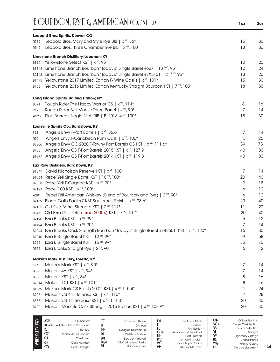| <b>BOURBON, RYE &amp; AMERICAN (CONT'D)</b>                                                                | 1oz            | 2oz      |
|------------------------------------------------------------------------------------------------------------|----------------|----------|
| Leopold Bros. Spirits, Denver, CO                                                                          |                |          |
| Leopold Bros. Maryland Style Rye BIB   x <sup>YR</sup> , 86°<br>R132                                       | 15             | 30       |
| Leopold Bros. Three Chamber Rye BIB   x <sup>YR</sup> , 100°<br>R542                                       | 18             | 36       |
| Limestone Branch Distillery, Lebanon, KY                                                                   |                |          |
| Yellowstone Select KST   x <sup>YR</sup> , 93°<br><b>B839</b>                                              | 10             | 20       |
| Limestone Branch Bourbon "Toddy's" Single Barrel #627   18 MO, 95°<br>B1844                                | 12             | 24       |
| Limestone Branch Bourbon "Toddy's" Single Barrel #EX5101   21 MO, 95°<br>B2148                             | 13             | 26       |
| Yellowstone 2017 Limited Edition F- Wine Casks   x <sup>YR</sup> , 101°<br>B1495                           | 15             | 30       |
| Yellowstone 2016 Limited Edition Kentucky Straight Bourbon KST   7 YR, 105°<br><b>B708</b>                 | 18             | 36       |
| Long Island Spirits, Baiting Hallow, NY                                                                    |                |          |
| Rough Rider The Happy Warrior CS   x <sup>YR</sup> , 114°<br>B871                                          | 8              | 16       |
| Rough Rider Bull Moose Three Barrel   x <sup>YR</sup> , 90°<br>R47                                         | 7              | 14       |
| Pine Barrens Single Malt BIB   B. 2018, 4 YR, 100°<br>A223                                                 | 15             | 30       |
| Louisville Spirits Co., Bardstown, KY                                                                      |                |          |
| Angel's Envy F-Port Barrels   x <sup>YR</sup> , 86.6°<br>F <sub>23</sub>                                   | 7              | 14       |
| Angels Envy F-Caribbean Rum Cask   x <sup>YR</sup> , 100°<br><b>R50</b>                                    | 13             | 26       |
| Angel's Envy CC 2020 F-Tawny Port Barrels CS KST   x <sup>vR</sup> , 111.6°<br>B2206                       | 39             | 78       |
| Angel's Envy CS F-Port Barrels 2015 KST   x <sup>vR</sup> , 127.9<br>B755                                  | 40             | 80       |
| Angel's Envy CS F-Port Barrels 2014 KST   x <sup>vR</sup> , 119.3<br>B1977                                 | 40             | 80       |
| Lux Row Distillers, Bardstown, KY                                                                          |                |          |
| David Nicholson Reserve KST   x <sup>YR</sup> , 100°<br>B1547                                              | 7              | 14       |
| Rebel Yell Single Barrel KST   10 YR, 100°<br>B1964                                                        | 20             | 40       |
| Rebel Yell F-Cognac KST   x <sup>YR</sup> , 90°<br>B2088                                                   | 9              | 18       |
| Rebel 100 KST   x <sup>YR</sup> , 100°<br>B2193                                                            | 6              | 12       |
| Rebel Yell American Whiskey (Blend of Bourbon and Rye)   2 <sup>YR</sup> , 90°<br>A291                     | 6              | 12       |
| Blood Oath Pact #7 KST Sauternes Finish   x <sup>YR</sup> , 98.6°<br>B2159                                 | 20             | 40       |
| Old Ezra Barrel Strength KST   7 YR, 117°<br>B2155                                                         | 11             | 22       |
| Old Ezra Rare Old (circa 2000's) KST   7 YR, 101°<br>B845                                                  | 20             | 40       |
| B2190 Ezra Brooks KST   x YR, 99°<br>B1494 Ezra Brooks KST   x YR, 90°                                     | 6              | 12<br>14 |
| Ezra Brooks Cask Strength Bourbon "Toddy's" Single Barrel #7425511KST   5 <sup>'m</sup> , 120°             | $\prime$<br>15 | 30       |
| B2244<br>Ezra B Single Barrel KST   12 YR, 99°<br>B2010                                                    | 29             | 58       |
| Ezra B Single Barrel KST   15 YR, 99°<br><b>B266</b>                                                       | 35             | 70       |
| Ezra Brooks Straight Rye   2 <sup>YR</sup> , 90°<br>R555                                                   | 6              | 12       |
|                                                                                                            |                |          |
| <b>Maker's Mark Distillery, Loretto, KY</b><br>Maker's Mark KST   x <sup>YR</sup> , 90°<br>F <sub>27</sub> | 7              | 14       |
| Maker's 46 KST   x YR, 94°<br><b>B336</b>                                                                  | 7              | 14       |
| Maker's KST   x <sup>YR</sup> , 84°<br><b>B335</b>                                                         | 8              | 16       |
| Maker's 101 KST   x <sup>YR</sup> , 101°<br>B2014                                                          | 8              | 16       |
| Maker's Mark CS Batch 20-02 KST   x <sup>YR</sup> , 110.4°<br>B1869                                        | 12             | 24       |
| Maker's CS 4th Release KST   x <sup>YR</sup> , 110°<br><b>B906</b>                                         | 14             | 28       |
| Maker's CS 1st Release KST   x <sup>YR</sup> , 111.3°<br>B337                                              | 20             | 40       |
| Maker's Mark 46 Cask Strength 2015 Edition KST   x <sup>YR</sup> , 108.9°<br>B702                          | 20             | 40       |
|                                                                                                            |                |          |

| e | ADP<br>CC<br><b>CH</b><br>СK<br>w | A.D. Rattrav<br>Additional Cask Enhanced<br><b>Bottled</b><br>Connoisseur's Choice<br>Chieftain's<br>Cask Number<br>Cask Strength | υ.<br><b>DD</b><br>DE<br>DM<br>DεM<br>וע | Cask and Thistle<br><b>Distilled</b><br>Douglas Drumlanrig<br><b>Distiller's Edition</b><br>Double Matured<br>D&M Wine and Spirits<br>Duncan Taylor | £۲<br>GεM<br>HB<br>KSI<br>MC<br><b>MM</b> | <b>Exclusive Malts</b><br>Finished<br><b>First Edition</b><br>Gordon and MacPhail<br><b>Hart Brothers</b><br>Kentucky Straight<br>MacKillop's Choice<br><b>Murray McDavid</b> | ОB<br><b>SCN</b><br>SS<br>ار<br>S٧<br><b>UCF</b><br><b>WG</b><br><b>XYR</b> | <b>Official Bottling</b><br><b>Single Cask Nation</b><br>Scott's Selection<br>Straight<br><b>Signatory Vintage</b><br>Unchillfiltered<br><b>Whisky Galore</b><br>No age statement |
|---|-----------------------------------|-----------------------------------------------------------------------------------------------------------------------------------|------------------------------------------|-----------------------------------------------------------------------------------------------------------------------------------------------------|-------------------------------------------|-------------------------------------------------------------------------------------------------------------------------------------------------------------------------------|-----------------------------------------------------------------------------|-----------------------------------------------------------------------------------------------------------------------------------------------------------------------------------|
|---|-----------------------------------|-----------------------------------------------------------------------------------------------------------------------------------|------------------------------------------|-----------------------------------------------------------------------------------------------------------------------------------------------------|-------------------------------------------|-------------------------------------------------------------------------------------------------------------------------------------------------------------------------------|-----------------------------------------------------------------------------|-----------------------------------------------------------------------------------------------------------------------------------------------------------------------------------|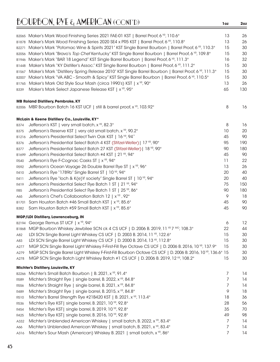| B2271<br>B2056<br>B1946<br>B1448<br>B1567<br>B2007<br>B1765<br><b>B339</b> | B2065 Maker's Mark Wood Finishing Series 2021 FAE-01 KST   Barrel Proof, 6 YR, 110.6°<br>B1878 Maker's Mark Wood Finishing Series 2020 SE4 x PR5 KST   Barrel Proof, 6 VR, 110.8°<br>Maker's Mark "Potomac Wine & Spirits 2021" KST Single Barrel Bourbon   Barrel Proof, 6 VR, 110.3°<br>Maker's Mark "Bravo's Top Chef Kentucky" KST Single Barrel Bourbon   Barrel Proof, 6 YR, 109.8°<br>Maker's Mark "BAR 18 Legend" KST Single Barrel Bourbon   Barrel Proof, 6 YR, 111.3°<br>Maker's Mark "KY Distiller's Assoc." KST Single Barrel Bourbon   Barrel Proof, 6 VR, 111.2°<br>Maker's Mark "Distillery Spring Release 2010" KST Single Barrel Bourbon   Barrel Proof, 6 YP, 111.3°<br>Maker's Mark "VA ABC - Smooth & Spicy" KST Single Barrel Bourbon   Barrel Proof, 6 YR, 110.5°<br>Maker's Mark Old Style Sour Mash (circa 1990's) KST   x <sup>YR</sup> , 90°<br>Maker's Mark Select Japanese Release KST   x YR, 95° | 13<br>13<br>15<br>15<br>16<br>15<br>15<br>15<br>13<br>65 | 26<br>26<br>30<br>30<br>32<br>30<br>30<br>30<br>26<br>130 |
|----------------------------------------------------------------------------|---------------------------------------------------------------------------------------------------------------------------------------------------------------------------------------------------------------------------------------------------------------------------------------------------------------------------------------------------------------------------------------------------------------------------------------------------------------------------------------------------------------------------------------------------------------------------------------------------------------------------------------------------------------------------------------------------------------------------------------------------------------------------------------------------------------------------------------------------------------------------------------------------------------------------------|----------------------------------------------------------|-----------------------------------------------------------|
|                                                                            |                                                                                                                                                                                                                                                                                                                                                                                                                                                                                                                                                                                                                                                                                                                                                                                                                                                                                                                                 |                                                          |                                                           |
|                                                                            | <b>MB Roland Distillery, Pembroke, KY</b><br>B2006 MBR Bourbon Batch 16 KST UCF   still & barrel proof, x <sup>YR</sup> , 103.92°                                                                                                                                                                                                                                                                                                                                                                                                                                                                                                                                                                                                                                                                                                                                                                                               | 8                                                        | 16                                                        |
|                                                                            | McLain & Keene Distillery Co., Louisville, KY*                                                                                                                                                                                                                                                                                                                                                                                                                                                                                                                                                                                                                                                                                                                                                                                                                                                                                  |                                                          |                                                           |
| B374                                                                       | Jefferson's KST   very small batch, x YR, 82.3°                                                                                                                                                                                                                                                                                                                                                                                                                                                                                                                                                                                                                                                                                                                                                                                                                                                                                 | 8                                                        | 16                                                        |
| <b>B375</b>                                                                | Jefferson's Reserve KST   very old small batch, x YR, 90.2°                                                                                                                                                                                                                                                                                                                                                                                                                                                                                                                                                                                                                                                                                                                                                                                                                                                                     | 10                                                       | 20                                                        |
| B1216                                                                      | Jefferson's Presidential Select Twin Oak KST   16 YR, 94°                                                                                                                                                                                                                                                                                                                                                                                                                                                                                                                                                                                                                                                                                                                                                                                                                                                                       | 45                                                       | 90                                                        |
| B376                                                                       | Jefferson's Presidential Select Batch 4 KST (Stitzel-Weller)   17 YR, 90°                                                                                                                                                                                                                                                                                                                                                                                                                                                                                                                                                                                                                                                                                                                                                                                                                                                       | 95                                                       | 190                                                       |
| B377                                                                       | Jefferson's Presidential Select Batch 27 KST (Stitzel-Weller)   18 YR, 90°                                                                                                                                                                                                                                                                                                                                                                                                                                                                                                                                                                                                                                                                                                                                                                                                                                                      | 90                                                       | 180                                                       |
| B1699                                                                      | Jefferson's Presidential Select Batch #4 KST   21 YR, 94°                                                                                                                                                                                                                                                                                                                                                                                                                                                                                                                                                                                                                                                                                                                                                                                                                                                                       | 45                                                       | 90                                                        |
| R540                                                                       | Jefferson's Rye F-Cognac Casks ST   x <sup>YR</sup> , 94°                                                                                                                                                                                                                                                                                                                                                                                                                                                                                                                                                                                                                                                                                                                                                                                                                                                                       | 11                                                       | 22                                                        |
| R592                                                                       | Jefferson's Ocean Voyage 26 Double Barrel Rye ST   x <sup>YR</sup> , 96°                                                                                                                                                                                                                                                                                                                                                                                                                                                                                                                                                                                                                                                                                                                                                                                                                                                        | 13                                                       | 26                                                        |
| R410                                                                       | Jefferson's Rye "1789b" Single Barrel ST   10 YR, 94°                                                                                                                                                                                                                                                                                                                                                                                                                                                                                                                                                                                                                                                                                                                                                                                                                                                                           | 20                                                       | 40                                                        |
| R411                                                                       | Jefferson's Rye "loch & K(e)Y society" Single Barrel ST   10 YR, 94°                                                                                                                                                                                                                                                                                                                                                                                                                                                                                                                                                                                                                                                                                                                                                                                                                                                            | 20                                                       | 40                                                        |
| R419                                                                       | Jefferson's Presidential Select Rye Batch 1 ST   21 YR, 94°                                                                                                                                                                                                                                                                                                                                                                                                                                                                                                                                                                                                                                                                                                                                                                                                                                                                     | 75                                                       | 150                                                       |
| <b>R85</b>                                                                 | Jefferson's Presidential Select Rye Batch 1 ST   25 YR, 86°                                                                                                                                                                                                                                                                                                                                                                                                                                                                                                                                                                                                                                                                                                                                                                                                                                                                     | 90                                                       | 180                                                       |
| A65                                                                        | Jefferson's Chef's Collaboration Batch 12   x <sup>YR</sup> , 92°                                                                                                                                                                                                                                                                                                                                                                                                                                                                                                                                                                                                                                                                                                                                                                                                                                                               | 9                                                        | 18                                                        |
| B1701                                                                      | Sam Houston Batch #46 Small Batch KST   x <sup>YR</sup> , 85.6°                                                                                                                                                                                                                                                                                                                                                                                                                                                                                                                                                                                                                                                                                                                                                                                                                                                                 | 45                                                       | 90                                                        |
| B382                                                                       | Sam Houston Batch #59 Small Batch KST   x <sup>YR</sup> , 85.6°                                                                                                                                                                                                                                                                                                                                                                                                                                                                                                                                                                                                                                                                                                                                                                                                                                                                 | 45                                                       | 90                                                        |
|                                                                            | MGP/LDI Distillery, Lawrenceburg, IN                                                                                                                                                                                                                                                                                                                                                                                                                                                                                                                                                                                                                                                                                                                                                                                                                                                                                            |                                                          |                                                           |
|                                                                            | B2194 George Remus ST UCF   x <sup>YR</sup> , 94°                                                                                                                                                                                                                                                                                                                                                                                                                                                                                                                                                                                                                                                                                                                                                                                                                                                                               | 6                                                        | 12                                                        |
|                                                                            | B1868 MGP Bourbon Whiskey Jewbilee SCN ck 4 CS UCF   D. 2006 B. 2019, 11 VR 7 MO, 108.3°                                                                                                                                                                                                                                                                                                                                                                                                                                                                                                                                                                                                                                                                                                                                                                                                                                        | 22                                                       | 44                                                        |
| A82                                                                        | LDI SCN Single Barrel Light Whiskey CS UCF   D. 2003 B. 2014, 11 YP, 122.6°                                                                                                                                                                                                                                                                                                                                                                                                                                                                                                                                                                                                                                                                                                                                                                                                                                                     | 15                                                       | 30                                                        |
| A83                                                                        | LDI SCN Single Barrel Light Whiskey CS UCF   D. 2000 B. 2014, 13 YR, 112.8°                                                                                                                                                                                                                                                                                                                                                                                                                                                                                                                                                                                                                                                                                                                                                                                                                                                     | 15                                                       | 30                                                        |
| A277                                                                       | MGP SCN Single Barrel Light Whiskey F-First-Fill Rye Octave CS UCF   D. 2006 B. 2016, 10 YP, 137.9°                                                                                                                                                                                                                                                                                                                                                                                                                                                                                                                                                                                                                                                                                                                                                                                                                             | 15                                                       | 30                                                        |
| A279                                                                       | MGP SCN Single Barrel Light Whiskey F-First-Fill Bourbon Octave CS UCF   D. 2006 B. 2016, 10 <sup>VR</sup> , 136.6° 15                                                                                                                                                                                                                                                                                                                                                                                                                                                                                                                                                                                                                                                                                                                                                                                                          |                                                          | 30                                                        |
| A278                                                                       | MGP SCN Single Batch Light Whiskey Batch #1 CS UCF   D. 2006 B. 2019, 12 VR, 108.2°                                                                                                                                                                                                                                                                                                                                                                                                                                                                                                                                                                                                                                                                                                                                                                                                                                             | 15                                                       | 30                                                        |
|                                                                            | Michter's Distillery, Louisville, KY                                                                                                                                                                                                                                                                                                                                                                                                                                                                                                                                                                                                                                                                                                                                                                                                                                                                                            |                                                          |                                                           |
| B2266                                                                      | Michter's Small Batch Bourbon   B. 2021, x <sup>vp</sup> , 91.4°                                                                                                                                                                                                                                                                                                                                                                                                                                                                                                                                                                                                                                                                                                                                                                                                                                                                | 7                                                        | 14                                                        |
| R589                                                                       | Michter's Straight Rye   single barrel, B. 2022, x YR, 84.8°                                                                                                                                                                                                                                                                                                                                                                                                                                                                                                                                                                                                                                                                                                                                                                                                                                                                    | 7                                                        | 14                                                        |
| R <sub>556</sub>                                                           | Michter's Straight Rye   single barrel, B. 2021, x YR, 84.8°                                                                                                                                                                                                                                                                                                                                                                                                                                                                                                                                                                                                                                                                                                                                                                                                                                                                    | 7                                                        | 14                                                        |
| R489                                                                       | Michter's Straight Rye   single barrel, B. 2015, x YR, 84.8°                                                                                                                                                                                                                                                                                                                                                                                                                                                                                                                                                                                                                                                                                                                                                                                                                                                                    | 9                                                        | 18                                                        |
| R510                                                                       | Michter's Barrel Strength Rye #21B420 KST   B. 2021, x <sup>VR</sup> , 113.4°                                                                                                                                                                                                                                                                                                                                                                                                                                                                                                                                                                                                                                                                                                                                                                                                                                                   | 18                                                       | 36                                                        |
| R536                                                                       | Michter's Rye KST  single barrel, B. 2021, 10 YR, 92.8°                                                                                                                                                                                                                                                                                                                                                                                                                                                                                                                                                                                                                                                                                                                                                                                                                                                                         | 28                                                       | 56                                                        |
| R454                                                                       | Michter's Rye KST  single barrel, B. 2019, 10 YR, 92.8°                                                                                                                                                                                                                                                                                                                                                                                                                                                                                                                                                                                                                                                                                                                                                                                                                                                                         | 35                                                       | 70                                                        |
| R425                                                                       | Michter's Rye KST  single barrel, B. 2016, 10 YR, 92.8°                                                                                                                                                                                                                                                                                                                                                                                                                                                                                                                                                                                                                                                                                                                                                                                                                                                                         | 49                                                       | 98                                                        |
| A332                                                                       | Michter's Unblended American Whiskey   small batch, B. 2022, x VR, 83.4°                                                                                                                                                                                                                                                                                                                                                                                                                                                                                                                                                                                                                                                                                                                                                                                                                                                        | 7                                                        | 14                                                        |
| A66                                                                        | Michter's Unblended American Whiskey   small batch, B. 2021, x <sup>vR</sup> , 83.4°                                                                                                                                                                                                                                                                                                                                                                                                                                                                                                                                                                                                                                                                                                                                                                                                                                            | 7                                                        | 14                                                        |
| A316                                                                       | Michter's Sour Mash (American) Whiskey B. 2021   small batch, x <sup>YP</sup> , 86°                                                                                                                                                                                                                                                                                                                                                                                                                                                                                                                                                                                                                                                                                                                                                                                                                                             | $\overline{7}$                                           | 14                                                        |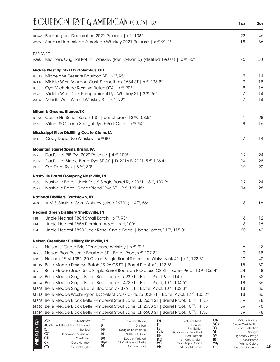|                          | $BQURBON$ , RYE $\epsilon_1$ AMERICAN (CONT'D)                                                                                                                                                                                                                                                                                                                                                                                                                                                                                                                                                                                                                                                                                           | 1oz                                                                                                                                                     | 2oz            |
|--------------------------|------------------------------------------------------------------------------------------------------------------------------------------------------------------------------------------------------------------------------------------------------------------------------------------------------------------------------------------------------------------------------------------------------------------------------------------------------------------------------------------------------------------------------------------------------------------------------------------------------------------------------------------------------------------------------------------------------------------------------------------|---------------------------------------------------------------------------------------------------------------------------------------------------------|----------------|
| A276                     | B1743 Bomberger's Declaration 2021 Release   x <sup>YR</sup> , 108°<br>Shenk's Homestead American Whiskey 2021 Release   x <sup>YR</sup> , 91.2°                                                                                                                                                                                                                                                                                                                                                                                                                                                                                                                                                                                         | 23<br>18                                                                                                                                                | 46<br>36       |
| DSP-PA-17                |                                                                                                                                                                                                                                                                                                                                                                                                                                                                                                                                                                                                                                                                                                                                          |                                                                                                                                                         |                |
| A268                     | Michter's Original Pot Still Whiskey (Pennsylvania) (distilled 1960's)   x <sup>vR</sup> , 86°                                                                                                                                                                                                                                                                                                                                                                                                                                                                                                                                                                                                                                           | 75                                                                                                                                                      | 150            |
|                          | Middle West Spirits LLC, Columbus, OH                                                                                                                                                                                                                                                                                                                                                                                                                                                                                                                                                                                                                                                                                                    |                                                                                                                                                         |                |
|                          | B2017 Michelone Reserve Bourbon ST   x <sup>YR</sup> , 95°                                                                                                                                                                                                                                                                                                                                                                                                                                                                                                                                                                                                                                                                               | 7                                                                                                                                                       | 14             |
|                          | B2118 Middle West Bourbon Cask Strength ck 1684 ST   x <sup>YR</sup> , 123.8°                                                                                                                                                                                                                                                                                                                                                                                                                                                                                                                                                                                                                                                            | 9                                                                                                                                                       | 18             |
| B383                     | Oyo Michelone Reserve Batch 004   x YR, 90°                                                                                                                                                                                                                                                                                                                                                                                                                                                                                                                                                                                                                                                                                              | 8                                                                                                                                                       | 16             |
| R523<br>A314             | Middle West Dark Pumpernickel Rye Whiskey ST   3 YR, 96°<br>Middle West Wheat Whiskey ST   3 YR, 92°                                                                                                                                                                                                                                                                                                                                                                                                                                                                                                                                                                                                                                     | 7<br>7                                                                                                                                                  | 14<br>14       |
|                          | <b>Milam &amp; Greene, Blanco, TX</b>                                                                                                                                                                                                                                                                                                                                                                                                                                                                                                                                                                                                                                                                                                    |                                                                                                                                                         |                |
|                          | B2090 Castle Hill Series Batch 1 ST   barrel proof, 13 YR, 108.5°                                                                                                                                                                                                                                                                                                                                                                                                                                                                                                                                                                                                                                                                        | 14                                                                                                                                                      | 28             |
| R562                     | Milam & Greene Straight Rye F-Port Cask   x YR, 94°                                                                                                                                                                                                                                                                                                                                                                                                                                                                                                                                                                                                                                                                                      | 8                                                                                                                                                       | 16             |
|                          | Mississippi River Distilling Co., Le Claire, IA                                                                                                                                                                                                                                                                                                                                                                                                                                                                                                                                                                                                                                                                                          |                                                                                                                                                         |                |
| R51                      | Cody Road Rye Whiskey   x <sup>YR</sup> 80°                                                                                                                                                                                                                                                                                                                                                                                                                                                                                                                                                                                                                                                                                              | 7                                                                                                                                                       | 14             |
|                          | <b>Mountain Laurel Spirits, Bristol, PA</b>                                                                                                                                                                                                                                                                                                                                                                                                                                                                                                                                                                                                                                                                                              |                                                                                                                                                         |                |
| R <sub>223</sub>         | Dad's Hat BIB Rye 2020 Release   4 YR, 100°                                                                                                                                                                                                                                                                                                                                                                                                                                                                                                                                                                                                                                                                                              | 12                                                                                                                                                      | 24             |
| R <sub>559</sub>         | Dad's Hat Single Barrel Rye ST CS   D. 2016 B. 2021, 5 YR, 126.4°                                                                                                                                                                                                                                                                                                                                                                                                                                                                                                                                                                                                                                                                        | 14                                                                                                                                                      | 28             |
| <b>R180</b>              | Old Farm Rye   6 MO, 80°                                                                                                                                                                                                                                                                                                                                                                                                                                                                                                                                                                                                                                                                                                                 | 10                                                                                                                                                      | 20             |
|                          | <b>Nashville Barrel Company, Nashville, TN</b>                                                                                                                                                                                                                                                                                                                                                                                                                                                                                                                                                                                                                                                                                           |                                                                                                                                                         |                |
| R560                     | Nashville Barrel "Jack Rose" Single Barrel Rye 2021   8 YR, 109.9°                                                                                                                                                                                                                                                                                                                                                                                                                                                                                                                                                                                                                                                                       | 12                                                                                                                                                      | 24             |
| R597                     | Nashville Barrel "9 Year Blend" Rye ST   9 YR, 121.48°                                                                                                                                                                                                                                                                                                                                                                                                                                                                                                                                                                                                                                                                                   | 14                                                                                                                                                      | 28             |
|                          | <b>National Distillers, Bardstown, KY</b>                                                                                                                                                                                                                                                                                                                                                                                                                                                                                                                                                                                                                                                                                                |                                                                                                                                                         |                |
| A68                      | A.M.S. Straight Corn Whiskey (circa 1970's)   4 YR, 86°                                                                                                                                                                                                                                                                                                                                                                                                                                                                                                                                                                                                                                                                                  | 8                                                                                                                                                       | 16             |
|                          | <b>Nearest Green Distillery, Shelbyville, TN</b>                                                                                                                                                                                                                                                                                                                                                                                                                                                                                                                                                                                                                                                                                         |                                                                                                                                                         |                |
| T48                      | Uncle Nearest 1884 Small Batch   x <sup>YR</sup> , 93°                                                                                                                                                                                                                                                                                                                                                                                                                                                                                                                                                                                                                                                                                   | 6                                                                                                                                                       | 12             |
| T44                      | Uncle Nearest 1856 Premium Aged   x <sup>YR</sup> , 100°                                                                                                                                                                                                                                                                                                                                                                                                                                                                                                                                                                                                                                                                                 | 8                                                                                                                                                       | 16             |
| T54                      | Uncle Nearest 1820 "Jack Rose" Single Barrel   barrel proof, 11 YR, 115.0°                                                                                                                                                                                                                                                                                                                                                                                                                                                                                                                                                                                                                                                               | 20                                                                                                                                                      | 40             |
|                          | <b>Nelson Greenbrier Distillery, Nashville, TN</b>                                                                                                                                                                                                                                                                                                                                                                                                                                                                                                                                                                                                                                                                                       |                                                                                                                                                         |                |
| T56                      | Nelson's "Green Brier" Tennessee Whiskey   x <sup>YR</sup> , 91°<br>Nelson Bros. Reserve Bourbon ST   Barrel Proof, x YR, 107.8°                                                                                                                                                                                                                                                                                                                                                                                                                                                                                                                                                                                                         | 6<br>9                                                                                                                                                  | 12<br>18       |
| B2285<br>T <sub>58</sub> | Nelson's "First 108" - 30 Gallon Single Barrel Tennessee Whiskey ck 41   x <sup>YR</sup> , 122.8°                                                                                                                                                                                                                                                                                                                                                                                                                                                                                                                                                                                                                                        | 20                                                                                                                                                      | 40             |
| B1319                    | Belle Meade Reserve Batch 19-26 CS ST   Barrel Proof, x YR, 113.6°                                                                                                                                                                                                                                                                                                                                                                                                                                                                                                                                                                                                                                                                       | 15                                                                                                                                                      | 30             |
| B892                     | Belle Meade Jack Rose Single Barrel Bourbon F-Oloroso CS ST   Barrel Proof, 10 VR, 106.4°                                                                                                                                                                                                                                                                                                                                                                                                                                                                                                                                                                                                                                                | 24                                                                                                                                                      | 48             |
| B1823                    | Belle Meade Single Barrel Bourbon ck 1593 ST   Barrel Proof, 9 YR, 114.7°                                                                                                                                                                                                                                                                                                                                                                                                                                                                                                                                                                                                                                                                | 16                                                                                                                                                      | 32             |
| B1824                    | Belle Meade Single Barrel Bourbon ck 1422 ST   Barrel Proof, 10 YR, 104.6°                                                                                                                                                                                                                                                                                                                                                                                                                                                                                                                                                                                                                                                               | 18                                                                                                                                                      | 36             |
| B1805                    | Belle Meade Single Barrel Bourbon ck 3761 ST   Barrel Proof, 10 YR, 102.3°                                                                                                                                                                                                                                                                                                                                                                                                                                                                                                                                                                                                                                                               | 18                                                                                                                                                      | 36             |
| B1413                    | Belle Meade Washington DC Select Cask ck 4625 UCF ST   Barrel Proof, 12 YR, 103.2°                                                                                                                                                                                                                                                                                                                                                                                                                                                                                                                                                                                                                                                       | 18                                                                                                                                                      | 36             |
| B1825                    | Belle Meade Black Belle F-Imperial Stout Barrel ck 2634 ST   Barrel Proof, 10 YR, 111.5°                                                                                                                                                                                                                                                                                                                                                                                                                                                                                                                                                                                                                                                 | 39                                                                                                                                                      | 78             |
| B1826                    | Belle Meade Black Belle F-Imperial Stout Barrel ck 2633 ST   Barrel Proof, 10 YR, 111.5°<br>Belle Meade Black Belle F-Imperial Stout Barrel ck 6500 ST   Barrel Proof, 10 YR, 117.8°                                                                                                                                                                                                                                                                                                                                                                                                                                                                                                                                                     | 39<br>39                                                                                                                                                | 78<br>78       |
| B1939                    |                                                                                                                                                                                                                                                                                                                                                                                                                                                                                                                                                                                                                                                                                                                                          |                                                                                                                                                         |                |
| WHISK(E)Y KEY            | $\mathsf{Ob}$<br>ADR<br><b>CI</b><br>£М<br>A.D. Rattray<br>Cask and Thistle<br><b>Exclusive Malts</b><br>SCN<br>ŧ<br><b>ACE</b> 'D<br>D.<br>Finished<br><b>Additional Cask Enhanced</b><br><b>Distilled</b><br>SS<br>tf<br><b>First Edition</b><br>B.<br>DD<br><b>Bottled</b><br>Douglas Drumlanrig<br>ST<br>GξM<br>Gordon and MacPhail<br>CC<br>DE<br>Connoisseur's Choice<br>Distiller's Edition<br>5V<br>HB<br><b>Hart Brothers</b><br>СH<br><b>DM</b><br>Chieftain's<br><b>Double Matured</b><br><b>KST</b><br>UCF<br>Kentucky Straight<br>Dεm<br>СK<br>D&M Wine and Spirits<br>Cask Number<br>МC<br>WG<br>MacKillop's Choice<br>DI<br>Duncan Taylor<br>C <sub>5</sub><br><b>MM</b><br><b>XYR</b><br>Cask Strength<br>Murray McDavid | Official Bottling<br>Single Cask Nation<br>Scott's Selection<br><b>Signatory Vintage</b><br>Unchillfiltered<br><b>Whisky Galore</b><br>No age statement | Straight<br>46 |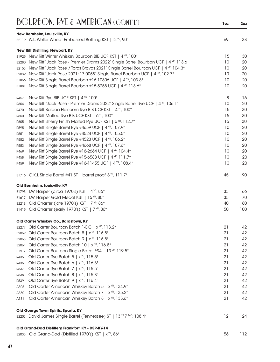| <b>BOURBON, RYE &amp; AMERICAN (CONT'D)</b> |
|---------------------------------------------|
|                                             |

|                   | New Bernheim, Louisville, KY                                                                            |    |     |
|-------------------|---------------------------------------------------------------------------------------------------------|----|-----|
|                   | B2119 W.L. Weller Wheat Embossed Bottling KST   12 YR, 90°                                              | 69 | 138 |
|                   | New Riff Distilling, Newport, KY                                                                        |    |     |
|                   | B1929 New Riff Winter Whiskey Bourbon BIB UCF KST   4 YR, 100°                                          | 15 | 30  |
| B2280             | New Riff "Jack Rose - Premier Drams 2022" Single Barrel Bourbon UCF   4 YR, 113.6                       | 10 | 20  |
| B2153             | New Riff "Jack Rose / Toros Bravos 2021" Single Barrel Bourbon UCF   4 <sup>YR</sup> , 104.3°           | 10 | 20  |
| B2039             | New Riff "Jack Rose 2021: 17-0058" Single Barrel Bourbon UCF   4 YR, 102.7°                             | 10 | 20  |
| B1866             | New Riff Single Barrel Bourbon #16-10806 UCF   4 <sup>YR</sup> , 103.8°                                 | 10 | 20  |
| B1881             | New Riff Single Barrel Bourbon #15-5258 UCF   4 YR, 113.6°                                              | 10 | 20  |
|                   |                                                                                                         |    |     |
| R457              | New Riff Rye BIB UCF KST   4 YR, 100°                                                                   | 8  | 16  |
| R604              | New Riff "Jack Rose - Premier Drams 2022" Single Barrel Rye UCF   4 YR, 106.1°                          | 10 | 20  |
| R470              | New Riff Balboa Heirloom Rye BIB UCF KST   4 YR, 100°                                                   | 15 | 30  |
| R550              | New Riff Malted Rye BIB UCF KST   6 YR, 100°                                                            | 15 | 30  |
| R605              | New Riff Sherry Finish Malted Rye UCF KST   6 <sup>YR</sup> , 112.7°                                    | 15 | 30  |
| R595              | New Riff Single Barrel Rye #4659 UCF   4 YR, 107.9°                                                     | 10 | 20  |
| R <sub>55</sub> 1 | New Riff Single Barrel Rye #4524 UCF   4 YR, 105.5°                                                     | 10 | 20  |
| R552              | New Riff Single Barrel Rye #4523 UCF   4 YR, 106.2°                                                     | 10 | 20  |
| R553              | New Riff Single Barrel Rye #4668 UCF   4 YR, 107.6°                                                     | 10 | 20  |
| R469              | New Riff Single Barrel Rye #16-2664 UCF   4 YR, 104.4°                                                  | 10 | 20  |
| R458              | New Riff Single Barrel Rye #15-6588 UCF   4 YR, 111.7°                                                  | 10 | 20  |
| R459              | New Riff Single Barrel Rye #16-11455 UCF   4 YR, 108.4°                                                 | 10 | 20  |
|                   | B1716 O.K.I. Single Barrel #41 ST   barrel proof, 8 YR, 111.7°                                          | 45 | 90  |
|                   | Old Bernheim, Louisville, KY                                                                            |    |     |
|                   | B1793 I.W. Harper (circa 1970's) KST   4 YR, 86°                                                        | 33 | 66  |
|                   | B1617 I.W. Harper Gold Medal KST   15 <sup>VR</sup> , 80°                                               | 35 | 70  |
|                   | B2218 Old Charter (late 1970's) KST   7 YR, 86°                                                         | 40 | 80  |
|                   | B1419 Old Charter (early 1970's) KST   7 YR, 86°                                                        | 50 | 100 |
|                   |                                                                                                         |    |     |
|                   | Old Carter Whiskey Co., Bardstown, KY<br>B2277 Old Carter Bourbon Batch 1-DC   x <sup>YR</sup> , 118.2° | 21 | 42  |
|                   | B2062 Old Carter Bourbon Batch 8   x <sup>YR</sup> , 116.8°                                             | 21 | 42  |
|                   | B2063 Old Carter Bourbon Batch 9   x <sup>YR</sup> , 116.8°                                             | 21 | 42  |
|                   | Old Carter Bourbon Batch 10   x <sup>vR</sup> , 116.8°                                                  | 21 | 42  |
| B2064             | Old Carter Bourbon Single Barrel #94   13 YR, 119.5°                                                    | 21 | 42  |
| B1917<br>R435     | Old Carter Rye Batch 5   x <sup>YR</sup> , 115.5°                                                       | 21 | 42  |
| R436              | Old Carter Rye Batch 6   x <sup>YR</sup> , 116.3°                                                       | 21 | 42  |
|                   | Old Carter Rye Batch 7   x <sup>YR</sup> , 115.5°                                                       | 21 | 42  |
| R537              | Old Carter Rye Batch 8   x <sup>YR</sup> , 115.8°                                                       | 21 | 42  |
| R538              | Old Carter Rye Batch 9   x <sup>YR</sup> , 116.4°                                                       | 21 | 42  |
| R539              | Old Carter American Whiskey Batch 5   x <sup>YR</sup> , 134.9°                                          | 21 | 42  |
| A305              | Old Carter American Whiskey Batch 7   x <sup>YR</sup> , 135.2°                                          | 21 | 42  |
| A330              |                                                                                                         |    |     |
| A331              | Old Carter American Whiskey Batch 8   x <sup>YR</sup> , 133.6°                                          | 21 | 42  |
|                   | Old Goerge Town Spirits, Sparta, KY                                                                     |    |     |
|                   | B2203 David James Single Barrel (Tennessee) ST   13 YR 7 MO, 108.4°                                     | 12 | 24  |
|                   | Old Grand-Dad Distillery, Frankfort, KY - DSP-KY-14                                                     |    |     |
|                   | B2033 Old Grand-Dad (Distilled 1970's) KST   x YR, 86°                                                  | 56 | 112 |
|                   |                                                                                                         |    |     |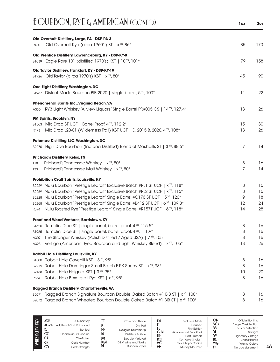| <b>BOURBON, RYE &amp; AMERICAN (CONT'D)</b>                                                                                        | 1oz | 2oz |
|------------------------------------------------------------------------------------------------------------------------------------|-----|-----|
| Old Overholt Distillery, Large, PA - DSP-PA-3<br>Old Overholt Rye (circa 1960's) ST   x <sup>YR</sup> , 86°                        | 85  | 170 |
| R430                                                                                                                               |     |     |
| Old Prentice Distillery, Lawrenceburg, KY - DSP-KY-8<br>B1039 Eagle Rare 101 (distilled 1970's) KST   10 YR, 101°                  | 79  | 158 |
| Old Taylor Distillery, Frankfort, KY - DSP-KY-19<br>B1926 Old Taylor (circa 1970's) KST   x YR, 80°                                | 45  | 90  |
| One Eight Distillery, Washington, DC<br>B1957 District Made Bourbon BIB 2020   single barrel, 5 YR, 100°                           | 11  | 22  |
| Phenomenal Spirits Inc., Virginia Beach, VA<br>RY3 Light Whiskey "Allview Liquors" Single Barrel PR#005 CS   14 YR, 127.4°<br>A336 | 13  | 26  |
| PM Spirits, Brooklyn, NY                                                                                                           |     |     |
| B1563 Mic Drop ST UCF   Barrel Proof, 4 YR, 112.2°                                                                                 | 15  | 30  |
| Mic Drop L20-01 (Wilderness Trail) KST UCF   D. 2015 B. 2020, 4 VR, 108°<br>R473                                                   | 13  | 26  |
| Potomac Distilling LLC, Washington, DC<br>B2270 High Dive Bourbon (Indiana Distilled) Blend of Mashbills ST   3 YR, 88.6°          | 7   | 14  |
| <b>Prichard's Distillery, Kelso, TN</b>                                                                                            |     |     |
| Prichard's Tennessee Whiskey   x <sup>YR</sup> , 80°<br>T18                                                                        | 8   | 16  |
| Prichard's Tennessee Malt Whiskey   x YR, 80°<br>T <sub>33</sub>                                                                   | 7   | 14  |
| <b>Prohibition Craft Spirits, Louisville, KY</b>                                                                                   |     |     |
| B2229 Nulu Bourbon "Prestige Ledroit" Exclusive Batch #PL1 ST UCF   x <sup>vp</sup> , 118°                                         | 8   | 16  |
| B2269 Nulu Bourbon "Prestige Ledroit" Exclusive Batch #PL2 ST UCF   x <sup>VP</sup> , 115°                                         | 8   | 16  |
| B2228 Nulu Bourbon "Prestige Ledroit" Single Barrel #C176 ST UCF   5 YR, 120°                                                      | 9   | 18  |
| B2268 Nulu Bourbon "Prestige Ledroit" Single Barrel #B412 ST UCF   6 YR, 109.8°                                                    | 12  | 24  |
| Nulu Toasted Rye "Prestige Ledroit" Single Barrel #R157T UCF   6 YR, 118°<br>R594                                                  | 14  | 28  |
| Proof and Wood Ventures, Bardstown, KY                                                                                             |     |     |
| B1620 Tumblin' Dice ST   single barrel, barrel proof, 4 YR, 115.5°                                                                 | 8   | 16  |
| Tumblin' Dice ST   single barrel, barrel proof, 4 YR, 111.9°<br>B1965                                                              | 8   | 16  |
| The Stranger Whiskey (Polish Distilled / Aged USA)   7 YR, 105°<br>A307                                                            | 8   | 16  |
| Vertigo (American Ryed Bourbon and Light Whiskey Blend)   x <sup>YR</sup> , 105°<br>A323                                           | 13  | 26  |
| Rabbit Hole Distillery, Louisville, KY                                                                                             |     |     |
| B1800 Rabbit Hole Cavehill KST   3 YR, 95°                                                                                         | 8   | 16  |
| B2219 Rabbit Hole Dareringer Small Batch F-PX Sherry ST   x <sup>YR</sup> , 93°                                                    | 8   | 16  |
| B2188 Rabbit Hole Heigold KST   3 YR, 95°                                                                                          | 10  | 20  |
| Rabbit Hole Boxergrail Rye KST   x <sup>YR</sup> , 95°<br>R564                                                                     | 8   | 16  |
| Ragged Branch Distillery, Charlottesville, VA                                                                                      |     |     |
| B2071 Ragged Branch Signature Bourbon Double Oaked Batch #1 BIB ST   x <sup>YR</sup> , 100°                                        | 8   | 16  |
| B2072 Ragged Branch Wheated Bourbon Double Oaked Batch #1 BIB ST   x <sup>YR</sup> , 100°                                          | 8   | 16  |

|                         | ADP<br>$ACE$ <sup>D</sup> | A.D. Rattrav<br><b>Additional Cask Enhanced</b>                                       | V.                                 | Cask and Thistle<br><b>Distilled</b>                                                                 | Į۲                           | <b>Exclusive Malts</b><br>Finished                                                                                               | ОB<br><b>SCN</b>                             | Official Bottling<br><b>Single Cask Nation</b>                                                                           |
|-------------------------|---------------------------|---------------------------------------------------------------------------------------|------------------------------------|------------------------------------------------------------------------------------------------------|------------------------------|----------------------------------------------------------------------------------------------------------------------------------|----------------------------------------------|--------------------------------------------------------------------------------------------------------------------------|
| $\overline{\mathbf{u}}$ | CC<br><b>CK</b><br>CS     | <b>Bottled</b><br>Connoisseur's Choice<br>Chieftain's<br>Cask Number<br>Cask Strength | <b>DD</b><br>DE<br>DM<br>DεM<br>DI | Douglas Drumlanrig<br>Distiller's Edition<br>Double Matured<br>D&M Wine and Spirits<br>Duncan Taylor | GεM<br>HB<br>KSI<br>МC<br>MN | <b>First Edition</b><br>Gordon and MacPhail<br><b>Hart Brothers</b><br>Kentucky Straight<br>MacKillop's Choice<br>Murray McDavid | رر<br><b>UCF</b><br><b>WG</b><br><b>Y</b> yp | Scott's Selection<br>Straight<br><b>Signatory Vintage</b><br>Unchillfiltered<br><b>Whisky Galore</b><br>No age statement |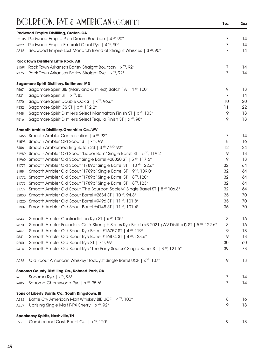|                  | <b>Redwood Empire Distilling, Graton, CA</b>                                                                 |         |    |
|------------------|--------------------------------------------------------------------------------------------------------------|---------|----|
|                  | B2106 Redwood Empire Pipe Dream Bourbon   4 YR, 90°                                                          | 7       | 14 |
| R529             | Redwood Empire Emerald Giant Rye   4 <sup>YR</sup> , 90°                                                     | 7       | 14 |
| A315             | Redwood Empire Lost Monarch Blend of Straight Whiskies   3 <sup>YP</sup> , 90°                               | 7       | 14 |
|                  | Rock Town Distillery, Little Rock, AR                                                                        |         |    |
|                  | B1591 Rock Town Arkansas Barley Straight Bourbon   x <sup>YR</sup> , 92°                                     | 7       | 14 |
| R375             | Rock Town Arkansas Barley Straight Rye   x <sup>yp</sup> , 92°                                               | 7       | 14 |
|                  |                                                                                                              |         |    |
|                  | <b>Sagamore Spirit Distillery, Baltimore, MD</b>                                                             | 9       | 18 |
| R567             | Sagamore Spirit BIB (Maryland-Distilled) Batch 1A   4 YR, 100°<br>Sagamore Spirit ST   x <sup>YR</sup> , 83° | 7       | 14 |
| R331             | Sagamore Spirit Double Oak ST   x <sup>YR</sup> , 96.6°                                                      | 10      | 20 |
| R <sub>270</sub> |                                                                                                              |         | 22 |
| R332             | Sagamore Spirit CS ST   x <sup>YR</sup> , 112.2°                                                             | 11<br>9 |    |
| R448             | Sagamore Spirit Distiller's Select Manhattan Finish ST   x <sup>YR</sup> , 103°                              |         | 18 |
| R516             | Sagamore Spirit Distiller's Select Tequila Finish ST   x <sup>YR</sup> , 98°                                 | 9       | 18 |
|                  | Smooth Ambler Distillery, Greenbier Co., WV                                                                  |         |    |
|                  | B1365 Smooth Ambler Contradiction   x <sup>YR</sup> , 92°                                                    | 7       | 14 |
|                  | B1593 Smooth Ambler Old Scout ST   x <sup>VR</sup> , 99°                                                     | 8       | 16 |
| <b>B406</b>      | Smooth Ambler Yearling Batch 23   3 YR 7 MO, 92°                                                             | 12      | 24 |
| B1989            | Smooth Ambler Old Scout "Liquor Barn" Single Barrel ST   5 YR, 119.2°                                        | 9       | 18 |
| B1960            | Smooth Ambler Old Scout Single Barrel #28020 ST   5 <sup>vR</sup> , 117.6°                                   | 9       | 18 |
| B1771            | Smooth Ambler Old Scout "1789b" Single Barrel ST   10 YR, 122.6°                                             | 32      | 64 |
| B1884            | Smooth Ambler Old Scout "1789b" Single Barrel ST   9 YR, 109.0°                                              | 32      | 64 |
| B1772            | Smooth Ambler Old Scout "1789b" Single Barrel ST   8 YR, 120°                                                | 32      | 64 |
| B1773            | Smooth Ambler Old Scout "1789b" Single Barrel ST   8 YR, 123°                                                | 32      | 64 |
| B1777            | Smooth Ambler Old Scout "The Bourbon Society" Single Barrel ST   8 YR, 106.8°                                | 32      | 64 |
| B2030            | Smooth Ambler Old Scout Barrel #2834 ST   10 YR, 94.8°                                                       | 35      | 70 |
| B1226            | Smooth Ambler Old Scout Barrel #9496 ST   11 YR, 101.8°                                                      | 35      | 70 |
| B1907            | Smooth Ambler Old Scout Barrel #4148 ST   11 YR, 101.4°                                                      | 35      | 70 |
| R543             | Smooth Ambler Contradiction Rye ST   x <sup>YR</sup> , 105°                                                  | 8       | 16 |
| R570             | Smooth Ambler Founders' Cask Strength Series Rye Batch #3 2021 (WV-Distilled) ST   5 <sup>vR</sup> , 122.6°  | 8       | 16 |
| R467             | Smooth Ambler Old Scout Rye Barrel #16757 ST   4 YR, 119°                                                    | 9       | 18 |
| R541             | Smooth Ambler Old Scout Rye Barrel #16874 ST   4 <sup>YR</sup> , 123.6°                                      | 9       | 18 |
| <b>R200</b>      | Smooth Ambler Old Scout Rye ST   7 YR, 99°                                                                   | 30      | 60 |
| R414             | Smooth Ambler Old Scout Rye "The Party Source" Single Barrel ST   8 YR, 121.6°                               | 39      | 78 |
| A275             | Old Scout American Whiskey "Toddy's" Single Barrel UCF   x <sup>YR</sup> , 107°                              | 9       | 18 |
|                  |                                                                                                              |         |    |
| R61              | Sonoma County Distilling Co., Rohnert Park, CA<br>Sonoma Rye   x <sup>YR</sup> , 93°                         | 7       | 14 |
| R485             | Sonoma Cherrywood Rye   x <sup>YR</sup> , 95.6°                                                              | 7       | 14 |
|                  |                                                                                                              |         |    |
|                  | Sons of Liberty Spirits Co., South Kingstown, RI                                                             |         |    |
| A312             | Battle Cry American Malt Whiskey BIB UCF   4 <sup>YR</sup> , 100°                                            | 8<br>9  | 16 |
| A289             | Uprising Single Malt F-PX Sherry   x <sup>YR</sup> , 92°                                                     |         | 18 |
|                  | <b>Speakeasy Spirits, Nashville, TN</b>                                                                      |         |    |
| <b>T53</b>       | Cumberland Cask Barrel Cut   x <sup>YR</sup> , 120°                                                          | 9       | 18 |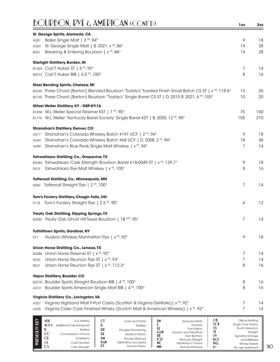| )URBON, RYE & AMERICAN (CONT'D)                                                                                                                 | 1oz               | 2oz      |
|-------------------------------------------------------------------------------------------------------------------------------------------------|-------------------|----------|
| St. George Spirits, Alameda, CA                                                                                                                 |                   |          |
| Baller Single Malt   3 YR, 94°<br>A281                                                                                                          | 9                 | 18       |
| St. George Single Malt   B. 2021, x YR, 86°<br>A334                                                                                             | 14                | 28       |
| Breaking & Entering Bourbon   x <sup>YR</sup> , 86°<br>B431                                                                                     | 14                | 28       |
| <b>Starlight Distillery, Borden, IN</b>                                                                                                         |                   |          |
| B1269 Carl T. Huber ST   4 YR, 92°                                                                                                              | 7                 | 14       |
| B2073 Carl T. Huber BIB   4.5 YR, 100°                                                                                                          | 8                 | 16       |
| Steel Bending Spirits, Chelsea, MI                                                                                                              |                   |          |
| B2245 Three Chord (Barton) Blended Bourbon "Toddy's" Toasted Finish Small Batch CS ST   x <sup>YP</sup> , 118.6°                                | 13                | 26       |
| B2150 Three Chord (Barton) Bourbon "Toddy's" Single Barrel CS ST   D. 2015 B. 2021, 6 VR, 105°                                                  | 10                | 20       |
| Stitzel Weller Distillery, KY - DSP-KY-16                                                                                                       |                   |          |
| B1858 W.L. Weller Special Reserve KST   7 YR, 90°                                                                                               | 75                | 150      |
| B1776 W.L. Weller "Kentucky Barrel Society" Single Barrel KST   B. 2005, 12 YR, 90°                                                             | 105               | 210      |
| <b>Stranahan's Distillery, Denver, CO</b>                                                                                                       |                   |          |
| Stranahan's Colorado Whiskey Batch #191 UCF   2 YR, 94°<br>A317                                                                                 | 9                 | 18       |
| Stranahan's Colorado Whiskey Batch #64 UCF   D. 2008, 2 YR, 94°<br>A264                                                                         | 18                | 36       |
| Stranahan's Blue Peak Single Malt Whiskey   x <sup>YR</sup> , 94°<br>A299                                                                       | 7                 | 14       |
| <b>Tahwahkaro Distilling Co., Grapevine, TX</b>                                                                                                 |                   |          |
| B2084 Tahwahkaro Cask Strength Bourbon Barrel #18-0049 ST   x <sup>YR</sup> , 129.7°                                                            | 9                 | 18       |
| Tahwahkaro Rye Malt Whiskey   x <sup>YR</sup> , 105°<br>R519                                                                                    | 8                 | 16       |
| <b>Tattersall Distilling Co., Minneapolis, MN</b>                                                                                               |                   |          |
| R450 Tattersall Straight Rye   2 YR, 100°                                                                                                       | 7                 | 14       |
| Tom's Foolery Distillery, Chagin Falls, OH                                                                                                      |                   |          |
| R178 Tom's Foolery Straight Rye   2.5 YR, 90°                                                                                                   | 6                 | 12       |
| <b>Treaty Oak Distilling, Dipping Springs, TX</b>                                                                                               |                   |          |
| B2085 Treaty Oak Ghost Hill Texas Bourbon   18 MO, 95°                                                                                          | 7                 | 14       |
| <b>Tuthilltown Spirits, Gardiner, NY</b>                                                                                                        |                   |          |
| Hudson Whiskey Manhattan Rye   x <sup>yp</sup> , 92°<br><b>R71</b>                                                                              | 9                 | 18       |
|                                                                                                                                                 |                   |          |
| Union Horse Distilling Co., Lenexa, TX                                                                                                          |                   |          |
| Union Horse Reserve ST   x <sup>YR</sup> , 92°<br>B2086<br>Union Horse Reunion Rye ST   x <sup>YR</sup> , 93°<br>R520                           | 7<br>7            | 14<br>14 |
| Union Horse Reunion Rye ST   x <sup>YR</sup> , 112.3°<br>R521                                                                                   | 8                 | 16       |
|                                                                                                                                                 |                   |          |
| Vapor Distillery, Boulder. CO                                                                                                                   |                   |          |
| Boulder Spirits Straight Bourbon BIB   4 YR, 100°<br>B2078<br>Boulder Spirits American Single Malt BIB   4 YR, 100°                             | 8<br>8            | 16<br>16 |
| A310                                                                                                                                            |                   |          |
| Virginia Distillery Co., Lovingston, VA<br>Virginia Highland Malt F-Port Casks (Scottish & Virginia Distillate)   x <sup>YP</sup> , 92°<br>A207 | 7                 | 14       |
| Virginia Cider Cask Finished Whisky (Scotch Malt & American Whiskey)   x <sup>vR</sup> , 92°<br>A335                                            | 7                 | 14       |
|                                                                                                                                                 |                   |          |
| $\frac{Ob}{C}$<br>ADR<br><b>CI</b><br>£М<br>A.D. Rattray<br>Cask and Thistle<br><b>Exclusive Malts</b>                                          | Official Bottling |          |

|   | ADP                | A.D. Rattrav             | u           | Cask and Thistle     | £М               | <b>Exclusive Malts</b>                    | OB          | Official Bottling                           |
|---|--------------------|--------------------------|-------------|----------------------|------------------|-------------------------------------------|-------------|---------------------------------------------|
|   | $ACE$ <sup>D</sup> | Additional Cask Enhanced |             | <b>Distilled</b>     |                  | Finished                                  | SCN         | <b>Single Cask Nation</b>                   |
| ē |                    | <b>Bottled</b>           | DD          | Douglas Drumlanrig   |                  | <b>First Edition</b>                      | 55          | Scott's Selection                           |
|   | CC                 | Connoisseur's Choice     | $D_{\rm E}$ | Distiller's Edition  | GεM              | Gordon and MacPhail                       |             | Straight                                    |
|   | <b>CH</b>          | Chieftain's              | DM          | Double Matured       | HB<br><b>KSI</b> | <b>Hart Brothers</b><br>Kentucky Straight | S٧<br>UCI   | <b>Signatory Vintage</b><br>Unchillfiltered |
|   | <b>CK</b>          | Cask Number              | Dεm         | D&M Wine and Spirits | <b>MC</b>        | MacKillop's Choice                        | WG          | <b>Whisky Galore</b>                        |
|   | CS                 | Cask Strength            | DI          | Duncan Taylor        | <b>MM</b>        | <b>Murray McDavid</b>                     | <b>Y</b> yp | No age statement                            |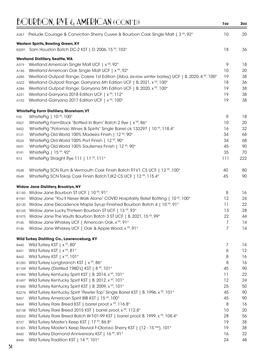|             | $BQURBON$ , $RYL$ $\epsilon_1$ AMERICAN (CONT'D)                                                   | 1oz | 2 <sub>oz</sub> |
|-------------|----------------------------------------------------------------------------------------------------|-----|-----------------|
| A267        | Prelude Courage & Conviction Sherry Cuvee & Bourbon Cask Single Malt   $3^{vR}$ , 92°              | 10  | 20              |
|             | Western Spirits, Bowling Green, KY                                                                 |     |                 |
|             | B2091 Sam Houston Batch DC-2 KST   D. 2006, 15 YR, 103°                                            | 18  | 36              |
|             | <b>Westland Distillery, Seattle, WA</b>                                                            |     |                 |
| A319        | Westland American Single Malt UCF   x YR, 92°                                                      | 9   | 18              |
| A146        | Westland American Oak Single Malt UCF   x <sup>YR</sup> , 92°                                      | 10  | 20              |
| A285        | Westland Outpost Range: Colere 1st Edition (Alba, six-row winter barley) UCF   B. 2020, 4 YR, 100° | 19  | 38              |
| A322        | Westland Outpost Range: Garryana 6th Edition UCF   B. 2021, x <sup>vp</sup> , 100°                 | 18  | 36              |
| A286        | Westland Outpost Range: Garryana 5th Edition UCF   B. 2020, x <sup>VR</sup> , 100°                 | 19  | 38              |
| A231        | Westland Garryana 2018 Edition UCF   x <sup>YR</sup> , 112°                                        | 19  | 38              |
| A192        | Westland Garryana 2017 Edition UCF   x <sup>YR</sup> , 100°                                        | 19  | 38              |
|             | <b>WhistlePig Farm Distillery, Shoreham, VT</b>                                                    |     |                 |
| F35         | WhistlePig   10 YR, 100°                                                                           | 9   | 18              |
| R307        | WhistlePig FarmStock "Bottled In Barn" Batch 2 Rye   x <sup>YR</sup> , 86°                         | 10  | 20              |
| R452        | WhistlePig "Potomac Wines & Spirits" Single Barrel ck 133297   10 YR, 118.4°                       | 16  | 32              |
| R121        | WhistlePig Old World 100% Madeira Finish   12 YR, 90°                                              | 34  | 68              |
| R524        | WhistlePig Old World 100% Port Finish   12 YR, 90°                                                 | 34  | 68              |
| R591        | WhistlePig Old World 100% Sauternes Finish   12 YR, 90°                                            | 45  | 90              |
| R191        | WhistlePig   15 YR, 92°                                                                            | 35  | 70              |
| R73         | WhistlePig Straight Rye 111   11 YR, 111°                                                          | 111 | 222             |
| R548        | WhistlePig SCN Rum & Vermouth Cask Finish Batch R1V1 CS UCF   12 YR, 100°                          | 40  | 80              |
| R549        | WhistlePig SCN Tokaji Cask Finish Batch TJK2 CS UCF   12 YR, 115.4°                                | 45  | 90              |
|             | Widow Jane Distillery, Brooklyn, NY                                                                |     |                 |
|             | B1183 Widow Jane Bourbon ST UCF   10 YR, 91°                                                       | 8   | 16              |
| B1941       | Widow Jane "You'll Never Walk Alone" COVID Hospitality Relief Bottling   10 YR, 100°               | 12  | 24              |
| B2120       | Widow Jane Decadence Maple Syrup Finished Bourbon Batch 4   10 YR, 91°                             | 11  | 22              |
| B2165       | Widow Jane Lucky Thirteen Bourbon ST UCF   13 YR, 93°                                              | 13  | 28              |
|             | B1975 Widow Jane The Vaults Bourbon Batch 3 ST UCF   B. 2021, 15 YR, 99°                           | 22  | 44              |
| R145        | Widow Jane Whiskey UCF   American Oak, x YR, 91°                                                   | 7   | 14              |
| R146        | Widow Jane Whiskey UCF   Oak & Apple Wood, x YR, 91°                                               | 7   | 14              |
|             | Wild Turkey Distilling Co., Lawrenceburg, KY                                                       |     |                 |
| <b>B440</b> | Wild Turkey KST   x <sup>YR</sup> , 80°                                                            | 7   | 14              |
| B441        | Wild Turkey KST   x <sup>YR</sup> , 81°                                                            | 6   | 12              |
| B442        | Wild Turkey KST   x <sup>YR</sup> , 101°                                                           | 8   | 16              |
| B1283       | Wild Turkey Longbranch KST   x <sup>YR</sup> , 86°                                                 | 8   | 16              |
| B1109       | Wild Turkey (Distilled 1980's) KST   8 YR, 101°                                                    | 45  | 90              |
| B1994       | Wild Turkey Kentucky Spirit KST   B. 2014, x <sup>YR</sup> , 101°                                  | 11  | 22              |
| B1697       | Wild Turkey Kentucky Spirit KST   B. 2012, x <sup>vR</sup> , 101°                                  | 12  | 24              |
| B1845       | Wild Turkey Kentucky Spirit KST   B. 2009, x YR, 101°                                              | 25  | 50              |
| B2276       | Wild Turkey Kentucky Spirit "Pewter Top" Single Barrel KST   B. 1996, x YR, 101°                   | 45  | 90              |
| B457        | Wild Turkey American Spirit BIB KST   15 YR, 100°                                                  | 45  | 90              |
| B444        | Wild Turkey Rare Breed KST   barrel proof, x <sup>YR</sup> , 116.8°                                | 8   | 16              |
| B2138       | Wild Turkey Rare Breed 2015 KST   barrel proof, x YR, 112.8°                                       | 10  | 20              |
| B2022       | Wild Turkey Rare Breed Batch W-T-01-99 KST   barrel proof, B. 1999, x <sup>vR</sup> , 108.4°       | 28  | 56              |
| B727        | Wild Turkey Master's Keep KST   17 YR, 86.8°                                                       | 19  | 38              |
| B1301       | Wild Turkey Master's Keep Revival F-Oloroso Sherry KST   (12 - 15 YRS), 101°                       | 19  | 38              |
| <b>B460</b> | Wild Turkey Diamond Anniversary KST   16 YR, 91°                                                   | 16  | 32              |
| <b>B446</b> | Wild Turkey Tradition KST   14 YR, 101°                                                            | 24  | 48              |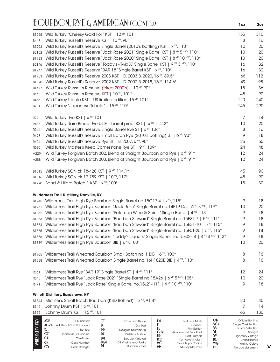#### BOURBON, RYE & AMERICAN (CONT'D) **1oz 2oz**B1255 Wild Turkey "Cheesy Gold Foil" KST | 12 YR, 101 ° 155 310 B447 Wild Turkey Russell's Reserve KST | 10 <sup>YR</sup>, 90° **8** 16 B1993 Wild Turkey Russell's Reserve Single Barrel (2010's bottling) KST | x<sup>VR</sup>, 110° 10 10 20 B2152 Wild Turkey Russell's Reserve "Jack Rose 2021" Single Barrel KST | 8<sup>VR</sup> 5<sup>MO</sup>, 110° 10 10 20 B1933 Wild Turkey Russell's Reserve "Jack Rose 2020" Single Barrel KST | 8<sup>VR</sup> 10<sup>MO</sup>, 110° 10 10 20 B2146 Wild Turkey Russell's Reserve "Toddy's - Twix X" Single Barrel KST | 9  $\%$  3  $\%$  0 10  $\degree$  16 16 32 B1947 Wild Turkey Russell's Reserve "BAR 18" Single Barrel KST | x<sup>vR</sup>, 110° 16 16 32 B1953 Wild Turkey Russell's Reserve 2003 KST | D. 2003 B. 2020, 16  $\frac{16}{16}$ , 89.5° 66 112 B1320 Wild Turkey Russell's Reserve 2002 KST | D. 2002 B. 2018, 16  $\frac{100}$  and 14.6° 49 49 98 B1477 Wild Turkey Russell's Reserve (circa 2000's) | 10 <sup>vr</sup>, 90° 18 18 18 36 B448 Wild Turkey Russell's Reserve KST | 10  $^{\circ}$ R, 101  $^{\circ}$  45  $^{\circ}$  45  $^{\circ}$  90 B456 Wild Turkey Tribute KST | US limited edition, 15<sup> YR</sup>, 101<sup>°</sup> 120 Turkey 120 240 B731 Wild Turkey "Japanese Tribute" | 15 <sup>vp</sup>, 110° 145 145 145 290 R77 Wild Turkey Rye KST | x <sup>vr,</sup> 101° **7** 14 R438 Wild Turkey Rare Breed Rye UCF | barrel proof KST |  $x^{VP}$ , 112.2° 10 10 20 R244 Wild Turkey Russell's Reserve Single Barrel Rye ST | x<sup>VR</sup>, 104° **8 16** 16 R493 Wild Turkey Russell's Reserve Small Batch Rye (2010's bottling) ST | 6 <sup>YR</sup>, 90° 9 18 R424 Wild Turkey Russell's Reserve Rye ST | B. 2007, 6  $\mathrm{^{VP}$ , 90 $\mathrm{^{\circ}}$   $\mathrm{^{9}$   $\mathrm{^{9}$   $\mathrm{^{9}$   $\mathrm{^{9}$   $\mathrm{^{9}$   $\mathrm{^{9}$   $\mathrm{^{9}$   $\mathrm{^{9}$   $\mathrm{^{9}$   $\mathrm{^{9}$   $\mathrm{^{9}$   $\mathrm{^{9}$   $\mathrm{^{9}$   $\mathrm{^{9}$   $\mathrm{^{9}$   $\mathrm{^{9}$  R580 Wild Turkey Master's Keep Cornerstone Rye ST | 9 YR, 109° 24 48 A229 Wild Turkey Forgiven Batch 302, Blend of Straight Bourbon and Rye | x<sup>VR</sup>, 91° 12 12 24 A288 Wild Turkey Forgiven Batch 303, Blend of Straight Bourbon and Rye | x<sup>vg</sup>, 91° 12 12 24 B1515 Wild Turkey SCN ck 18-428 KST | 9<sup>vr</sup>, 114.1° **45** 45 90 B1516 Wild Turkey SCN ck 17-759 KST | 10 <sup>vr</sup>, 117<sup>°</sup> 45 **45** 45 90 B1720 Bond & Lillard Batch 1 KST | x<sup> YR</sup>, 100° 15 30 **Wilderness Trail Distillery, Danville, KY** B1745 Wilderness Trail High Rye Bourbon Single Barrel no.15G17-4 | x<sup>vp</sup>, 115° 18 B1931 Wilderness Trail High Rye Bourbon "Jack Rose" Single Barrel no.14F19-C5 | 6 NR 3 MO, 119° 10 20 B1852 Wilderness Trail High Rye Bourbon "Potomac Wine & Spirits" Single Barrel | 4<sup>VR</sup>, 113° 9 18 B1873 Wilderness Trail High Rye Bourbon "Bourbon Steward" Single Barrel no. 15E31-7 | 5<sup>YR</sup>, 111° 9 18 B1874 Wilderness Trail High Rye Bourbon "Bourbon Steward" Single Barrel no. 15E31-10 | 5<sup>YP</sup>, 115° 9 18 B1875 Wilderness Trail High Rye Bourbon "Bourbon Steward" Single Barrel no. 15F01-25 | 5<sup>YR</sup>, 115° 9 18 B1876 Wilderness Trail High Rye Bourbon "Toddy's Liquors" Single Barrel no. 15E02-14 | 4 NR 4 MO, 113° 9 18 B1889 Wilderness Trail High Rye Bourbon BIB | 6 <sup>YR</sup>, 100° 10 10 20 20 10 10 20 B1905 Wilderness Trail Wheated Bourbon Small Batch no. 1 BIB | 6<sup>VR</sup>, 100° **8** 16 B1888 Wilderness Trail Wheated Bourbon Single Barrel no. 16H1820B BIB | 4 <sup>YR</sup>, 110° 8 16 R361 Wilderness Trail Rye "BAR 19" Single Barrel ST | 4 YR, 111° 12 24 R545 Wilderness Trail Rye "Jack Rose 2021" Single Barrel no.15A26 | 6  $^{\circ}$  5  $^{\circ}$  6, 105 $^{\circ}$  10 10 10 10 10 20 R471 Wilderness Trail Rye "Jack Rose" Single Barrel no. 15L21-H11 | 4 NR 10 MO, 110° 9 18 **Willett Distillery, Bardstown, KY** B1744 Michter's Small Batch Bourbon (KBD Bottled) | x <sup>YR</sup>, 91.4° **20 5 and 31.44** 20 40 B349 Johnny Drum KST | x<sup>yr,</sup> 101° **7** 14 B352 Johnny Drum KST | 15 <sup>VR</sup>, 101 ° 65 130 metatra. And the second second second second second second second second second second second second second second second second second second second second second second second **OB** Official Bottling<br>**SCN** Single Cask Nation **WHISK(E)Y KEY ADR** A.D. Rattray **VHISK(E)Y KEY CT** Cask and Thistle **EM** Exclusive Malts **SCN** Single Cask Nation<br>**SS** Scott's Selection **ACE'd** Additional Cask Enhanced **D.** Distilled **F** Finished **SS** Scott's Selection **FE** First Edition<br>**GEM** Gordon and MacPhail **B.** Bottled **DD** Douglas Drumlanrig **G&M** Gordon and MacPhail<br>**Hotel Start Brothers SI** Straight<br>**SV** Sianatory Vintage **CC** Connoisseur's Choice<br> **CH** Chieftain's **DE** Distiller's Edition **HB** Hart Brothers **SV** Signatory Vintage **CH** Chieftain's **DM** Double Matured<br>**DEM** D&M Wine and Spirits

**ck** Cask Number **CS** Cask Strength **D&M** D&M Wine and Spirits<br>**DI** Duncan Taylor

**Duncan Taylor** 

**KST** Kentucky Straight<br>**MC** MacKillop's Choice

**MM** Murray McDavid

**MacKillop's Choice** 

#### **52**

**UCF** Unchillfiltered<br>**WG** Whisky Galore **WG** Whisky Galore<br> **X**<sup>y<sub>R</sub> No age statement</sup>

**Xyr** No age statement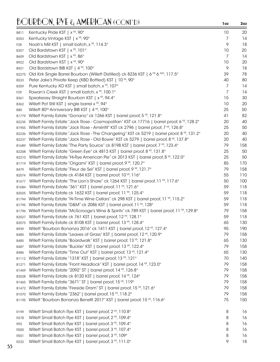| B811            | Kentucky Pride KST   x <sup>YR</sup> , 90°                                                  | 10 | 20  |
|-----------------|---------------------------------------------------------------------------------------------|----|-----|
| <b>B353</b>     | Kentucky Vintage KST   x <sup>YR</sup> , 90°                                                | 7  | 14  |
| F <sub>28</sub> | Noah's Mill KST   small batch, x YR, 114.3°                                                 | 9  | 18  |
| B357            | Old Bardstown KST   x <sup>YR</sup> , 101°                                                  | 10 | 20  |
| B609            | Old Bardstown KST   x <sup>YR</sup> , 86°                                                   | 7  | 14  |
| B922            | Old Bardstown KST   x <sup>YR</sup> , 90°                                                   | 10 | 20  |
| B921            | Old Bardstown BIB KST   4 YR, 100°                                                          | 9  | 18  |
| B2275           | Old Kirk Single Barrel Bourbon (Willett Distilled) ck 8236 KST   6 YR 6 MO, 117.5°          | 39 | 78  |
| <b>B533</b>     | Peter Jake's Private Keep (KBD Bottled) KST   10 YR, 90°                                    | 40 | 80  |
| <b>B359</b>     | Pure Kentucky XO KST   small batch, x <sup>YR</sup> , 107°                                  | 7  | 14  |
| F <sub>29</sub> | Rowan's Creek KST   small batch, x YR, 100.1°                                               | 7  | 14  |
| <b>B361</b>     | Speakeasy Straight Bourbon KST   x <sup>YR</sup> , 94.4°                                    | 15 | 30  |
| B362            | Willett Pot Still KST   single barrel x YR, 94°                                             | 10 | 20  |
| <b>B80</b>      | Willett 80 <sup>TH</sup> Anniversary BIB KST   4 <sup>YR</sup> , 100°                       | 25 | 50  |
| B1779           | Willett Family Estate "Gonano" ck 1266 KST   barrel proof, 5 YR, 121.8°                     | 41 | 82  |
| B2235           | Willett Family Estate "Jack Rose - Cosmopolitan" KST ck 17716   barrel proof, 6 VR, 128.2°  | 20 | 40  |
| B1955           | Willett Family Estate "Jack Rose - Améritif" KST ck 2796   barrel proof, 7 YR, 126.8°       | 25 | 50  |
| B2236           | Willett Family Estate "Jack Rose - The Changeling" KST ck 5219   barrel proof, 8 YR, 131.2° | 20 | 40  |
| B2237           | Willett Family Estate "Jack Rose - Old Bowie" KST ck 5279   barrel proof, 8 YR, 137.8°      | 20 | 40  |
| B1689           | Willett Family Estate "The Party Source" ck 8198 KST   barrel proof, 7 YR, 123.4°           | 79 | 158 |
| B2208           | Willett Family Estate "Green Eye" ck 4813 KST   barrel proof, 8 YR, 131.8°                  | 25 | 50  |
| B2210           | Willett Family Estate "Hi-Rye American Pie" ck 2013 KST   barrel proof, 8 YR, 122.0°        | 25 | 50  |
| B1719           | Willett Family Estate "Origami" KST   barrel proof, 9 YR, 120.7°                            | 85 | 170 |
| B479            | Willett Family Estate "Fleur de Sel" KST   barrel proof, 9 YR, 121.7°                       | 79 | 158 |
| B2074           | Willett Family Estate ck 4184 KST   barrel proof, 10 YR, 116°                               | 55 | 110 |
| B1677           | Willett Family Estate "The Lion's Share" ck 1264 KST   barrel proof, 11 YR, 117.6°          | 50 | 100 |
| B1684           | Willett Family Estate "361" KST   barrel proof, 11 YR, 121.6°                               | 59 | 118 |
| B2025           | Willett Family Estate ck 1632 KST   barrel proof, 11 YR, 125.4°                             | 59 | 118 |
| B1794           | Willett Family Estate "Hi-Time Wine Cellars" ck 298 KST   barrel proof, 11 YR, 115.2°       | 59 | 118 |
| B1795           | Willett Family Estate "D&M" ck 2086 KST   barrel proof, 11 YR, 128°                         | 59 | 118 |
| B1796           | Willett Family Estate "McScrooge's Wine & Spirits" ck 789 KST   barrel proof, 11 YR, 129.8° | 79 | 158 |
| B2027           | Willett Family Estate ck 761 KST   barrel proof, 12 YR, 128.1°                              | 59 | 118 |
| B2075           | Willett Family Estate ck 8108 KST   barrel proof, 13 YR, 128.4°                             | 65 | 130 |
| B939            | Willett "Bourbon Bonanza 2016" ck 1411 KST   barrel proof, 12 YR, 127.4°                    | 95 | 190 |
| <b>B480</b>     | Willett Family Estate "Leaves of Grass" KST   barrel proof, 12 YR, 120.9°                   | 79 | 158 |
| B485            | Willett Family Estate "Boardwalk" KST   barrel proof, 13 YR, 121.8°                         | 65 | 130 |
| B487            | Willett Family Estate "Buckle" KST   barrel proof, 13 YR, 122.4°                            | 79 | 158 |
|                 | Willett Family Estate "Time Out" KST   barrel proof, 13 YR, 121.4°                          | 65 | 130 |
| <b>B486</b>     | Willett Family Estate "1318" KST   barrel proof, 13 YR, 121°                                | 70 | 140 |
| B1112           | Willett Family Estate "Front Headlock" KST   barrel proof, 14 YR, 123.0°                    | 79 | 158 |
| B1271           |                                                                                             | 79 | 158 |
| B1469           | Willett Family Estate "2092" ST   barrel proof, 14 YR, 126.8°                               | 79 | 158 |
| B2028           | Willett Family Estate ck 8120 KST   barrel proof, 14 YR, 124°                               | 79 |     |
| B1465           | Willett Family Estate "3671" ST   barrel proof, 15 YR, 119°                                 |    | 158 |
| B1472           | Willett Family Estate "Fireside Dram" ST   barrel proof, 15 YP, 121.6°                      | 79 | 158 |
| B1070           | Willett Family Estate "2362"   barrel proof, 15 YR, 118.2°                                  | 79 | 158 |
| B1195           | Willett "Bourbon Bonanza Benefit 2017" KST   barrel proof, 15 YR, 116.6°                    | 75 | 150 |
| R199            | Willett Small Batch Rye KST   barrel proof, 2 YR, 110.8°                                    | 8  | 16  |
| R378            | Willett Small Batch Rye KST   barrel proof, 2 YR, 109.4°                                    | 8  | 16  |
| R92             | Willett Small Batch Rye KST   barrel proof, 3 YR, 109.4°                                    | 8  | 16  |
| <b>R500</b>     | Willett Small Batch Rye KST   barrel proof, 3 YR, 107.4°                                    | 8  | 16  |
| R501            | Willett Small Batch Rye KST   barrel proof, 3 YR, 109°                                      | 8  | 16  |
| R232            | Willett Small Batch Rye KST   barrel proof, 3 YR, 111.0°                                    | 9  | 18  |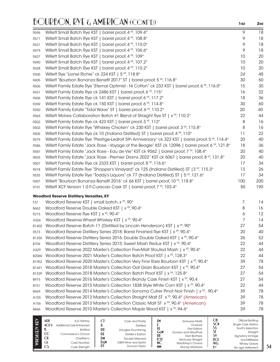| R596              | Willett Small Batch Rye KST   barrel proof, 4 YR, 109.4°                                                | 9   | 18  |
|-------------------|---------------------------------------------------------------------------------------------------------|-----|-----|
| R571              | Willett Small Batch Rye KST   barrel proof, 4 YR, 108.8°                                                | 9   | 18  |
| R421              | Willett Small Batch Rye KST   barrel proof, 4 YR, 110.0°                                                | 9   | 18  |
| R479              | Willett Small Batch Rye KST   barrel proof, 4 YR, 106.6°                                                | 9   | 18  |
| R427              | Willett Small Batch Rye KST   barrel proof, 4 YR, 109°                                                  | 10  | 20  |
| R490              | Willett Small Batch Rye KST   barrel proof, 4 YR, 107.2°                                                | 10  | 20  |
| R428              | Willett Small Batch Rye KST   barrel proof, 4 YR, 110.2°                                                | 10  | 20  |
| R305              | Willett Rye "Lionel Richie" ck 224 KST   5 YR, 118.8°                                                   | 24  | 48  |
| R405              | Willett "Bourbon Bonanza Benefit 2017" ST   barrel proof, 5 YR, 116.8°                                  | 30  | 60  |
| R506              | Willett Family Estate Rye "Eternal Optimist - Hi Cotton" ck 233 KST   barrel proof, 6 VR, 116.0°        | 15  | 30  |
| R431              | Willett Family Estate Rye ck 2486 KST   barrel proof, 6 YR, 115°                                        | 16  | 32  |
| R406              | Willett Family Estate Rye ck 141 KST   barrel proof, 6 YR, 117.2°                                       | 18  | 36  |
| R359              | Willett Family Estate Rye ck 150 KST   barrel proof, 6 YR, 114.8°                                       | 30  | 60  |
| R350              | Willett Family Estate "Tidal Wave" ST   barrel proof, 6 YR, 110.2°                                      | 20  | 40  |
| R565              | Willett Wolves Collaboration Batch #1 Blend of Straight Rye ST   x <sup>YP</sup> , 110.2°               | 22  | 44  |
| R <sub>502</sub>  | Willett Family Estate Rye ck 423 KST   barrel proof, 3 YR, 112°                                         | 8   | 16  |
| R503              | Willett Family Estate Rye "Whiskey Chicken" ck 230 KST   barrel proof, 3 YR, 115.8°                     | 8   | 16  |
| R505              | Willett Family Estate Rye ck 10 (Indiana Distilled) ST   barrel proof, 4 YR, 110°                       | 11  | 22  |
| R579              | Willett Family Estate Rye "Prestige-Ledroit 5th Anniversary" ck 322 KST   barrel proof, 5 YR, 114.4°    | 20  | 40  |
| <b>R586</b>       | Willett Family Estate "Jack Rose - Voyage of the Beagle" KST ck 12096   barrel proof, 6 YR, 121.8°      | 18  | 36  |
| R587              | Willett Family Estate "Jack Rose - Eau de Vie" KST ck 9562   barrel proof, 7 YR, 108.4°                 | 20  | 40  |
| R603              | Willett Family Estate "Jack Rose - Premier Drams 2022" KST ck 6067   barrel proof, 8 YR, 131.8°         | 20  | 40  |
| R <sub>507</sub>  | Willett Family Estate Rye ck 2333 KST   barrel proof, 8 YR, 116.6°                                      | 17  | 34  |
| R418              | Willett Family Estate Rye "Shopper's Vineyard" ck 125 (Indiana Distilled) ST   3 <sup>VR</sup> , 115.3° | 13  | 26  |
| R535              | Willett Family Estate Rye "Toddy's Liquors" ck 77 (Indiana Distilled) ST   5 <sup>YR</sup> , 121.6°     | 17  | 34  |
| R407              | Willett "Bourbon Bonanza Benefit 2016" ck 66 KST   barrel proof, 10 YR, 118.8°                          | 100 | 200 |
| R101              | Willett XCF Version 1.0 F-Curacao Cask ST   barrel proof, 7 YR, 103.4°                                  | 85  | 190 |
|                   | <b>Woodford Reserve Distillery, Versailles, KY</b>                                                      |     |     |
| F37               | Woodford Reserve KST   small batch, x YR, 90°                                                           | 7   | 14  |
| B462              | Woodford Reserve Double Oaked KST   x <sup>YR</sup> , 90.4°                                             | 8   | 16  |
| R <sub>2</sub> 15 | Woodford Reserve Rye KST   x <sup>YR</sup> , 90.4°                                                      | 6   | 12  |
| A326              | Woodford Reserve Wheat Whiskey KST   x <sup>YR</sup> , 90.4°                                            | 7   | 14  |
| B1402             | Woodford Reserve Batch 11 (Distilled by Lincoln Henderson) KST   x <sup>YP</sup> , 90°                  | 27  | 54  |
| R573              | Woodford Reserve Distillery Series 2018: Barrel Finished Rye KST   x <sup>vR</sup> , 90.4°              | 20  | 40  |
| B1355             | Woodford Reserve Distillery Series 2016: Double Double Oaked KST   x <sup>YP</sup> , 90.4°              | 26  | 52  |
| B704              | Woodford Reserve Distillery Series 2015: Sweet Mash Redux KST   x <sup>vR</sup> , 90.4°                 | 22  | 44  |
| A329              | Woodford Reserve 2022 Master's Collection Five-Malt Stouted Mash   x <sup>YR</sup> , 90.4°              | 22  | 44  |
| B2060             | Woodford Reserve 2021 Master's Collection Batch Proof KST   x <sup>YR</sup> , 128.3°                    | 22  | 44  |
| B1952             | Woodford Reserve 2020 Master's Collection Very Fine Rare Bourbon KST   x <sup>YR</sup> , 90.4°          | 39  | 78  |
| B1441             | Woodford Reserve 2018 Master's Collection Oat Grain Bourbon KST   x <sup>1R</sup> , 90.4°               | 27  | 54  |
| B1329             | Woodford Reserve 2018 Master's Collection Batch Proof KST   x <sup>YR</sup> , 125.8°                    | 27  | 54  |
| B975              | Woodford Reserve 2016 Master's Collection Brandy Cask Finish KST   x <sup>YR</sup> , 90.4               | 27  | 54  |
| B751              | Woodford Reserve 2015 Master's Collection 1838 Style White Corn KST   x <sup>VR</sup> , 90.4°           | 22  | 44  |
| B469              | Woodford Reserve 2014 Master's Collection Sonoma Cutrer Pinot Noir Finish   x <sup>vp</sup> , 90.4°     | 39  | 78  |
| A155              | Woodford Reserve 2013 Master's Collection Straight Malt ST x <sup>VR</sup> , 90.4° (American)           | 39  | 78  |
| A156              | Woodford Reserve 2013 Master's Collection Classic Malt ST x <sup>YR</sup> , 90.4° (American)            | 39  | 78  |
| <b>B466</b>       | Woodford Reserve 2010 Master's Collection Maple Wood KST   x <sup>vR</sup> , 94.4°                      | 39  | 78  |
|                   |                                                                                                         |     |     |

| ADR<br>$ACE$ <sup>D</sup><br>Ê<br>$_{\rm CC}$<br><b>CH</b><br>СK<br>CS | A.D. Rattrav<br>Additional Cask Enhanced<br><b>Bottled</b><br>Connoisseur's Choice<br>Chieftain's<br>Cask Number<br>Cask Strength | ات<br>יש<br>DD<br>DE<br>DM<br>Dem<br>DI | Cask and Thistle<br><b>Distilled</b><br>Douglas Drumlanrig<br>Distiller's Edition<br>Double Matured<br>D&M Wine and Spirits<br>Duncan Taylor | £۲<br>GεM<br>HB<br>КSТ<br>МC<br>MM | <b>Exclusive Malts</b><br>Finished<br><b>First Edition</b><br>Gordon and MacPhail<br><b>Hart Brothers</b><br>Kentucky Straight<br>MacKillop's Choice<br>Murray McDavid | ОB<br>SCN<br>S١<br><b>UCF</b><br><b>WG</b><br><b>YYR</b> | Official Bottling<br>Single Cask Nation<br>Scott's Selection<br>Straight<br><b>Signatory Vintage</b><br>Unchillfiltered<br><b>Whisky Galore</b><br>No age statement |
|------------------------------------------------------------------------|-----------------------------------------------------------------------------------------------------------------------------------|-----------------------------------------|----------------------------------------------------------------------------------------------------------------------------------------------|------------------------------------|------------------------------------------------------------------------------------------------------------------------------------------------------------------------|----------------------------------------------------------|---------------------------------------------------------------------------------------------------------------------------------------------------------------------|
|------------------------------------------------------------------------|-----------------------------------------------------------------------------------------------------------------------------------|-----------------------------------------|----------------------------------------------------------------------------------------------------------------------------------------------|------------------------------------|------------------------------------------------------------------------------------------------------------------------------------------------------------------------|----------------------------------------------------------|---------------------------------------------------------------------------------------------------------------------------------------------------------------------|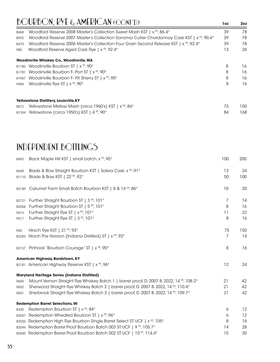| <b>B468</b> | Woodford Reserve 2008 Master's Collection Sweet Mash KST   x <sup>YR</sup> , 86.4°                    | 39 | 78  |
|-------------|-------------------------------------------------------------------------------------------------------|----|-----|
| B992        | Woodford Reserve 2007 Master's Collection Sonoma Cutrer Chardonnay Cask KST   x <sup>10</sup> , 90.4° | 39 | 78  |
| <b>B470</b> | Woodford Reserve 2006 Master's Collection Four Grain Second Release KST   x <sup>VR</sup> , 92.4°     | 39 | 78  |
| <b>R80</b>  | Woodford Reserve Aged Cask Rye   x <sup>yR</sup> , 92.4°                                              | 13 | 26  |
|             | Woodinville Whiskey Co., Woodinville, WA                                                              |    |     |
|             | B1780 Woodinville Bourbon ST   x <sup>YR</sup> , 90°                                                  | 8  | 16  |
| B1781       | Woodinville Bourbon F- Port ST   x <sup>YR</sup> , 90°                                                | 8  | 16  |
| B1967       | Woodinville Bourbon F- PX Sherry ST   x <sup>YR</sup> , 95°                                           | 8  | 16  |
| R484        | Woodinville Rye ST   x <sup>YR</sup> , 90°                                                            | 8  | 16  |
|             | Yellowstone Distillery, Louisville, KY                                                                |    |     |
| B872        | Yellowstone Mellow Mash (circa 1960's) KST   x <sup>YR</sup> , 86°                                    | 75 | 150 |
|             | B1394 Yellowstone (circa 1950's) KST   4 YR, 90°                                                      | 84 | 168 |

### INDEPENDENT BOTTLINGS

| B493        | Black Maple Hill KST   small batch, x <sup>YR</sup> , 95°                                | 100 | 200 |
|-------------|------------------------------------------------------------------------------------------|-----|-----|
| <b>B648</b> | Blade & Bow Straight Bourbon KST   Solera Cask, x YR, 91°                                | 12  | 24  |
| B1110       | Blade & Bow KST   22 YR, 92°                                                             | 50  | 100 |
| B2189       | Calumet Farm Small Batch Bourbon KST   8 & 14 YR, 86°                                    | 10  | 20  |
| B2121       | Further Straight Bourbon ST   3 YR, 101°                                                 | 7   | 14  |
| B2058       | Further Straight Bourbon ST   5 YR, 101°                                                 | 8   | 16  |
| R415        | Further Straight Rye ST   x <sup>YR</sup> , 101°                                         | 11  | 22  |
| R517        | Further Straight Rye ST   3 <sup>YR</sup> , 101°                                         | 8   | 16  |
| <b>R40</b>  | Hirsch Rye KST   21 YR, 93°                                                              | 75  | 150 |
| B2283       | Hirsch The Horizon (Indiana Distilled) ST   x <sup>YR</sup> , 92°                        | 7   | 14  |
|             | B2137 Pinhook "Bourbon Courage" ST   x <sup>YR</sup> , 90°                               | 8   | 16  |
|             | American Highway, Bardstown, KY                                                          |     |     |
|             | B2181 American Highway Reserve KST   x YR, 96°                                           | 12  | 24  |
|             | <b>Maryland Heritage Series (Indiana Distilled)</b>                                      |     |     |
| R600        | Mount Vernon Straight Rye Whiskey Batch 1   barrel proof, D. 2007 B. 2022, 14 YR, 108.2° | 21  | 42  |
| R602        | Sherwood Straight Rye Whiskey Batch 2   barrel proof, D. 2007 B. 2022, 14 YR, 110.4°     | 21  | 42  |
| R601        | Sherbrook Straight Rye Whiskey Batch 3   barrel proof, D. 2007 B. 2022, 14 YR, 109.7°    | 21  | 42  |
|             | <b>Redemption Barrel Selections, IN</b>                                                  |     |     |
| <b>B430</b> | Redemption Bourbon ST   x <sup>YR</sup> , 84°                                            | 6   | 12  |
| B2047       | Redemption Wheated Bourbon ST   x <sup>YR</sup> , 96°                                    | 6   | 12  |
|             | B2036 Redemption High Rye Bourbon Single Barrel Select ST UCF   x <sup>YP</sup> , 105°   | 8   | 16  |
| B2044       | Redemption Barrel Proof Bourbon Batch 003 ST UCF   9 <sup>vp</sup> , 105.7°              | 14  | 28  |
|             | B2045 Redemption Barrel Proof Bourbon Batch 002 ST UCF   10 YR, 114.4°                   | 15  | 30  |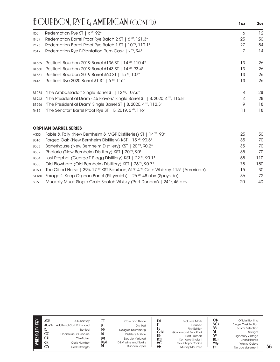|       | <b>BOURBON, RYE &amp; AMERICAN (CONT'D)</b>                                                | 1oz | 2oz |
|-------|--------------------------------------------------------------------------------------------|-----|-----|
| R65   | Redemption Rye ST   x <sup>YR</sup> , 92°                                                  | 6   | 12  |
| R409  | Redemption Barrel Proof Rye Batch 2 ST   6 YR, 121.3°                                      | 25  | 50  |
| R423  | Redemption Barrel Proof Rye Batch 1 ST   10 YR, 110.1°                                     | 27  | 54  |
| R512  | Redemption Rye F-Plantation Rum Cask   x <sup>YR</sup> , 94°                               | 7   | 14  |
| B1659 | Resilient Bourbon 2019 Barrel #136 ST   14 YR, 110.4°                                      | 13  | 26  |
| B1660 | Resilient Bourbon 2019 Barrel #143 ST   14 YR, 93.4°                                       | 13  | 26  |
| B1661 | Resilient Bourbon 2019 Barrel #60 ST   15 YR, 107°                                         | 13  | 26  |
| R416  | Resilient Rye 2020 Barrel #1 ST   6 <sup>YR</sup> , 116°                                   | 13  | 26  |
| B1274 | "The Ambassador" Single Barrel ST   12 YR, 107.6°                                          | 14  | 28  |
| B1943 | "The Presidential Dram - 46 Flavors" Single Barrel ST   B. 2020, 4 $\%$ , 116.8 $^{\circ}$ | 14  | 28  |
| B1966 | "The Presidential Dram" Single Barrel ST   B. 2020, 4 YR, 112.3°                           | 9   | 18  |
| R412  | "The Senator" Barrel Proof Rye ST   B. 2019, 6 YR, 116°                                    | 11  | 18  |
|       |                                                                                            |     |     |

#### **ORPHAN BARREL SERIES**

| Forged Oak (New Bernheim Distillery) KST   15 YR, 90.5°<br>35                                              | 70  |
|------------------------------------------------------------------------------------------------------------|-----|
| <b>B516</b>                                                                                                |     |
| Barterhouse (New Bernheim Distillery) KST   20 YR, 90.2°<br>35<br><b>B503</b>                              | 70  |
| Rhetoric (New Bernheim Distillery) KST   20 YR, 90°<br>35<br><b>B502</b>                                   | 70. |
| Lost Prophet (George T. Stagg Distillery) KST   22 <sup> YP</sup> , 90.1 <sup>°</sup><br>55<br><b>B504</b> | 110 |
| Old Blowhard (Old Bernheim Distillery) KST   26 YR, 90.7°<br>75<br><b>B505</b>                             | 150 |
| The Gifted Horse   39% 17 YR KST Bourbon, 61% 4 YR Corn Whiskey, 115° (American)<br>15<br>A150             | 30  |
| s1180 Forager's Keep Orphan Barrel (Pittyvaich)   26 <sup>VP</sup> , 48 abv (Speyside)<br>36               | 72  |
| Muckety Muck SIngle Grain Scotch Whisky (Port Dundas)   24 YR, 45 abv<br>20<br>SG <sub>9</sub>             | 40  |

| ADR<br>ACFD<br>Ë<br>D.<br><sub>CC</sub><br><b>CH</b><br><b>CK</b><br>C | A.D. Rattrav<br><b>Additional Cask Enhanced</b><br><b>Bottled</b><br>Connoisseur's Choice<br>Chieftain's<br>Cask Number<br>Cask Strength | Сl<br>D<br>DD<br>DF<br>DM<br>DεM<br>DI | Cask and Thistle<br><b>Distilled</b><br>Douglas Drumlanrig<br>Distiller's Edition<br>Double Matured<br>D&M Wine and Spirits<br>Duncan Taylor | £М<br>GεM<br>H <sub>b</sub><br><b>KST</b><br><b>MC</b><br><b>MM</b> | <b>Exclusive Malts</b><br>Finished<br><b>First Edition</b><br>Gordon and MacPhail<br><b>Hart Brothers</b><br>Kentucky Straight<br>MacKillop's Choice<br><b>Murray McDavid</b> | OB<br><b>SCN</b><br>SS<br>SI<br>S٧<br><b>UCF</b><br><b>WG</b><br><b>YYR</b> | Official Bottling<br>Single Cask Nation<br>Scott's Selection<br>Straight<br><b>Signatory Vintage</b><br>Unchillfiltered<br><b>Whisky Galore</b><br>No age statement |
|------------------------------------------------------------------------|------------------------------------------------------------------------------------------------------------------------------------------|----------------------------------------|----------------------------------------------------------------------------------------------------------------------------------------------|---------------------------------------------------------------------|-------------------------------------------------------------------------------------------------------------------------------------------------------------------------------|-----------------------------------------------------------------------------|---------------------------------------------------------------------------------------------------------------------------------------------------------------------|
|------------------------------------------------------------------------|------------------------------------------------------------------------------------------------------------------------------------------|----------------------------------------|----------------------------------------------------------------------------------------------------------------------------------------------|---------------------------------------------------------------------|-------------------------------------------------------------------------------------------------------------------------------------------------------------------------------|-----------------------------------------------------------------------------|---------------------------------------------------------------------------------------------------------------------------------------------------------------------|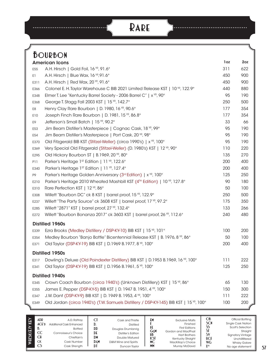# **Rare**

..........................

 $\cdots$ 

|                 | <b>BOURBON</b>                                                                         |     |     |
|-----------------|----------------------------------------------------------------------------------------|-----|-----|
|                 | <b>American Icons</b>                                                                  | 1oz | 2oz |
| E <sub>55</sub> | A.H. Hirsch   Gold Foil, 16 YR, 91.6°                                                  | 311 | 622 |
| E1.             | A.H. Hirsch   Blue Wax, 16 YR, 91.6°                                                   | 450 | 900 |
| E311            | A.H. Hirsch   Red Wax, 20 YR, 91.6°                                                    | 450 | 900 |
| E366            | Colonel E. H. Taylor Warehouse C BIB 2021 Limited Release KST   10 YR, 122.9°          | 440 | 880 |
| E348            | Elmer T. Lee "Kentucky Barrel Society - 2006 Barrel C"   x YR, 90°                     | 95  | 190 |
| E368            | George T. Stagg Fall 2003 KST   15 YR, 142.7°                                          | 250 | 500 |
| E8              | Henry Clay Rare Bourbon   D. 1980, 16 YR, 90.6°                                        | 177 | 354 |
| E10             | Joseph Finch Rare Bourbon   D. 1981, 15 YR, 86.8°                                      | 177 | 354 |
| E9              | Jefferson's Small Batch   15 YR, 90.2°                                                 | 33  | 66  |
| E <sub>53</sub> | Jim Beam Distiller's Masterpiece   Cognac Cask, 18 YR, 99°                             | 95  | 190 |
| E54             | Jim Beam Distiller's Masterpiece   Port Cask, 20 YR, 98°                               | 95  | 190 |
| E370            | Old Fitzgerald BIB KST (Stitzel-Weller) (circa 1990's)   x VR, 100°                    | 95  | 190 |
| E369            | Very Special Old Fitzgerald (Stitzel-Weller) (D. 1980's) KST   12 YR, 90°              | 110 | 220 |
| E295            | Old Hickory Bourbon ST   B.1969, 20 YR, 80°                                            | 135 | 270 |
| <b>P11</b>      | Parker's Heritage 1st Edition   11 YR, 122.6°                                          | 200 | 400 |
| E340            | Parker's Heritage 1st Edition   11 YR, 127.4°                                          | 200 | 400 |
| P9              | Parker's Heritage Golden Anniversary (3rd Edition)   x YR, 100°                        | 125 | 250 |
| E210            | Parker's Heritage 2010 Wheated Mashbill KST (4 <sup>™</sup> Edition)   10 VR, 127.8°   | 90  | 180 |
| E310            | Rare Perfection KST   12 YR, 86°                                                       | 50  | 100 |
| E308            | Willett "Bourbon DC" ck 8 KST   barrel proof, 15 YR, 122.9°                            | 250 | 500 |
| E237            | Willett "The Party Source" ck 3608 KST   barrel proof, 17 YR, 97.2°                    | 175 | 350 |
| E285            | Willett "2871" KST   barrel proof, 27 YR, 132.4°                                       | 133 | 266 |
| E272            | Willett "Bourbon Bonanza 2017" ck 3603 KST   barrel proof, 26 YR, 112.6°               | 240 | 480 |
|                 | <b>Distilled 1960s</b>                                                                 |     |     |
| E339            | Ezra Brooks (Medley Distillery / DSP-KY-10) BIB KST   15 YR, 101°                      | 100 | 200 |
| E354            | Medley Bourbon "Banjo Bottle" Bicentennial Release KST   B. 1976, 8 YR, 86°            | 50  | 100 |
| E371            | Old Taylor (DSP-KY-19) BIB KST   D.1969 B.1977, 8 YR, 100°                             | 200 | 400 |
|                 | <b>Distilled 1950s</b>                                                                 |     |     |
| E317            | Dowling's Deluxe (Old Poindexter Distillery) BIB KST   D.1953 B.1969, 16 YR, 100°      | 111 | 222 |
| E341            | Old Taylor (DSP-KY-19) BIB KST   D.1956 B.1961, 5 YR, 100°                             | 125 | 250 |
|                 | <b>Distilled 1940s</b>                                                                 |     |     |
| E345            | Crown Coach Bourbon (circa 1940's) (Unknown Distillery) KST   15 YR, 86°               | 65  | 130 |
| E355            | James E. Pepper (DSP-KY-5) BIB KST   D. 1947 B. 1951, 4 YR, 100°                       | 150 | 300 |
| E347            | J.W. Dant (DSP-KY-9) BIB KST   D. 1949 B. 1953, 4 YR, 100°                             | 111 | 222 |
| E349            | Old Jordan (circa 1940's) (T.W. Samuels Distillery / DSP-KY-145) BIB KST   15 YR, 100° | 100 | 200 |
|                 |                                                                                        |     |     |

| $\widetilde{(\mathbf{f})}$<br>$\sim$ | ADR<br>$ACE$ <sup>D</sup><br>D.<br>CC<br>C <sub>l</sub><br>СK<br><b>CS</b> | A.D. Rattrav<br>Additional Cask Enhanced<br>Bottled<br>Connoisseur's Choice<br>Chieftain's<br>Cask Number<br>Cask Strength | D.<br>DD<br>DE<br>DM<br>DEM<br>DI | Cask and Thistle<br><b>Distilled</b><br>Douglas Drumlanrig<br><b>Distiller's Edition</b><br>Double Matured<br>D&M Wine and Spirits<br>Duncan Taylor | £М<br>GεM<br>HB<br>KST<br>МC<br><b>MM</b> | <b>Exclusive Malts</b><br>Finished<br><b>First Editions</b><br>Gordon and MacPhail<br><b>Hart Brothers</b><br>Kentucky Straight<br>MacKillop's Choice<br><b>Murray McDavid</b> | ОB<br><b>SCN</b><br>SS<br>ST<br>S٧<br><b>UCE</b><br><b>WG</b><br><b>XYR</b> | Official Bottling<br>Single Cask Nation<br>Scott's Selection<br>Straight<br><b>Signatory Vintage</b><br>Unchillfiltered<br><b>Whisky Galore</b><br>No age statement |
|--------------------------------------|----------------------------------------------------------------------------|----------------------------------------------------------------------------------------------------------------------------|-----------------------------------|-----------------------------------------------------------------------------------------------------------------------------------------------------|-------------------------------------------|--------------------------------------------------------------------------------------------------------------------------------------------------------------------------------|-----------------------------------------------------------------------------|---------------------------------------------------------------------------------------------------------------------------------------------------------------------|
|--------------------------------------|----------------------------------------------------------------------------|----------------------------------------------------------------------------------------------------------------------------|-----------------------------------|-----------------------------------------------------------------------------------------------------------------------------------------------------|-------------------------------------------|--------------------------------------------------------------------------------------------------------------------------------------------------------------------------------|-----------------------------------------------------------------------------|---------------------------------------------------------------------------------------------------------------------------------------------------------------------|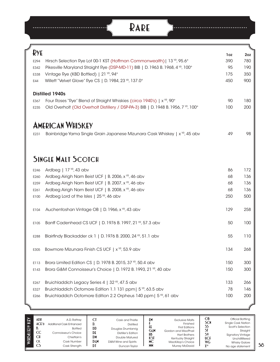| <b>D</b> <sub>YE</sub> |                                                                                        | 1oz | 2oz                      |
|------------------------|----------------------------------------------------------------------------------------|-----|--------------------------|
| E294                   | Hirsch Selection Rye Lot 00-1 KST (Hoffman Commonwealth)   13 YR, 95.6°                | 390 | 780                      |
| E342                   | Pikesville Maryland Straight Rye (DSP-MD-11) BIB   D. 1963 B. 1968, 4 YR, 100°         | 95  | 190                      |
| E338                   | Vintage Rye (KBD Bottled)   21 YR, 94°                                                 | 175 | 350                      |
| E44                    | Willett "Velvet Glove" Rye CS   D. 1984, 23 YR, 137.0°                                 | 450 | 900                      |
|                        | <b>Distilled 1940s</b>                                                                 |     |                          |
| E367                   | Four Roses "Rye" Blend of Straight Whiskies (circa 1940's)   x <sup>YR</sup> , 90°     | 90  | 180                      |
| E235                   | Old Overholt (Old Overholt Distillery / DSP-PA-3) BIB   D. 1948 B. 1956, 7 YR, 100°    | 100 | 200                      |
|                        | <b>AMERICAN WHISKEY</b>                                                                |     |                          |
| E231                   | Bainbridge Yama Single Grain Japanese Mizunara Cask Whiskey   x <sup>YR</sup> , 45 abv | 49  |                          |
|                        |                                                                                        |     |                          |
|                        | <b>SINGLE MALT SCOTCH</b>                                                              |     |                          |
| E246                   | Ardbeg   $17$ YR, 43 abv                                                               | 86  | 172                      |
| E260                   | Ardbeg Airigh Nam Beist UCF   B. 2006, x YR, 46 abv                                    | 68  | 136                      |
| E259                   | Ardbeg Airigh Nam Beist UCF   B. 2007, x YR, 46 abv                                    | 68  | 136                      |
| E261                   | Ardbeg Airigh Nam Beist UCF   B. 2008, x YR, 46 abv                                    | 68  | 136                      |
| E100                   | Ardbeg Lord of the Isles   25 YR, 46 abv                                               | 250 | 500                      |
| E104                   | Auchentoshan Vintage OB   D. 1966, x YR, 43 abv                                        | 129 | 258                      |
| E105                   | Banff Cadenhead CS UCF   D. 1976 B. 1997, 21 YR, 57.3 abv                              | 50  | 100                      |
|                        | Blairfindy Blackadder ck 1   D. 1976 B. 2000, 24 YR, 51.1 abv                          | 55  | 110                      |
| E288                   |                                                                                        |     |                          |
| E305                   | Bowmore Mizunara Finish CS UCF   x <sup>YR</sup> , 53.9 abv                            | 134 |                          |
| E113                   | Brora Limited Edition CS   D. 1978 B. 2015, 37 YR, 50.4 abv                            | 150 |                          |
| E143                   | Brora G&M Connoisseur's Choice   D. 1972 B. 1993, 21 YR, 40 abv                        | 150 |                          |
| E267                   | Bruichladdich Legacy Series 4   32 YR, 47.5 abv                                        | 133 | 268<br>300<br>300<br>266 |
| E327                   | Bruichladdich Octomore Edition 1.1 131 ppm   5 <sup>YR</sup> , 63.5 abv                | 78  | 146                      |

| KO | ADP<br>$ACF$ <sup>D</sup><br>D.<br>CC<br><b>CH</b><br>СK<br>C <sub>2</sub> | A.D. Rattrav<br><b>Additional Cask Enhanced</b><br><b>Bottled</b><br>Connoisseur's Choice<br>Chieftain's<br>Cask Number<br>Cask Strength | D<br>DD<br>DE<br><b>DM</b><br>DεM<br>DI | Cask and Thistle<br><b>Distilled</b><br>Douglas Drumlanrig<br><b>Distiller's Edition</b><br>Double Matured<br>D&M Wine and Spirits<br>Duncan Taylor | £М<br>GεM<br>HB<br>КSТ<br>МC<br><b>MM</b> | <b>Exclusive Malts</b><br>Finished<br><b>First Editions</b><br>Gordon and MacPhail<br><b>Hart Brothers</b><br>Kentucky Straight<br>MacKillop's Choice<br>Murray McDavid | ОB<br><b>SCN</b><br>55<br>S٧<br><b>UCF</b><br>WG<br><b>YYP</b> | Official Bottling<br><b>Single Cask Nation</b><br>Scott's Selection<br>Straight<br><b>Signatory Vintage</b><br>Unchillfiltered<br><b>Whisky Galore</b><br>No age statement |
|----|----------------------------------------------------------------------------|------------------------------------------------------------------------------------------------------------------------------------------|-----------------------------------------|-----------------------------------------------------------------------------------------------------------------------------------------------------|-------------------------------------------|-------------------------------------------------------------------------------------------------------------------------------------------------------------------------|----------------------------------------------------------------|----------------------------------------------------------------------------------------------------------------------------------------------------------------------------|
|----|----------------------------------------------------------------------------|------------------------------------------------------------------------------------------------------------------------------------------|-----------------------------------------|-----------------------------------------------------------------------------------------------------------------------------------------------------|-------------------------------------------|-------------------------------------------------------------------------------------------------------------------------------------------------------------------------|----------------------------------------------------------------|----------------------------------------------------------------------------------------------------------------------------------------------------------------------------|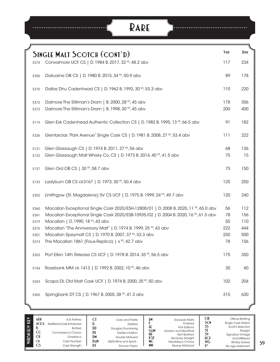# **Rare**

....

|              | <b>SINGLE MALT SCOTCH (CONT'D)</b>                                                                                                                                             | 1oz        | 2oz        |
|--------------|--------------------------------------------------------------------------------------------------------------------------------------------------------------------------------|------------|------------|
| E274         | Convalmore UCF CS   D. 1984 B. 2017, 32 YR, 48.2 abv                                                                                                                           | 117        | 234        |
| E356         | Dailuaine OB CS   D. 1980 B. 2015, 34 YR, 50.9 abv                                                                                                                             | 89         | 178        |
| E270         | Dallas Dhu Cadenhead CS   D. 1962 B. 1993, 30 YR, 53.3 abv                                                                                                                     | 110        | 220        |
| E372<br>E373 | Dalmore The Stillman's Dram   B. 2000, 28 YR, 45 abv<br>Dalmore The Stillman's Dram   B. 1998, 30 YR, 45 abv                                                                   | 178<br>200 | 356<br>400 |
| E119         | Glen Esk Cadenhead Authentic Collection CS   D. 1982 B. 1995, 13 VP, 66.5 abv                                                                                                  | 91         | 182        |
| E326         | Glenfarclas "Park Avenue" Single Cask CS   D. 1981 B. 2008, 27 YR, 53.4 abv                                                                                                    | 111        | 222        |
| E121<br>E122 | Glen Glassaugh CS   D. 1974 B. 2011, 37 YP, 56 abv<br>Glen Glassaugh Malt Whisky Co. CS   D. 1973 B. 2014, 40 YR, 41.5 abv                                                     | 68<br>75   | 136<br>15  |
| E127         | Glen Ord OB CS   30 YR, 58.7 abv                                                                                                                                               | 75         | 150        |
| E133         | Ladyburn OB CS ck3167   D. 1973, 30 YR, 50.4 abv                                                                                                                               | 125        | 250        |
| E352         | Linlithgow (St. Magdalene) SV CS UCF   D. 1975 B. 1999, 24 YR, 49.7 abv                                                                                                        | 120        | 240        |
| E360<br>E361 | Macallan Exceptional Single Cask 2020/ESH-12808/01   D. 2008 B. 2020, 11 YR, 65.0 abv<br>Macallan Exceptional Single Cask 2020/ESB-10935/02   D. 2004 B. 2020, 16 VR, 61.5 abv | 56<br>78   | 112<br>156 |
| E319         | Macallan   D. 1990, 18 YR, 43 abv                                                                                                                                              | 55         | 110        |
| E276         | Macallan "The Anniversary Malt"   D. 1974 B. 1999, 25 YR, 43 abv                                                                                                               | 222        | 444        |
| E301         | Macallan Speymalt CS   D. 1970 B. 2007, 37 YR, 53.3 abv                                                                                                                        | 250        | 500        |
| E374         | The Macallan 1861 (Faux-Replica)   x <sup>YR</sup> , 42.7 abv                                                                                                                  | 78         | 156        |
| E353         | Port Ellen 14th Release CS UCF   D. 1978 B. 2014, 35 YR, 56.5 abv                                                                                                              | 175        | 350        |
| E154         | Rosebank MM ck 1413   D. 1992 B. 2002, 10 YR, 46 abv                                                                                                                           | 30         | 60         |
| E263         | Scapa DL Old Malt Cask UCF   D. 1974 B. 2000, 25 <sup>VP</sup> , 50 abv                                                                                                        | 102        | 204        |
| E265         | Springbank DT CS   D. 1967 B. 2005, 38 YR, 41.3 abv                                                                                                                            | 315        | 630        |
|              |                                                                                                                                                                                |            |            |

| KEY<br>WHISK(E)Y | ADR<br>ACFD<br>D.<br>CC<br>СH<br><b>CK</b><br>CS. | A.D. Rattrav<br>Additional Cask Enhanced<br><b>Bottled</b><br>Connoisseur's Choice<br>Chieftain's<br>Cask Number<br>Cask Strength | D.<br>DD<br>DF<br>DM<br><b>DEM</b><br>D١ | Cask and Thistle<br><b>Distilled</b><br>Douglas Drumlanrig<br><b>Distiller's Edition</b><br>Double Matured<br>D&M Wine and Spirits<br>Duncan Tavlor | £М<br>ŦŦ.<br>GεM<br>HB<br>КSТ<br>МC<br><b>MM</b> | <b>Exclusive Malts</b><br>Finished<br><b>First Editions</b><br>Gordon and MacPhail<br><b>Hart Brothers</b><br>Kentucky Straight<br>MacKillop's Choice<br>Murray McDavid | Ob<br><b>SCN</b><br>55<br>S٧<br>UCE<br><b>WG</b><br><b>YYR</b> | Official Bottling<br><b>Single Cask Nation</b><br>Scott's Selection<br>Straight<br><b>Signatory Vintage</b><br>Unchillfiltered<br><b>Whisky Galore</b><br>No age statement |
|------------------|---------------------------------------------------|-----------------------------------------------------------------------------------------------------------------------------------|------------------------------------------|-----------------------------------------------------------------------------------------------------------------------------------------------------|--------------------------------------------------|-------------------------------------------------------------------------------------------------------------------------------------------------------------------------|----------------------------------------------------------------|----------------------------------------------------------------------------------------------------------------------------------------------------------------------------|
|------------------|---------------------------------------------------|-----------------------------------------------------------------------------------------------------------------------------------|------------------------------------------|-----------------------------------------------------------------------------------------------------------------------------------------------------|--------------------------------------------------|-------------------------------------------------------------------------------------------------------------------------------------------------------------------------|----------------------------------------------------------------|----------------------------------------------------------------------------------------------------------------------------------------------------------------------------|